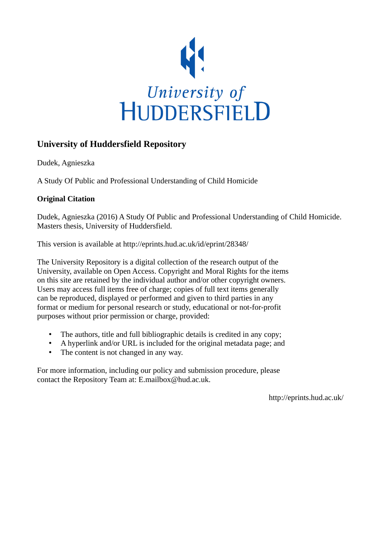

### **University of Huddersfield Repository**

Dudek, Agnieszka

A Study Of Public and Professional Understanding of Child Homicide

#### **Original Citation**

Dudek, Agnieszka (2016) A Study Of Public and Professional Understanding of Child Homicide. Masters thesis, University of Huddersfield.

This version is available at http://eprints.hud.ac.uk/id/eprint/28348/

The University Repository is a digital collection of the research output of the University, available on Open Access. Copyright and Moral Rights for the items on this site are retained by the individual author and/or other copyright owners. Users may access full items free of charge; copies of full text items generally can be reproduced, displayed or performed and given to third parties in any format or medium for personal research or study, educational or not-for-profit purposes without prior permission or charge, provided:

- The authors, title and full bibliographic details is credited in any copy;
- A hyperlink and/or URL is included for the original metadata page; and
- The content is not changed in any way.

For more information, including our policy and submission procedure, please contact the Repository Team at: E.mailbox@hud.ac.uk.

http://eprints.hud.ac.uk/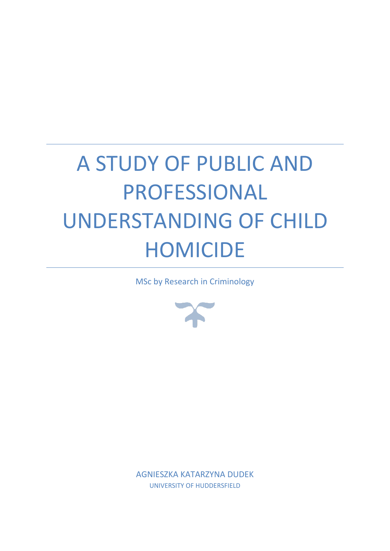# A STUDY OF PUBLIC AND PROFESSIONAL UNDERSTANDING OF CHILD HOMICIDE

MSc by Research in Criminology



AGNIESZKA KATARZYNA DUDEK UNIVERSITY OF HUDDERSFIELD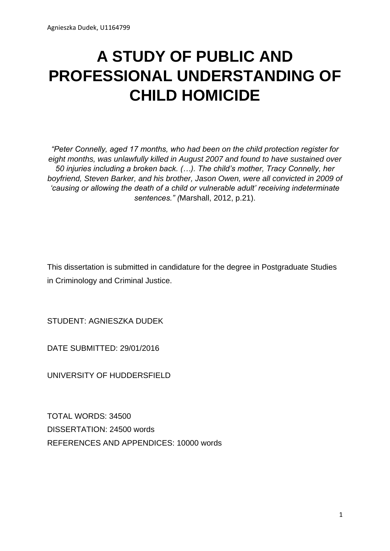# **A STUDY OF PUBLIC AND PROFESSIONAL UNDERSTANDING OF CHILD HOMICIDE**

*"Peter Connelly, aged 17 months, who had been on the child protection register for eight months, was unlawfully killed in August 2007 and found to have sustained over 50 injuries including a broken back. (…). The child's mother, Tracy Connelly, her boyfriend, Steven Barker, and his brother, Jason Owen, were all convicted in 2009 of 'causing or allowing the death of a child or vulnerable adult' receiving indeterminate sentences." (*Marshall, 2012, p.21).

This dissertation is submitted in candidature for the degree in Postgraduate Studies in Criminology and Criminal Justice.

STUDENT: AGNIESZKA DUDEK

DATE SUBMITTED: 29/01/2016

UNIVERSITY OF HUDDERSFIELD

TOTAL WORDS: 34500 DISSERTATION: 24500 words REFERENCES AND APPENDICES: 10000 words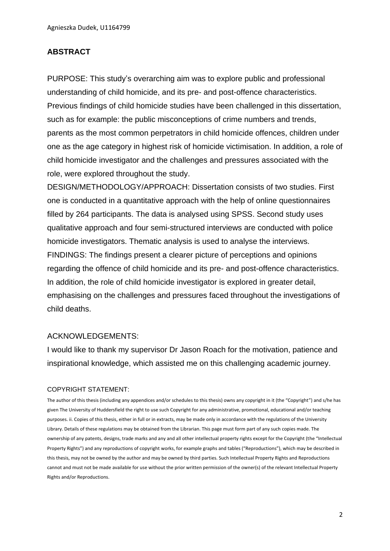#### **ABSTRACT**

PURPOSE: This study's overarching aim was to explore public and professional understanding of child homicide, and its pre- and post-offence characteristics. Previous findings of child homicide studies have been challenged in this dissertation, such as for example: the public misconceptions of crime numbers and trends, parents as the most common perpetrators in child homicide offences, children under one as the age category in highest risk of homicide victimisation. In addition, a role of child homicide investigator and the challenges and pressures associated with the role, were explored throughout the study.

DESIGN/METHODOLOGY/APPROACH: Dissertation consists of two studies. First one is conducted in a quantitative approach with the help of online questionnaires filled by 264 participants. The data is analysed using SPSS. Second study uses qualitative approach and four semi-structured interviews are conducted with police homicide investigators. Thematic analysis is used to analyse the interviews. FINDINGS: The findings present a clearer picture of perceptions and opinions regarding the offence of child homicide and its pre- and post-offence characteristics. In addition, the role of child homicide investigator is explored in greater detail, emphasising on the challenges and pressures faced throughout the investigations of child deaths.

#### ACKNOWLEDGEMENTS:

I would like to thank my supervisor Dr Jason Roach for the motivation, patience and inspirational knowledge, which assisted me on this challenging academic journey.

#### COPYRIGHT STATEMENT:

The author of this thesis (including any appendices and/or schedules to this thesis) owns any copyright in it (the "Copyright") and s/he has given The University of Huddersfield the right to use such Copyright for any administrative, promotional, educational and/or teaching purposes. ii. Copies of this thesis, either in full or in extracts, may be made only in accordance with the regulations of the University Library. Details of these regulations may be obtained from the Librarian. This page must form part of any such copies made. The ownership of any patents, designs, trade marks and any and all other intellectual property rights except for the Copyright (the "Intellectual Property Rights") and any reproductions of copyright works, for example graphs and tables ("Reproductions"), which may be described in this thesis, may not be owned by the author and may be owned by third parties. Such Intellectual Property Rights and Reproductions cannot and must not be made available for use without the prior written permission of the owner(s) of the relevant Intellectual Property Rights and/or Reproductions.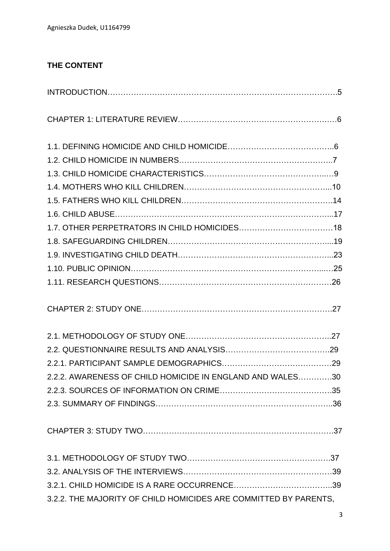## **THE CONTENT**

| 2.2.2. AWARENESS OF CHILD HOMICIDE IN ENGLAND AND WALES30        |  |
|------------------------------------------------------------------|--|
|                                                                  |  |
|                                                                  |  |
|                                                                  |  |
|                                                                  |  |
|                                                                  |  |
|                                                                  |  |
| 3.2.2. THE MAJORITY OF CHILD HOMICIDES ARE COMMITTED BY PARENTS, |  |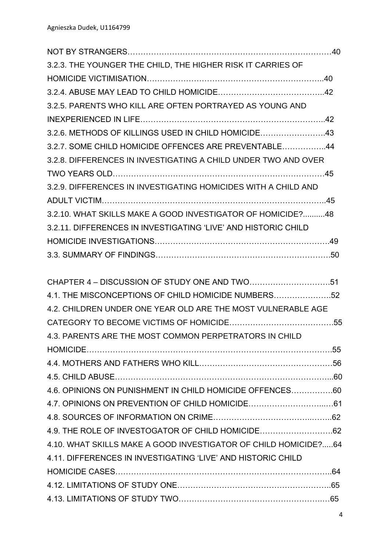| 3.2.3. THE YOUNGER THE CHILD, THE HIGHER RISK IT CARRIES OF     |  |
|-----------------------------------------------------------------|--|
|                                                                 |  |
|                                                                 |  |
| 3.2.5. PARENTS WHO KILL ARE OFTEN PORTRAYED AS YOUNG AND        |  |
|                                                                 |  |
| 3.2.6. METHODS OF KILLINGS USED IN CHILD HOMICIDE43             |  |
| 3.2.7. SOME CHILD HOMICIDE OFFENCES ARE PREVENTABLE44           |  |
| 3.2.8. DIFFERENCES IN INVESTIGATING A CHILD UNDER TWO AND OVER  |  |
|                                                                 |  |
| 3.2.9. DIFFERENCES IN INVESTIGATING HOMICIDES WITH A CHILD AND  |  |
|                                                                 |  |
| 3.2.10. WHAT SKILLS MAKE A GOOD INVESTIGATOR OF HOMICIDE?48     |  |
| 3.2.11. DIFFERENCES IN INVESTIGATING 'LIVE' AND HISTORIC CHILD  |  |
|                                                                 |  |
|                                                                 |  |
|                                                                 |  |
|                                                                 |  |
| 4.1. THE MISCONCEPTIONS OF CHILD HOMICIDE NUMBERS52             |  |
| 4.2. CHILDREN UNDER ONE YEAR OLD ARE THE MOST VULNERABLE AGE    |  |
|                                                                 |  |
| 4.3. PARENTS ARE THE MOST COMMON PERPETRATORS IN CHILD          |  |
|                                                                 |  |
|                                                                 |  |
|                                                                 |  |
| 4.6. OPINIONS ON PUNISHMENT IN CHILD HOMICIDE OFFENCES60        |  |
|                                                                 |  |
|                                                                 |  |
| 4.9. THE ROLE OF INVESTOGATOR OF CHILD HOMICIDE62               |  |
| 4.10. WHAT SKILLS MAKE A GOOD INVESTIGATOR OF CHILD HOMICIDE?64 |  |
| 4.11. DIFFERENCES IN INVESTIGATING 'LIVE' AND HISTORIC CHILD    |  |
|                                                                 |  |
|                                                                 |  |
|                                                                 |  |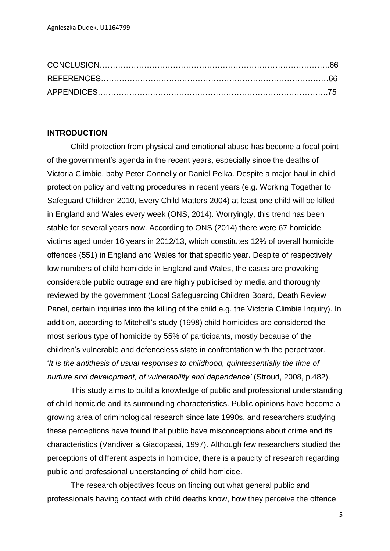#### **INTRODUCTION**

Child protection from physical and emotional abuse has become a focal point of the government's agenda in the recent years, especially since the deaths of Victoria Climbie, baby Peter Connelly or Daniel Pelka. Despite a major haul in child protection policy and vetting procedures in recent years (e.g. Working Together to Safeguard Children 2010, Every Child Matters 2004) at least one child will be killed in England and Wales every week (ONS, 2014). Worryingly, this trend has been stable for several years now. According to ONS (2014) there were 67 homicide victims aged under 16 years in 2012/13, which constitutes 12% of overall homicide offences (551) in England and Wales for that specific year. Despite of respectively low numbers of child homicide in England and Wales, the cases are provoking considerable public outrage and are highly publicised by media and thoroughly reviewed by the government (Local Safeguarding Children Board, Death Review Panel, certain inquiries into the killing of the child e.g. the Victoria Climbie Inquiry). In addition, according to Mitchell's study (1998) child homicides are considered the most serious type of homicide by 55% of participants, mostly because of the children's vulnerable and defenceless state in confrontation with the perpetrator. '*It is the antithesis of usual responses to childhood, quintessentially the time of nurture and development, of vulnerability and dependence'* (Stroud, 2008, p.482).

This study aims to build a knowledge of public and professional understanding of child homicide and its surrounding characteristics. Public opinions have become a growing area of criminological research since late 1990s, and researchers studying these perceptions have found that public have misconceptions about crime and its characteristics (Vandiver & Giacopassi, 1997). Although few researchers studied the perceptions of different aspects in homicide, there is a paucity of research regarding public and professional understanding of child homicide.

The research objectives focus on finding out what general public and professionals having contact with child deaths know, how they perceive the offence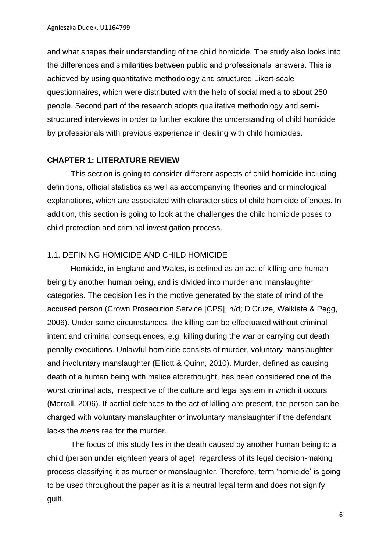and what shapes their understanding of the child homicide. The study also looks into the differences and similarities between public and professionals' answers. This is achieved by using quantitative methodology and structured Likert-scale questionnaires, which were distributed with the help of social media to about 250 people. Second part of the research adopts qualitative methodology and semistructured interviews in order to further explore the understanding of child homicide by professionals with previous experience in dealing with child homicides.

#### **CHAPTER 1: LITERATURE REVIEW**

This section is going to consider different aspects of child homicide including definitions, official statistics as well as accompanying theories and criminological explanations, which are associated with characteristics of child homicide offences. In addition, this section is going to look at the challenges the child homicide poses to child protection and criminal investigation process.

#### 1.1. DEFINING HOMICIDE AND CHILD HOMICIDE

Homicide, in England and Wales, is defined as an act of killing one human being by another human being, and is divided into murder and manslaughter categories. The decision lies in the motive generated by the state of mind of the accused person (Crown Prosecution Service [CPS], n/d; D'Cruze, Walklate & Pegg, 2006). Under some circumstances, the killing can be effectuated without criminal intent and criminal consequences, e.g. killing during the war or carrying out death penalty executions. Unlawful homicide consists of murder, voluntary manslaughter and involuntary manslaughter (Elliott & Quinn, 2010). Murder, defined as causing death of a human being with malice aforethought, has been considered one of the worst criminal acts, irrespective of the culture and legal system in which it occurs (Morrall, 2006). If partial defences to the act of killing are present, the person can be charged with voluntary manslaughter or involuntary manslaughter if the defendant lacks the *mens* rea for the murder.

The focus of this study lies in the death caused by another human being to a child (person under eighteen years of age), regardless of its legal decision-making process classifying it as murder or manslaughter. Therefore, term 'homicide' is going to be used throughout the paper as it is a neutral legal term and does not signify guilt.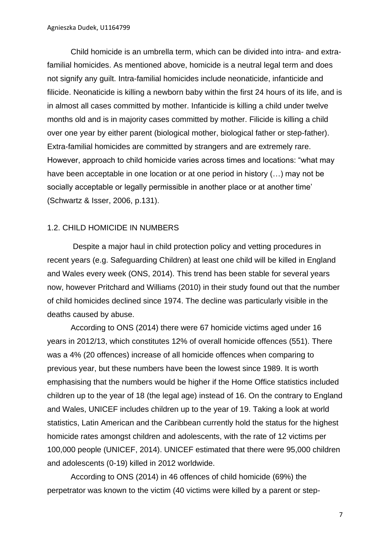Child homicide is an umbrella term, which can be divided into intra- and extrafamilial homicides. As mentioned above, homicide is a neutral legal term and does not signify any guilt. Intra-familial homicides include neonaticide, infanticide and filicide. Neonaticide is killing a newborn baby within the first 24 hours of its life, and is in almost all cases committed by mother. Infanticide is killing a child under twelve months old and is in majority cases committed by mother. Filicide is killing a child over one year by either parent (biological mother, biological father or step-father). Extra-familial homicides are committed by strangers and are extremely rare. However, approach to child homicide varies across times and locations: "what may have been acceptable in one location or at one period in history (…) may not be socially acceptable or legally permissible in another place or at another time' (Schwartz & Isser, 2006, p.131).

#### 1.2. CHILD HOMICIDE IN NUMBERS

Despite a major haul in child protection policy and vetting procedures in recent years (e.g. Safeguarding Children) at least one child will be killed in England and Wales every week (ONS, 2014). This trend has been stable for several years now, however Pritchard and Williams (2010) in their study found out that the number of child homicides declined since 1974. The decline was particularly visible in the deaths caused by abuse.

According to ONS (2014) there were 67 homicide victims aged under 16 years in 2012/13, which constitutes 12% of overall homicide offences (551). There was a 4% (20 offences) increase of all homicide offences when comparing to previous year, but these numbers have been the lowest since 1989. It is worth emphasising that the numbers would be higher if the Home Office statistics included children up to the year of 18 (the legal age) instead of 16. On the contrary to England and Wales, UNICEF includes children up to the year of 19. Taking a look at world statistics, Latin American and the Caribbean currently hold the status for the highest homicide rates amongst children and adolescents, with the rate of 12 victims per 100,000 people (UNICEF, 2014). UNICEF estimated that there were 95,000 children and adolescents (0-19) killed in 2012 worldwide.

According to ONS (2014) in 46 offences of child homicide (69%) the perpetrator was known to the victim (40 victims were killed by a parent or step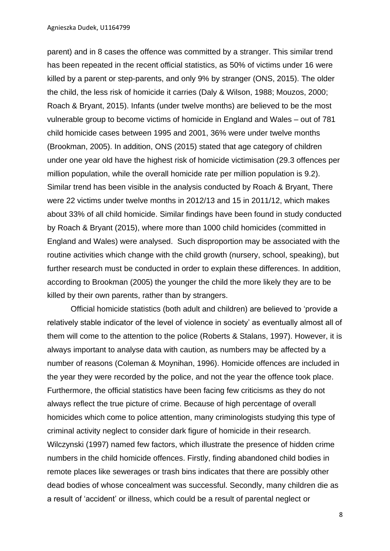parent) and in 8 cases the offence was committed by a stranger. This similar trend has been repeated in the recent official statistics, as 50% of victims under 16 were killed by a parent or step-parents, and only 9% by stranger (ONS, 2015). The older the child, the less risk of homicide it carries (Daly & Wilson, 1988; Mouzos, 2000; Roach & Bryant, 2015). Infants (under twelve months) are believed to be the most vulnerable group to become victims of homicide in England and Wales – out of 781 child homicide cases between 1995 and 2001, 36% were under twelve months (Brookman, 2005). In addition, ONS (2015) stated that age category of children under one year old have the highest risk of homicide victimisation (29.3 offences per million population, while the overall homicide rate per million population is 9.2). Similar trend has been visible in the analysis conducted by Roach & Bryant, There were 22 victims under twelve months in 2012/13 and 15 in 2011/12, which makes about 33% of all child homicide. Similar findings have been found in study conducted by Roach & Bryant (2015), where more than 1000 child homicides (committed in England and Wales) were analysed. Such disproportion may be associated with the routine activities which change with the child growth (nursery, school, speaking), but further research must be conducted in order to explain these differences. In addition, according to Brookman (2005) the younger the child the more likely they are to be killed by their own parents, rather than by strangers.

Official homicide statistics (both adult and children) are believed to 'provide a relatively stable indicator of the level of violence in society' as eventually almost all of them will come to the attention to the police (Roberts & Stalans, 1997). However, it is always important to analyse data with caution, as numbers may be affected by a number of reasons (Coleman & Moynihan, 1996). Homicide offences are included in the year they were recorded by the police, and not the year the offence took place. Furthermore, the official statistics have been facing few criticisms as they do not always reflect the true picture of crime. Because of high percentage of overall homicides which come to police attention, many criminologists studying this type of criminal activity neglect to consider dark figure of homicide in their research. Wilczynski (1997) named few factors, which illustrate the presence of hidden crime numbers in the child homicide offences. Firstly, finding abandoned child bodies in remote places like sewerages or trash bins indicates that there are possibly other dead bodies of whose concealment was successful. Secondly, many children die as a result of 'accident' or illness, which could be a result of parental neglect or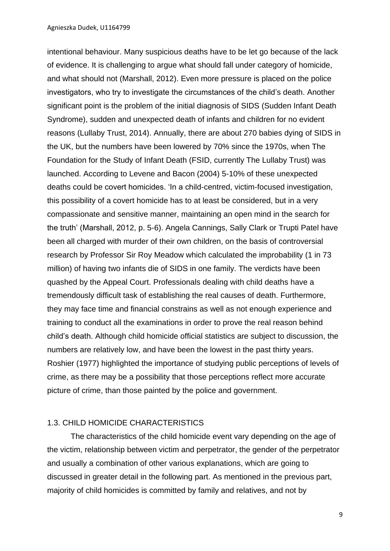intentional behaviour. Many suspicious deaths have to be let go because of the lack of evidence. It is challenging to argue what should fall under category of homicide, and what should not (Marshall, 2012). Even more pressure is placed on the police investigators, who try to investigate the circumstances of the child's death. Another significant point is the problem of the initial diagnosis of SIDS (Sudden Infant Death Syndrome), sudden and unexpected death of infants and children for no evident reasons (Lullaby Trust, 2014). Annually, there are about 270 babies dying of SIDS in the UK, but the numbers have been lowered by 70% since the 1970s, when The Foundation for the Study of Infant Death (FSID, currently The Lullaby Trust) was launched. According to Levene and Bacon (2004) 5-10% of these unexpected deaths could be covert homicides. 'In a child-centred, victim-focused investigation, this possibility of a covert homicide has to at least be considered, but in a very compassionate and sensitive manner, maintaining an open mind in the search for the truth' (Marshall, 2012, p. 5-6). Angela Cannings, Sally Clark or Trupti Patel have been all charged with murder of their own children, on the basis of controversial research by Professor Sir Roy Meadow which calculated the improbability (1 in 73 million) of having two infants die of SIDS in one family. The verdicts have been quashed by the Appeal Court. Professionals dealing with child deaths have a tremendously difficult task of establishing the real causes of death. Furthermore, they may face time and financial constrains as well as not enough experience and training to conduct all the examinations in order to prove the real reason behind child's death. Although child homicide official statistics are subject to discussion, the numbers are relatively low, and have been the lowest in the past thirty years. Roshier (1977) highlighted the importance of studying public perceptions of levels of crime, as there may be a possibility that those perceptions reflect more accurate picture of crime, than those painted by the police and government.

#### 1.3. CHILD HOMICIDE CHARACTERISTICS

The characteristics of the child homicide event vary depending on the age of the victim, relationship between victim and perpetrator, the gender of the perpetrator and usually a combination of other various explanations, which are going to discussed in greater detail in the following part. As mentioned in the previous part, majority of child homicides is committed by family and relatives, and not by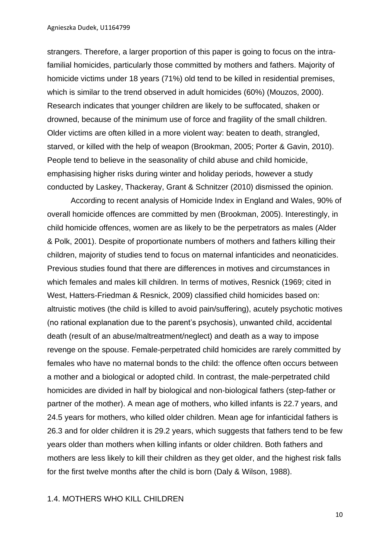strangers. Therefore, a larger proportion of this paper is going to focus on the intrafamilial homicides, particularly those committed by mothers and fathers. Majority of homicide victims under 18 years (71%) old tend to be killed in residential premises, which is similar to the trend observed in adult homicides (60%) (Mouzos, 2000). Research indicates that younger children are likely to be suffocated, shaken or drowned, because of the minimum use of force and fragility of the small children. Older victims are often killed in a more violent way: beaten to death, strangled, starved, or killed with the help of weapon (Brookman, 2005; Porter & Gavin, 2010). People tend to believe in the seasonality of child abuse and child homicide, emphasising higher risks during winter and holiday periods, however a study conducted by Laskey, Thackeray, Grant & Schnitzer (2010) dismissed the opinion.

According to recent analysis of Homicide Index in England and Wales, 90% of overall homicide offences are committed by men (Brookman, 2005). Interestingly, in child homicide offences, women are as likely to be the perpetrators as males (Alder & Polk, 2001). Despite of proportionate numbers of mothers and fathers killing their children, majority of studies tend to focus on maternal infanticides and neonaticides. Previous studies found that there are differences in motives and circumstances in which females and males kill children. In terms of motives, Resnick (1969; cited in West, Hatters-Friedman & Resnick, 2009) classified child homicides based on: altruistic motives (the child is killed to avoid pain/suffering), acutely psychotic motives (no rational explanation due to the parent's psychosis), unwanted child, accidental death (result of an abuse/maltreatment/neglect) and death as a way to impose revenge on the spouse. Female-perpetrated child homicides are rarely committed by females who have no maternal bonds to the child: the offence often occurs between a mother and a biological or adopted child. In contrast, the male-perpetrated child homicides are divided in half by biological and non-biological fathers (step-father or partner of the mother). A mean age of mothers, who killed infants is 22.7 years, and 24.5 years for mothers, who killed older children. Mean age for infanticidal fathers is 26.3 and for older children it is 29.2 years, which suggests that fathers tend to be few years older than mothers when killing infants or older children. Both fathers and mothers are less likely to kill their children as they get older, and the highest risk falls for the first twelve months after the child is born (Daly & Wilson, 1988).

#### 1.4. MOTHERS WHO KILL CHILDREN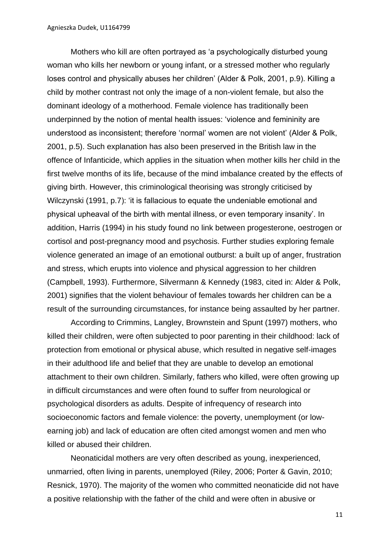Mothers who kill are often portrayed as 'a psychologically disturbed young woman who kills her newborn or young infant, or a stressed mother who regularly loses control and physically abuses her children' (Alder & Polk, 2001, p.9). Killing a child by mother contrast not only the image of a non-violent female, but also the dominant ideology of a motherhood. Female violence has traditionally been underpinned by the notion of mental health issues: 'violence and femininity are understood as inconsistent; therefore 'normal' women are not violent' (Alder & Polk, 2001, p.5). Such explanation has also been preserved in the British law in the offence of Infanticide, which applies in the situation when mother kills her child in the first twelve months of its life, because of the mind imbalance created by the effects of giving birth. However, this criminological theorising was strongly criticised by Wilczynski (1991, p.7): 'it is fallacious to equate the undeniable emotional and physical upheaval of the birth with mental illness, or even temporary insanity'. In addition, Harris (1994) in his study found no link between progesterone, oestrogen or cortisol and post-pregnancy mood and psychosis. Further studies exploring female violence generated an image of an emotional outburst: a built up of anger, frustration and stress, which erupts into violence and physical aggression to her children (Campbell, 1993). Furthermore, Silvermann & Kennedy (1983, cited in: Alder & Polk, 2001) signifies that the violent behaviour of females towards her children can be a result of the surrounding circumstances, for instance being assaulted by her partner.

According to Crimmins, Langley, Brownstein and Spunt (1997) mothers, who killed their children, were often subjected to poor parenting in their childhood: lack of protection from emotional or physical abuse, which resulted in negative self-images in their adulthood life and belief that they are unable to develop an emotional attachment to their own children. Similarly, fathers who killed, were often growing up in difficult circumstances and were often found to suffer from neurological or psychological disorders as adults. Despite of infrequency of research into socioeconomic factors and female violence: the poverty, unemployment (or lowearning job) and lack of education are often cited amongst women and men who killed or abused their children.

Neonaticidal mothers are very often described as young, inexperienced, unmarried, often living in parents, unemployed (Riley, 2006; Porter & Gavin, 2010; Resnick, 1970). The majority of the women who committed neonaticide did not have a positive relationship with the father of the child and were often in abusive or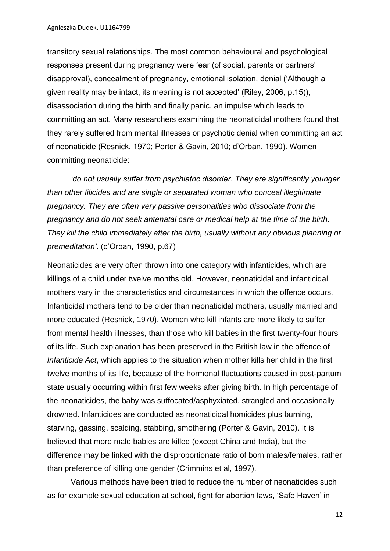Agnieszka Dudek, U1164799

transitory sexual relationships. The most common behavioural and psychological responses present during pregnancy were fear (of social, parents or partners' disapproval), concealment of pregnancy, emotional isolation, denial ('Although a given reality may be intact, its meaning is not accepted' (Riley, 2006, p.15)), disassociation during the birth and finally panic, an impulse which leads to committing an act. Many researchers examining the neonaticidal mothers found that they rarely suffered from mental illnesses or psychotic denial when committing an act of neonaticide (Resnick, 1970; Porter & Gavin, 2010; d'Orban, 1990). Women committing neonaticide:

*'do not usually suffer from psychiatric disorder. They are significantly younger than other filicides and are single or separated woman who conceal illegitimate pregnancy. They are often very passive personalities who dissociate from the pregnancy and do not seek antenatal care or medical help at the time of the birth. They kill the child immediately after the birth, usually without any obvious planning or premeditation'*. (d'Orban, 1990, p.67)

Neonaticides are very often thrown into one category with infanticides, which are killings of a child under twelve months old. However, neonaticidal and infanticidal mothers vary in the characteristics and circumstances in which the offence occurs. Infanticidal mothers tend to be older than neonaticidal mothers, usually married and more educated (Resnick, 1970). Women who kill infants are more likely to suffer from mental health illnesses, than those who kill babies in the first twenty-four hours of its life. Such explanation has been preserved in the British law in the offence of *Infanticide Act*, which applies to the situation when mother kills her child in the first twelve months of its life, because of the hormonal fluctuations caused in post-partum state usually occurring within first few weeks after giving birth. In high percentage of the neonaticides, the baby was suffocated/asphyxiated, strangled and occasionally drowned. Infanticides are conducted as neonaticidal homicides plus burning, starving, gassing, scalding, stabbing, smothering (Porter & Gavin, 2010). It is believed that more male babies are killed (except China and India), but the difference may be linked with the disproportionate ratio of born males/females, rather than preference of killing one gender (Crimmins et al, 1997).

Various methods have been tried to reduce the number of neonaticides such as for example sexual education at school, fight for abortion laws, 'Safe Haven' in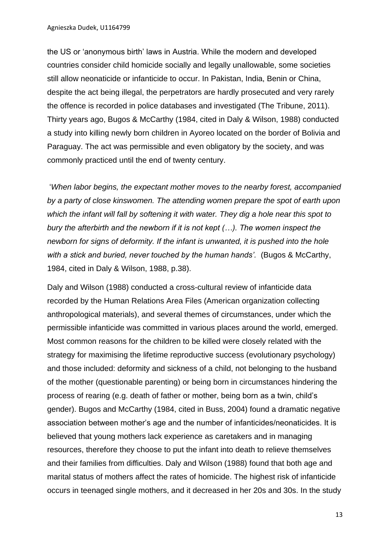the US or 'anonymous birth' laws in Austria. While the modern and developed countries consider child homicide socially and legally unallowable, some societies still allow neonaticide or infanticide to occur. In Pakistan, India, Benin or China, despite the act being illegal, the perpetrators are hardly prosecuted and very rarely the offence is recorded in police databases and investigated (The Tribune, 2011). Thirty years ago, Bugos & McCarthy (1984, cited in Daly & Wilson, 1988) conducted a study into killing newly born children in Ayoreo located on the border of Bolivia and Paraguay. The act was permissible and even obligatory by the society, and was commonly practiced until the end of twenty century.

'*When labor begins, the expectant mother moves to the nearby forest, accompanied by a party of close kinswomen. The attending women prepare the spot of earth upon which the infant will fall by softening it with water. They dig a hole near this spot to bury the afterbirth and the newborn if it is not kept (…). The women inspect the newborn for signs of deformity. If the infant is unwanted, it is pushed into the hole with a stick and buried, never touched by the human hands'.* (Bugos & McCarthy, 1984, cited in Daly & Wilson, 1988, p.38).

Daly and Wilson (1988) conducted a cross-cultural review of infanticide data recorded by the Human Relations Area Files (American organization collecting anthropological materials), and several themes of circumstances, under which the permissible infanticide was committed in various places around the world, emerged. Most common reasons for the children to be killed were closely related with the strategy for maximising the lifetime reproductive success (evolutionary psychology) and those included: deformity and sickness of a child, not belonging to the husband of the mother (questionable parenting) or being born in circumstances hindering the process of rearing (e.g. death of father or mother, being born as a twin, child's gender). Bugos and McCarthy (1984, cited in Buss, 2004) found a dramatic negative association between mother's age and the number of infanticides/neonaticides. It is believed that young mothers lack experience as caretakers and in managing resources, therefore they choose to put the infant into death to relieve themselves and their families from difficulties. Daly and Wilson (1988) found that both age and marital status of mothers affect the rates of homicide. The highest risk of infanticide occurs in teenaged single mothers, and it decreased in her 20s and 30s. In the study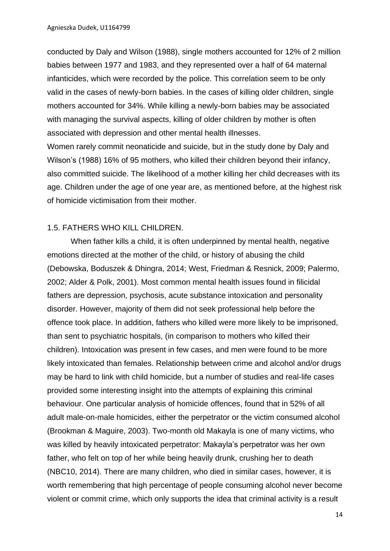conducted by Daly and Wilson (1988), single mothers accounted for 12% of 2 million babies between 1977 and 1983, and they represented over a half of 64 maternal infanticides, which were recorded by the police. This correlation seem to be only valid in the cases of newly-born babies. In the cases of killing older children, single mothers accounted for 34%. While killing a newly-born babies may be associated with managing the survival aspects, killing of older children by mother is often associated with depression and other mental health illnesses.

Women rarely commit neonaticide and suicide, but in the study done by Daly and Wilson's (1988) 16% of 95 mothers, who killed their children beyond their infancy, also committed suicide. The likelihood of a mother killing her child decreases with its age. Children under the age of one year are, as mentioned before, at the highest risk of homicide victimisation from their mother.

#### 1.5. FATHERS WHO KILL CHILDREN.

When father kills a child, it is often underpinned by mental health, negative emotions directed at the mother of the child, or history of abusing the child (Debowska, Boduszek & Dhingra, 2014; West, Friedman & Resnick, 2009; Palermo, 2002; Alder & Polk, 2001). Most common mental health issues found in filicidal fathers are depression, psychosis, acute substance intoxication and personality disorder. However, majority of them did not seek professional help before the offence took place. In addition, fathers who killed were more likely to be imprisoned, than sent to psychiatric hospitals, (in comparison to mothers who killed their children). Intoxication was present in few cases, and men were found to be more likely intoxicated than females. Relationship between crime and alcohol and/or drugs may be hard to link with child homicide, but a number of studies and real-life cases provided some interesting insight into the attempts of explaining this criminal behaviour. One particular analysis of homicide offences, found that in 52% of all adult male-on-male homicides, either the perpetrator or the victim consumed alcohol (Brookman & Maguire, 2003). Two-month old Makayla is one of many victims, who was killed by heavily intoxicated perpetrator: Makayla's perpetrator was her own father, who felt on top of her while being heavily drunk, crushing her to death (NBC10, 2014). There are many children, who died in similar cases, however, it is worth remembering that high percentage of people consuming alcohol never become violent or commit crime, which only supports the idea that criminal activity is a result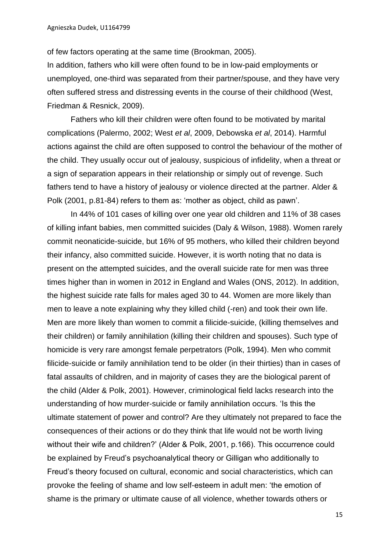of few factors operating at the same time (Brookman, 2005).

In addition, fathers who kill were often found to be in low-paid employments or unemployed, one-third was separated from their partner/spouse, and they have very often suffered stress and distressing events in the course of their childhood (West, Friedman & Resnick, 2009).

 Fathers who kill their children were often found to be motivated by marital complications (Palermo, 2002; West *et al*, 2009, Debowska *et al*, 2014). Harmful actions against the child are often supposed to control the behaviour of the mother of the child. They usually occur out of jealousy, suspicious of infidelity, when a threat or a sign of separation appears in their relationship or simply out of revenge. Such fathers tend to have a history of jealousy or violence directed at the partner. Alder & Polk (2001, p.81-84) refers to them as: 'mother as object, child as pawn'.

In 44% of 101 cases of killing over one year old children and 11% of 38 cases of killing infant babies, men committed suicides (Daly & Wilson, 1988). Women rarely commit neonaticide-suicide, but 16% of 95 mothers, who killed their children beyond their infancy, also committed suicide. However, it is worth noting that no data is present on the attempted suicides, and the overall suicide rate for men was three times higher than in women in 2012 in England and Wales (ONS, 2012). In addition, the highest suicide rate falls for males aged 30 to 44. Women are more likely than men to leave a note explaining why they killed child (-ren) and took their own life. Men are more likely than women to commit a filicide-suicide, (killing themselves and their children) or family annihilation (killing their children and spouses). Such type of homicide is very rare amongst female perpetrators (Polk, 1994). Men who commit filicide-suicide or family annihilation tend to be older (in their thirties) than in cases of fatal assaults of children, and in majority of cases they are the biological parent of the child (Alder & Polk, 2001). However, criminological field lacks research into the understanding of how murder-suicide or family annihilation occurs. 'Is this the ultimate statement of power and control? Are they ultimately not prepared to face the consequences of their actions or do they think that life would not be worth living without their wife and children?' (Alder & Polk, 2001, p.166). This occurrence could be explained by Freud's psychoanalytical theory or Gilligan who additionally to Freud's theory focused on cultural, economic and social characteristics, which can provoke the feeling of shame and low self-esteem in adult men: 'the emotion of shame is the primary or ultimate cause of all violence, whether towards others or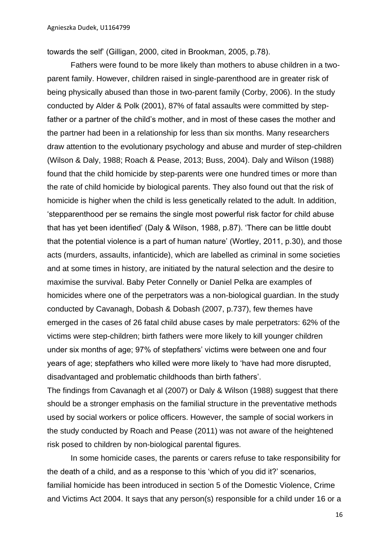towards the self' (Gilligan, 2000, cited in Brookman, 2005, p.78).

Fathers were found to be more likely than mothers to abuse children in a twoparent family. However, children raised in single-parenthood are in greater risk of being physically abused than those in two-parent family (Corby, 2006). In the study conducted by Alder & Polk (2001), 87% of fatal assaults were committed by stepfather or a partner of the child's mother, and in most of these cases the mother and the partner had been in a relationship for less than six months. Many researchers draw attention to the evolutionary psychology and abuse and murder of step-children (Wilson & Daly, 1988; Roach & Pease, 2013; Buss, 2004). Daly and Wilson (1988) found that the child homicide by step-parents were one hundred times or more than the rate of child homicide by biological parents. They also found out that the risk of homicide is higher when the child is less genetically related to the adult. In addition, 'stepparenthood per se remains the single most powerful risk factor for child abuse that has yet been identified' (Daly & Wilson, 1988, p.87). 'There can be little doubt that the potential violence is a part of human nature' (Wortley, 2011, p.30), and those acts (murders, assaults, infanticide), which are labelled as criminal in some societies and at some times in history, are initiated by the natural selection and the desire to maximise the survival. Baby Peter Connelly or Daniel Pelka are examples of homicides where one of the perpetrators was a non-biological guardian. In the study conducted by Cavanagh, Dobash & Dobash (2007, p.737), few themes have emerged in the cases of 26 fatal child abuse cases by male perpetrators: 62% of the victims were step-children; birth fathers were more likely to kill younger children under six months of age; 97% of stepfathers' victims were between one and four years of age; stepfathers who killed were more likely to 'have had more disrupted, disadvantaged and problematic childhoods than birth fathers'.

The findings from Cavanagh et al (2007) or Daly & Wilson (1988) suggest that there should be a stronger emphasis on the familial structure in the preventative methods used by social workers or police officers. However, the sample of social workers in the study conducted by Roach and Pease (2011) was not aware of the heightened risk posed to children by non-biological parental figures.

In some homicide cases, the parents or carers refuse to take responsibility for the death of a child, and as a response to this 'which of you did it?' scenarios, familial homicide has been introduced in section 5 of the Domestic Violence, Crime and Victims Act 2004. It says that any person(s) responsible for a child under 16 or a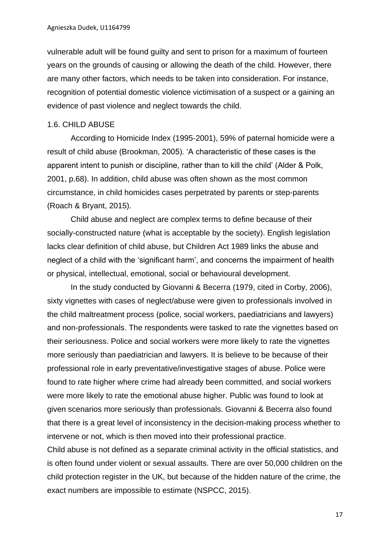vulnerable adult will be found guilty and sent to prison for a maximum of fourteen years on the grounds of causing or allowing the death of the child. However, there are many other factors, which needs to be taken into consideration. For instance, recognition of potential domestic violence victimisation of a suspect or a gaining an evidence of past violence and neglect towards the child.

#### 1.6. CHILD ABUSE

According to Homicide Index (1995-2001), 59% of paternal homicide were a result of child abuse (Brookman, 2005). 'A characteristic of these cases is the apparent intent to punish or discipline, rather than to kill the child' (Alder & Polk, 2001, p.68). In addition, child abuse was often shown as the most common circumstance, in child homicides cases perpetrated by parents or step-parents (Roach & Bryant, 2015).

Child abuse and neglect are complex terms to define because of their socially-constructed nature (what is acceptable by the society). English legislation lacks clear definition of child abuse, but Children Act 1989 links the abuse and neglect of a child with the 'significant harm', and concerns the impairment of health or physical, intellectual, emotional, social or behavioural development.

In the study conducted by Giovanni & Becerra (1979, cited in Corby, 2006), sixty vignettes with cases of neglect/abuse were given to professionals involved in the child maltreatment process (police, social workers, paediatricians and lawyers) and non-professionals. The respondents were tasked to rate the vignettes based on their seriousness. Police and social workers were more likely to rate the vignettes more seriously than paediatrician and lawyers. It is believe to be because of their professional role in early preventative/investigative stages of abuse. Police were found to rate higher where crime had already been committed, and social workers were more likely to rate the emotional abuse higher. Public was found to look at given scenarios more seriously than professionals. Giovanni & Becerra also found that there is a great level of inconsistency in the decision-making process whether to intervene or not, which is then moved into their professional practice.

Child abuse is not defined as a separate criminal activity in the official statistics, and is often found under violent or sexual assaults. There are over 50,000 children on the child protection register in the UK, but because of the hidden nature of the crime, the exact numbers are impossible to estimate (NSPCC, 2015).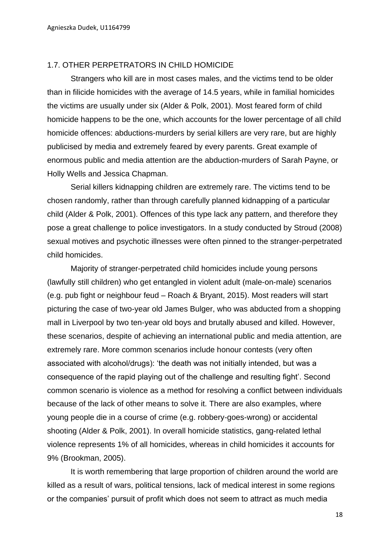#### 1.7. OTHER PERPETRATORS IN CHILD HOMICIDE

Strangers who kill are in most cases males, and the victims tend to be older than in filicide homicides with the average of 14.5 years, while in familial homicides the victims are usually under six (Alder & Polk, 2001). Most feared form of child homicide happens to be the one, which accounts for the lower percentage of all child homicide offences: abductions-murders by serial killers are very rare, but are highly publicised by media and extremely feared by every parents. Great example of enormous public and media attention are the abduction-murders of Sarah Payne, or Holly Wells and Jessica Chapman.

Serial killers kidnapping children are extremely rare. The victims tend to be chosen randomly, rather than through carefully planned kidnapping of a particular child (Alder & Polk, 2001). Offences of this type lack any pattern, and therefore they pose a great challenge to police investigators. In a study conducted by Stroud (2008) sexual motives and psychotic illnesses were often pinned to the stranger-perpetrated child homicides.

Majority of stranger-perpetrated child homicides include young persons (lawfully still children) who get entangled in violent adult (male-on-male) scenarios (e.g. pub fight or neighbour feud – Roach & Bryant, 2015). Most readers will start picturing the case of two-year old James Bulger, who was abducted from a shopping mall in Liverpool by two ten-year old boys and brutally abused and killed. However, these scenarios, despite of achieving an international public and media attention, are extremely rare. More common scenarios include honour contests (very often associated with alcohol/drugs): 'the death was not initially intended, but was a consequence of the rapid playing out of the challenge and resulting fight'. Second common scenario is violence as a method for resolving a conflict between individuals because of the lack of other means to solve it. There are also examples, where young people die in a course of crime (e.g. robbery-goes-wrong) or accidental shooting (Alder & Polk, 2001). In overall homicide statistics, gang-related lethal violence represents 1% of all homicides, whereas in child homicides it accounts for 9% (Brookman, 2005).

It is worth remembering that large proportion of children around the world are killed as a result of wars, political tensions, lack of medical interest in some regions or the companies' pursuit of profit which does not seem to attract as much media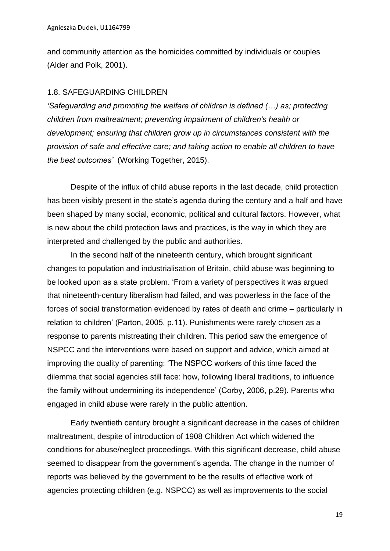and community attention as the homicides committed by individuals or couples (Alder and Polk, 2001).

#### 1.8. SAFEGUARDING CHILDREN

*'Safeguarding and promoting the welfare of children is defined (…) as; protecting children from maltreatment; preventing impairment of children's health or development; ensuring that children grow up in circumstances consistent with the provision of safe and effective care; and taking action to enable all children to have the best outcomes'* (Working Together, 2015).

Despite of the influx of child abuse reports in the last decade, child protection has been visibly present in the state's agenda during the century and a half and have been shaped by many social, economic, political and cultural factors. However, what is new about the child protection laws and practices, is the way in which they are interpreted and challenged by the public and authorities.

In the second half of the nineteenth century, which brought significant changes to population and industrialisation of Britain, child abuse was beginning to be looked upon as a state problem. 'From a variety of perspectives it was argued that nineteenth-century liberalism had failed, and was powerless in the face of the forces of social transformation evidenced by rates of death and crime – particularly in relation to children' (Parton, 2005, p.11). Punishments were rarely chosen as a response to parents mistreating their children. This period saw the emergence of NSPCC and the interventions were based on support and advice, which aimed at improving the quality of parenting: 'The NSPCC workers of this time faced the dilemma that social agencies still face: how, following liberal traditions, to influence the family without undermining its independence' (Corby, 2006, p.29). Parents who engaged in child abuse were rarely in the public attention.

Early twentieth century brought a significant decrease in the cases of children maltreatment, despite of introduction of 1908 Children Act which widened the conditions for abuse/neglect proceedings. With this significant decrease, child abuse seemed to disappear from the government's agenda. The change in the number of reports was believed by the government to be the results of effective work of agencies protecting children (e.g. NSPCC) as well as improvements to the social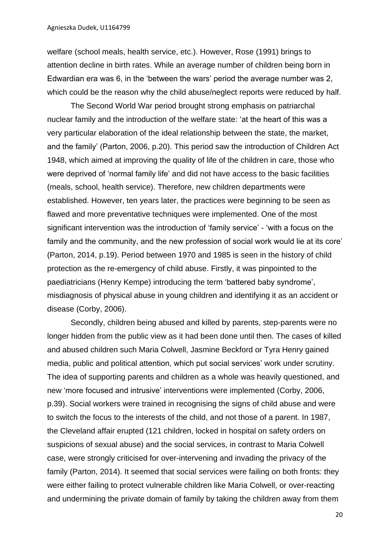welfare (school meals, health service, etc.). However, Rose (1991) brings to attention decline in birth rates. While an average number of children being born in Edwardian era was 6, in the 'between the wars' period the average number was 2, which could be the reason why the child abuse/neglect reports were reduced by half.

The Second World War period brought strong emphasis on patriarchal nuclear family and the introduction of the welfare state: 'at the heart of this was a very particular elaboration of the ideal relationship between the state, the market, and the family' (Parton, 2006, p.20). This period saw the introduction of Children Act 1948, which aimed at improving the quality of life of the children in care, those who were deprived of 'normal family life' and did not have access to the basic facilities (meals, school, health service). Therefore, new children departments were established. However, ten years later, the practices were beginning to be seen as flawed and more preventative techniques were implemented. One of the most significant intervention was the introduction of 'family service' - 'with a focus on the family and the community, and the new profession of social work would lie at its core' (Parton, 2014, p.19). Period between 1970 and 1985 is seen in the history of child protection as the re-emergency of child abuse. Firstly, it was pinpointed to the paediatricians (Henry Kempe) introducing the term 'battered baby syndrome', misdiagnosis of physical abuse in young children and identifying it as an accident or disease (Corby, 2006).

Secondly, children being abused and killed by parents, step-parents were no longer hidden from the public view as it had been done until then. The cases of killed and abused children such Maria Colwell, Jasmine Beckford or Tyra Henry gained media, public and political attention, which put social services' work under scrutiny. The idea of supporting parents and children as a whole was heavily questioned, and new 'more focused and intrusive' interventions were implemented (Corby, 2006, p.39). Social workers were trained in recognising the signs of child abuse and were to switch the focus to the interests of the child, and not those of a parent. In 1987, the Cleveland affair erupted (121 children, locked in hospital on safety orders on suspicions of sexual abuse) and the social services, in contrast to Maria Colwell case, were strongly criticised for over-intervening and invading the privacy of the family (Parton, 2014). It seemed that social services were failing on both fronts: they were either failing to protect vulnerable children like Maria Colwell, or over-reacting and undermining the private domain of family by taking the children away from them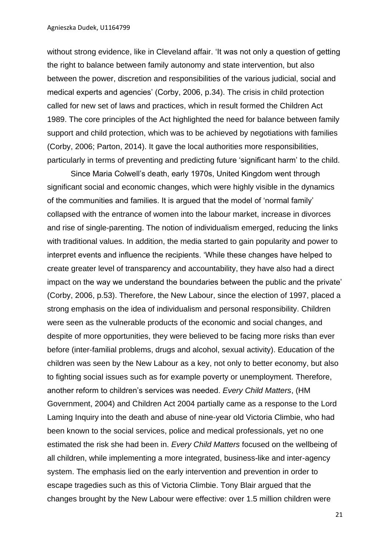without strong evidence, like in Cleveland affair. 'It was not only a question of getting the right to balance between family autonomy and state intervention, but also between the power, discretion and responsibilities of the various judicial, social and medical experts and agencies' (Corby, 2006, p.34). The crisis in child protection called for new set of laws and practices, which in result formed the Children Act 1989. The core principles of the Act highlighted the need for balance between family support and child protection, which was to be achieved by negotiations with families (Corby, 2006; Parton, 2014). It gave the local authorities more responsibilities, particularly in terms of preventing and predicting future 'significant harm' to the child.

Since Maria Colwell's death, early 1970s, United Kingdom went through significant social and economic changes, which were highly visible in the dynamics of the communities and families. It is argued that the model of 'normal family' collapsed with the entrance of women into the labour market, increase in divorces and rise of single-parenting. The notion of individualism emerged, reducing the links with traditional values. In addition, the media started to gain popularity and power to interpret events and influence the recipients. 'While these changes have helped to create greater level of transparency and accountability, they have also had a direct impact on the way we understand the boundaries between the public and the private' (Corby, 2006, p.53). Therefore, the New Labour, since the election of 1997, placed a strong emphasis on the idea of individualism and personal responsibility. Children were seen as the vulnerable products of the economic and social changes, and despite of more opportunities, they were believed to be facing more risks than ever before (inter-familial problems, drugs and alcohol, sexual activity). Education of the children was seen by the New Labour as a key, not only to better economy, but also to fighting social issues such as for example poverty or unemployment. Therefore, another reform to children's services was needed. *Every Child Matters*, (HM Government, 2004) and Children Act 2004 partially came as a response to the Lord Laming Inquiry into the death and abuse of nine-year old Victoria Climbie, who had been known to the social services, police and medical professionals, yet no one estimated the risk she had been in. *Every Child Matters* focused on the wellbeing of all children, while implementing a more integrated, business-like and inter-agency system. The emphasis lied on the early intervention and prevention in order to escape tragedies such as this of Victoria Climbie. Tony Blair argued that the changes brought by the New Labour were effective: over 1.5 million children were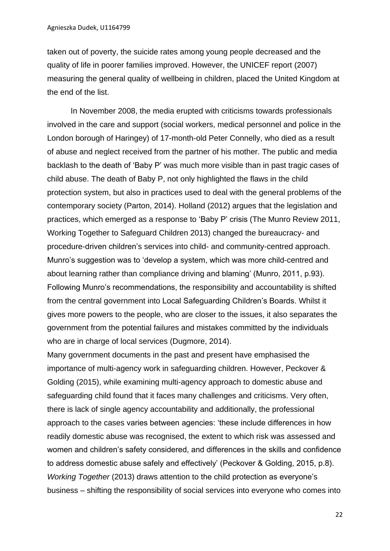taken out of poverty, the suicide rates among young people decreased and the quality of life in poorer families improved. However, the UNICEF report (2007) measuring the general quality of wellbeing in children, placed the United Kingdom at the end of the list.

In November 2008, the media erupted with criticisms towards professionals involved in the care and support (social workers, medical personnel and police in the London borough of Haringey) of 17-month-old Peter Connelly, who died as a result of abuse and neglect received from the partner of his mother. The public and media backlash to the death of 'Baby P' was much more visible than in past tragic cases of child abuse. The death of Baby P, not only highlighted the flaws in the child protection system, but also in practices used to deal with the general problems of the contemporary society (Parton, 2014). Holland (2012) argues that the legislation and practices, which emerged as a response to 'Baby P' crisis (The Munro Review 2011, Working Together to Safeguard Children 2013) changed the bureaucracy- and procedure-driven children's services into child- and community-centred approach. Munro's suggestion was to 'develop a system, which was more child-centred and about learning rather than compliance driving and blaming' (Munro, 2011, p.93). Following Munro's recommendations, the responsibility and accountability is shifted from the central government into Local Safeguarding Children's Boards. Whilst it gives more powers to the people, who are closer to the issues, it also separates the government from the potential failures and mistakes committed by the individuals who are in charge of local services (Dugmore, 2014).

Many government documents in the past and present have emphasised the importance of multi-agency work in safeguarding children. However, Peckover & Golding (2015), while examining multi-agency approach to domestic abuse and safeguarding child found that it faces many challenges and criticisms. Very often, there is lack of single agency accountability and additionally, the professional approach to the cases varies between agencies: 'these include differences in how readily domestic abuse was recognised, the extent to which risk was assessed and women and children's safety considered, and differences in the skills and confidence to address domestic abuse safely and effectively' (Peckover & Golding, 2015, p.8). *Working Together* (2013) draws attention to the child protection as everyone's business – shifting the responsibility of social services into everyone who comes into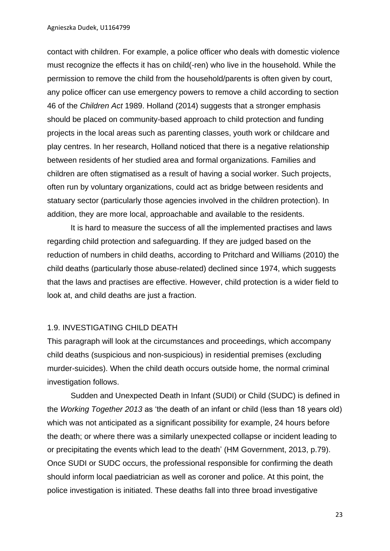contact with children. For example, a police officer who deals with domestic violence must recognize the effects it has on child(-ren) who live in the household. While the permission to remove the child from the household/parents is often given by court, any police officer can use emergency powers to remove a child according to section 46 of the *Children Act* 1989. Holland (2014) suggests that a stronger emphasis should be placed on community-based approach to child protection and funding projects in the local areas such as parenting classes, youth work or childcare and play centres. In her research, Holland noticed that there is a negative relationship between residents of her studied area and formal organizations. Families and children are often stigmatised as a result of having a social worker. Such projects, often run by voluntary organizations, could act as bridge between residents and statuary sector (particularly those agencies involved in the children protection). In addition, they are more local, approachable and available to the residents.

It is hard to measure the success of all the implemented practises and laws regarding child protection and safeguarding. If they are judged based on the reduction of numbers in child deaths, according to Pritchard and Williams (2010) the child deaths (particularly those abuse-related) declined since 1974, which suggests that the laws and practises are effective. However, child protection is a wider field to look at, and child deaths are just a fraction.

#### 1.9. INVESTIGATING CHILD DEATH

This paragraph will look at the circumstances and proceedings, which accompany child deaths (suspicious and non-suspicious) in residential premises (excluding murder-suicides). When the child death occurs outside home, the normal criminal investigation follows.

Sudden and Unexpected Death in Infant (SUDI) or Child (SUDC) is defined in the *Working Together 2013* as 'the death of an infant or child (less than 18 years old) which was not anticipated as a significant possibility for example, 24 hours before the death; or where there was a similarly unexpected collapse or incident leading to or precipitating the events which lead to the death' (HM Government, 2013, p.79). Once SUDI or SUDC occurs, the professional responsible for confirming the death should inform local paediatrician as well as coroner and police. At this point, the police investigation is initiated. These deaths fall into three broad investigative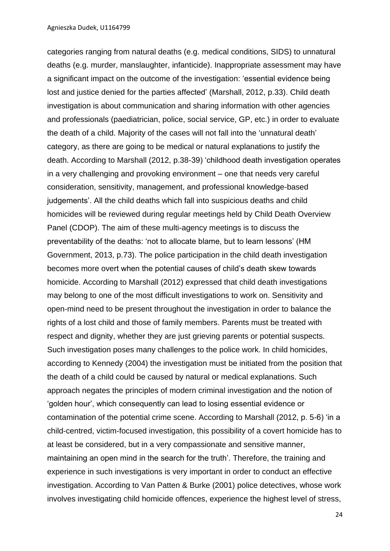categories ranging from natural deaths (e.g. medical conditions, SIDS) to unnatural deaths (e.g. murder, manslaughter, infanticide). Inappropriate assessment may have a significant impact on the outcome of the investigation: 'essential evidence being lost and justice denied for the parties affected' (Marshall, 2012, p.33). Child death investigation is about communication and sharing information with other agencies and professionals (paediatrician, police, social service, GP, etc.) in order to evaluate the death of a child. Majority of the cases will not fall into the 'unnatural death' category, as there are going to be medical or natural explanations to justify the death. According to Marshall (2012, p.38-39) 'childhood death investigation operates in a very challenging and provoking environment – one that needs very careful consideration, sensitivity, management, and professional knowledge-based judgements'. All the child deaths which fall into suspicious deaths and child homicides will be reviewed during regular meetings held by Child Death Overview Panel (CDOP). The aim of these multi-agency meetings is to discuss the preventability of the deaths: 'not to allocate blame, but to learn lessons' (HM Government, 2013, p.73). The police participation in the child death investigation becomes more overt when the potential causes of child's death skew towards homicide. According to Marshall (2012) expressed that child death investigations may belong to one of the most difficult investigations to work on. Sensitivity and open-mind need to be present throughout the investigation in order to balance the rights of a lost child and those of family members. Parents must be treated with respect and dignity, whether they are just grieving parents or potential suspects. Such investigation poses many challenges to the police work. In child homicides, according to Kennedy (2004) the investigation must be initiated from the position that the death of a child could be caused by natural or medical explanations. Such approach negates the principles of modern criminal investigation and the notion of 'golden hour', which consequently can lead to losing essential evidence or contamination of the potential crime scene. According to Marshall (2012, p. 5-6) 'in a child-centred, victim-focused investigation, this possibility of a covert homicide has to at least be considered, but in a very compassionate and sensitive manner, maintaining an open mind in the search for the truth'. Therefore, the training and experience in such investigations is very important in order to conduct an effective investigation. According to Van Patten & Burke (2001) police detectives, whose work involves investigating child homicide offences, experience the highest level of stress,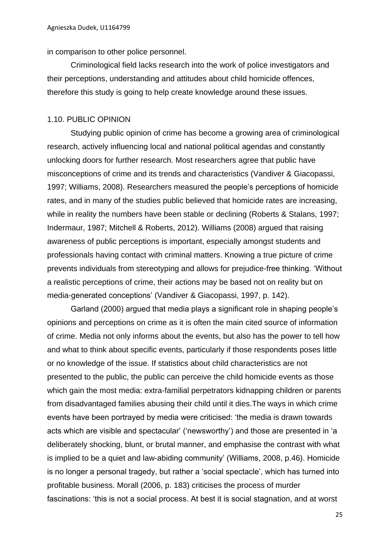in comparison to other police personnel.

Criminological field lacks research into the work of police investigators and their perceptions, understanding and attitudes about child homicide offences, therefore this study is going to help create knowledge around these issues.

#### 1.10. PUBLIC OPINION

Studying public opinion of crime has become a growing area of criminological research, actively influencing local and national political agendas and constantly unlocking doors for further research. Most researchers agree that public have misconceptions of crime and its trends and characteristics (Vandiver & Giacopassi, 1997; Williams, 2008). Researchers measured the people's perceptions of homicide rates, and in many of the studies public believed that homicide rates are increasing, while in reality the numbers have been stable or declining (Roberts & Stalans, 1997; Indermaur, 1987; Mitchell & Roberts, 2012). Williams (2008) argued that raising awareness of public perceptions is important, especially amongst students and professionals having contact with criminal matters. Knowing a true picture of crime prevents individuals from stereotyping and allows for prejudice-free thinking. 'Without a realistic perceptions of crime, their actions may be based not on reality but on media-generated conceptions' (Vandiver & Giacopassi, 1997, p. 142).

Garland (2000) argued that media plays a significant role in shaping people's opinions and perceptions on crime as it is often the main cited source of information of crime. Media not only informs about the events, but also has the power to tell how and what to think about specific events, particularly if those respondents poses little or no knowledge of the issue. If statistics about child characteristics are not presented to the public, the public can perceive the child homicide events as those which gain the most media: extra-familial perpetrators kidnapping children or parents from disadvantaged families abusing their child until it dies.The ways in which crime events have been portrayed by media were criticised: 'the media is drawn towards acts which are visible and spectacular' ('newsworthy') and those are presented in 'a deliberately shocking, blunt, or brutal manner, and emphasise the contrast with what is implied to be a quiet and law-abiding community' (Williams, 2008, p.46). Homicide is no longer a personal tragedy, but rather a 'social spectacle', which has turned into profitable business. Morall (2006, p. 183) criticises the process of murder fascinations: 'this is not a social process. At best it is social stagnation, and at worst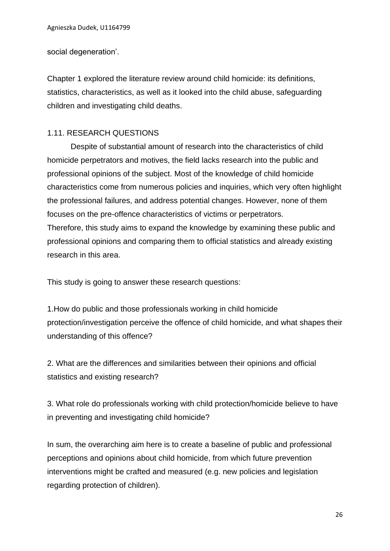social degeneration'.

Chapter 1 explored the literature review around child homicide: its definitions, statistics, characteristics, as well as it looked into the child abuse, safeguarding children and investigating child deaths.

#### 1.11. RESEARCH QUESTIONS

Despite of substantial amount of research into the characteristics of child homicide perpetrators and motives, the field lacks research into the public and professional opinions of the subject. Most of the knowledge of child homicide characteristics come from numerous policies and inquiries, which very often highlight the professional failures, and address potential changes. However, none of them focuses on the pre-offence characteristics of victims or perpetrators. Therefore, this study aims to expand the knowledge by examining these public and professional opinions and comparing them to official statistics and already existing research in this area.

This study is going to answer these research questions:

1.How do public and those professionals working in child homicide protection/investigation perceive the offence of child homicide, and what shapes their understanding of this offence?

2. What are the differences and similarities between their opinions and official statistics and existing research?

3. What role do professionals working with child protection/homicide believe to have in preventing and investigating child homicide?

In sum, the overarching aim here is to create a baseline of public and professional perceptions and opinions about child homicide, from which future prevention interventions might be crafted and measured (e.g. new policies and legislation regarding protection of children).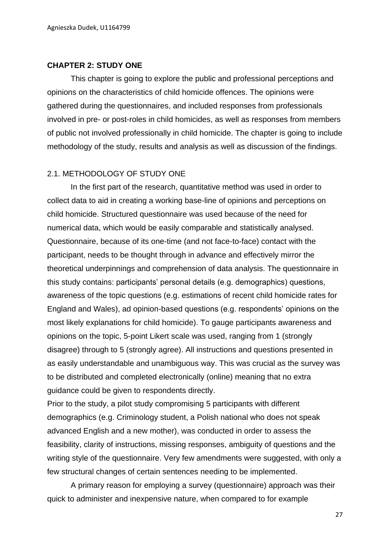#### **CHAPTER 2: STUDY ONE**

This chapter is going to explore the public and professional perceptions and opinions on the characteristics of child homicide offences. The opinions were gathered during the questionnaires, and included responses from professionals involved in pre- or post-roles in child homicides, as well as responses from members of public not involved professionally in child homicide. The chapter is going to include methodology of the study, results and analysis as well as discussion of the findings.

#### 2.1. METHODOLOGY OF STUDY ONE

In the first part of the research, quantitative method was used in order to collect data to aid in creating a working base-line of opinions and perceptions on child homicide. Structured questionnaire was used because of the need for numerical data, which would be easily comparable and statistically analysed. Questionnaire, because of its one-time (and not face-to-face) contact with the participant, needs to be thought through in advance and effectively mirror the theoretical underpinnings and comprehension of data analysis. The questionnaire in this study contains: participants' personal details (e.g. demographics) questions, awareness of the topic questions (e.g. estimations of recent child homicide rates for England and Wales), ad opinion-based questions (e.g. respondents' opinions on the most likely explanations for child homicide). To gauge participants awareness and opinions on the topic, 5-point Likert scale was used, ranging from 1 (strongly disagree) through to 5 (strongly agree). All instructions and questions presented in as easily understandable and unambiguous way. This was crucial as the survey was to be distributed and completed electronically (online) meaning that no extra guidance could be given to respondents directly.

Prior to the study, a pilot study compromising 5 participants with different demographics (e.g. Criminology student, a Polish national who does not speak advanced English and a new mother), was conducted in order to assess the feasibility, clarity of instructions, missing responses, ambiguity of questions and the writing style of the questionnaire. Very few amendments were suggested, with only a few structural changes of certain sentences needing to be implemented.

A primary reason for employing a survey (questionnaire) approach was their quick to administer and inexpensive nature, when compared to for example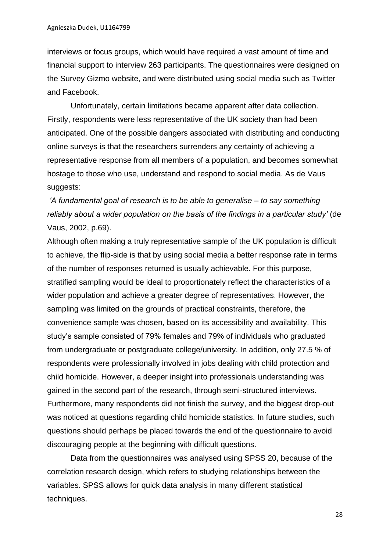interviews or focus groups, which would have required a vast amount of time and financial support to interview 263 participants. The questionnaires were designed on the Survey Gizmo website, and were distributed using social media such as Twitter and Facebook.

Unfortunately, certain limitations became apparent after data collection. Firstly, respondents were less representative of the UK society than had been anticipated. One of the possible dangers associated with distributing and conducting online surveys is that the researchers surrenders any certainty of achieving a representative response from all members of a population, and becomes somewhat hostage to those who use, understand and respond to social media. As de Vaus suggests:

# *'A fundamental goal of research is to be able to generalise – to say something reliably about a wider population on the basis of the findings in a particular study'* (de Vaus, 2002, p.69).

Although often making a truly representative sample of the UK population is difficult to achieve, the flip-side is that by using social media a better response rate in terms of the number of responses returned is usually achievable. For this purpose, stratified sampling would be ideal to proportionately reflect the characteristics of a wider population and achieve a greater degree of representatives. However, the sampling was limited on the grounds of practical constraints, therefore, the convenience sample was chosen, based on its accessibility and availability. This study's sample consisted of 79% females and 79% of individuals who graduated from undergraduate or postgraduate college/university. In addition, only 27.5 % of respondents were professionally involved in jobs dealing with child protection and child homicide. However, a deeper insight into professionals understanding was gained in the second part of the research, through semi-structured interviews. Furthermore, many respondents did not finish the survey, and the biggest drop-out was noticed at questions regarding child homicide statistics. In future studies, such questions should perhaps be placed towards the end of the questionnaire to avoid discouraging people at the beginning with difficult questions.

Data from the questionnaires was analysed using SPSS 20, because of the correlation research design, which refers to studying relationships between the variables. SPSS allows for quick data analysis in many different statistical techniques.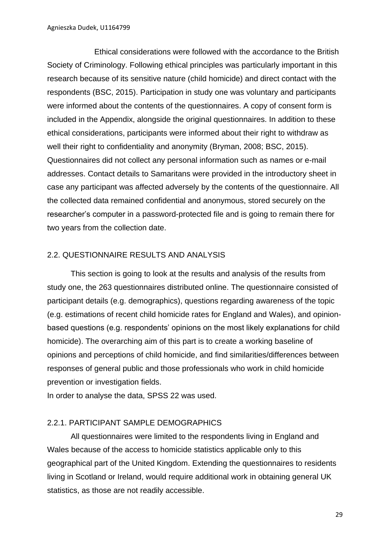Ethical considerations were followed with the accordance to the British Society of Criminology. Following ethical principles was particularly important in this research because of its sensitive nature (child homicide) and direct contact with the respondents (BSC, 2015). Participation in study one was voluntary and participants were informed about the contents of the questionnaires. A copy of consent form is included in the Appendix, alongside the original questionnaires. In addition to these ethical considerations, participants were informed about their right to withdraw as well their right to confidentiality and anonymity (Bryman, 2008; BSC, 2015). Questionnaires did not collect any personal information such as names or e-mail addresses. Contact details to Samaritans were provided in the introductory sheet in case any participant was affected adversely by the contents of the questionnaire. All the collected data remained confidential and anonymous, stored securely on the researcher's computer in a password-protected file and is going to remain there for two years from the collection date.

#### 2.2. QUESTIONNAIRE RESULTS AND ANALYSIS

This section is going to look at the results and analysis of the results from study one, the 263 questionnaires distributed online. The questionnaire consisted of participant details (e.g. demographics), questions regarding awareness of the topic (e.g. estimations of recent child homicide rates for England and Wales), and opinionbased questions (e.g. respondents' opinions on the most likely explanations for child homicide). The overarching aim of this part is to create a working baseline of opinions and perceptions of child homicide, and find similarities/differences between responses of general public and those professionals who work in child homicide prevention or investigation fields.

In order to analyse the data, SPSS 22 was used.

#### 2.2.1. PARTICIPANT SAMPLE DEMOGRAPHICS

All questionnaires were limited to the respondents living in England and Wales because of the access to homicide statistics applicable only to this geographical part of the United Kingdom. Extending the questionnaires to residents living in Scotland or Ireland, would require additional work in obtaining general UK statistics, as those are not readily accessible.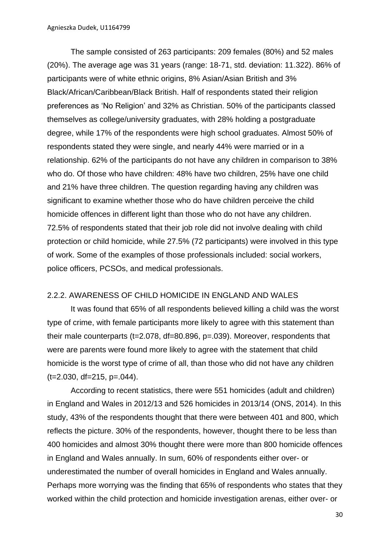The sample consisted of 263 participants: 209 females (80%) and 52 males (20%). The average age was 31 years (range: 18-71, std. deviation: 11.322). 86% of participants were of white ethnic origins, 8% Asian/Asian British and 3% Black/African/Caribbean/Black British. Half of respondents stated their religion preferences as 'No Religion' and 32% as Christian. 50% of the participants classed themselves as college/university graduates, with 28% holding a postgraduate degree, while 17% of the respondents were high school graduates. Almost 50% of respondents stated they were single, and nearly 44% were married or in a relationship. 62% of the participants do not have any children in comparison to 38% who do. Of those who have children: 48% have two children, 25% have one child and 21% have three children. The question regarding having any children was significant to examine whether those who do have children perceive the child homicide offences in different light than those who do not have any children. 72.5% of respondents stated that their job role did not involve dealing with child protection or child homicide, while 27.5% (72 participants) were involved in this type of work. Some of the examples of those professionals included: social workers, police officers, PCSOs, and medical professionals.

#### 2.2.2. AWARENESS OF CHILD HOMICIDE IN ENGLAND AND WALES

It was found that 65% of all respondents believed killing a child was the worst type of crime, with female participants more likely to agree with this statement than their male counterparts (t=2.078, df=80.896, p=.039). Moreover, respondents that were are parents were found more likely to agree with the statement that child homicide is the worst type of crime of all, than those who did not have any children  $(t=2.030, df=215, p=.044)$ .

According to recent statistics, there were 551 homicides (adult and children) in England and Wales in 2012/13 and 526 homicides in 2013/14 (ONS, 2014). In this study, 43% of the respondents thought that there were between 401 and 800, which reflects the picture. 30% of the respondents, however, thought there to be less than 400 homicides and almost 30% thought there were more than 800 homicide offences in England and Wales annually. In sum, 60% of respondents either over- or underestimated the number of overall homicides in England and Wales annually. Perhaps more worrying was the finding that 65% of respondents who states that they worked within the child protection and homicide investigation arenas, either over- or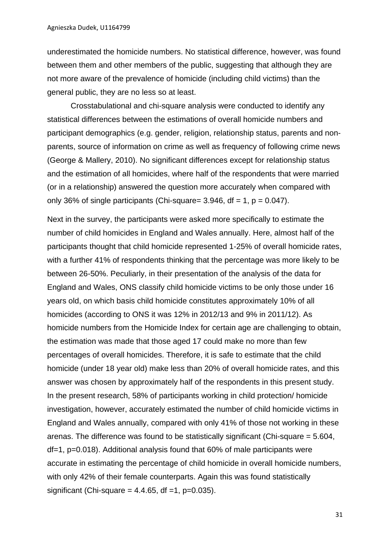underestimated the homicide numbers. No statistical difference, however, was found between them and other members of the public, suggesting that although they are not more aware of the prevalence of homicide (including child victims) than the general public, they are no less so at least.

Crosstabulational and chi-square analysis were conducted to identify any statistical differences between the estimations of overall homicide numbers and participant demographics (e.g. gender, religion, relationship status, parents and nonparents, source of information on crime as well as frequency of following crime news (George & Mallery, 2010). No significant differences except for relationship status and the estimation of all homicides, where half of the respondents that were married (or in a relationship) answered the question more accurately when compared with only 36% of single participants (Chi-square= 3.946,  $df = 1$ ,  $p = 0.047$ ).

Next in the survey, the participants were asked more specifically to estimate the number of child homicides in England and Wales annually. Here, almost half of the participants thought that child homicide represented 1-25% of overall homicide rates, with a further 41% of respondents thinking that the percentage was more likely to be between 26-50%. Peculiarly, in their presentation of the analysis of the data for England and Wales, ONS classify child homicide victims to be only those under 16 years old, on which basis child homicide constitutes approximately 10% of all homicides (according to ONS it was 12% in 2012/13 and 9% in 2011/12). As homicide numbers from the Homicide Index for certain age are challenging to obtain, the estimation was made that those aged 17 could make no more than few percentages of overall homicides. Therefore, it is safe to estimate that the child homicide (under 18 year old) make less than 20% of overall homicide rates, and this answer was chosen by approximately half of the respondents in this present study. In the present research, 58% of participants working in child protection/ homicide investigation, however, accurately estimated the number of child homicide victims in England and Wales annually, compared with only 41% of those not working in these arenas. The difference was found to be statistically significant (Chi-square = 5.604, df=1, p=0.018). Additional analysis found that 60% of male participants were accurate in estimating the percentage of child homicide in overall homicide numbers, with only 42% of their female counterparts. Again this was found statistically significant (Chi-square =  $4.4.65$ , df = 1, p= $0.035$ ).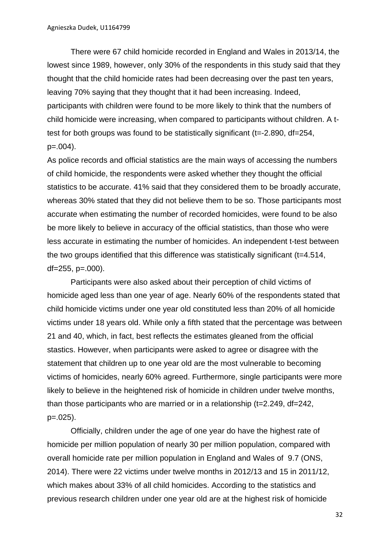There were 67 child homicide recorded in England and Wales in 2013/14, the lowest since 1989, however, only 30% of the respondents in this study said that they thought that the child homicide rates had been decreasing over the past ten years, leaving 70% saying that they thought that it had been increasing. Indeed, participants with children were found to be more likely to think that the numbers of child homicide were increasing, when compared to participants without children. A ttest for both groups was found to be statistically significant (t=-2.890, df=254, p=.004).

As police records and official statistics are the main ways of accessing the numbers of child homicide, the respondents were asked whether they thought the official statistics to be accurate. 41% said that they considered them to be broadly accurate, whereas 30% stated that they did not believe them to be so. Those participants most accurate when estimating the number of recorded homicides, were found to be also be more likely to believe in accuracy of the official statistics, than those who were less accurate in estimating the number of homicides. An independent t-test between the two groups identified that this difference was statistically significant (t=4.514,  $df = 255$ ,  $p = .000$ ).

Participants were also asked about their perception of child victims of homicide aged less than one year of age. Nearly 60% of the respondents stated that child homicide victims under one year old constituted less than 20% of all homicide victims under 18 years old. While only a fifth stated that the percentage was between 21 and 40, which, in fact, best reflects the estimates gleaned from the official stastics. However, when participants were asked to agree or disagree with the statement that children up to one year old are the most vulnerable to becoming victims of homicides, nearly 60% agreed. Furthermore, single participants were more likely to believe in the heightened risk of homicide in children under twelve months, than those participants who are married or in a relationship (t=2.249, df=242, p=.025).

Officially, children under the age of one year do have the highest rate of homicide per million population of nearly 30 per million population, compared with overall homicide rate per million population in England and Wales of 9.7 (ONS, 2014). There were 22 victims under twelve months in 2012/13 and 15 in 2011/12, which makes about 33% of all child homicides. According to the statistics and previous research children under one year old are at the highest risk of homicide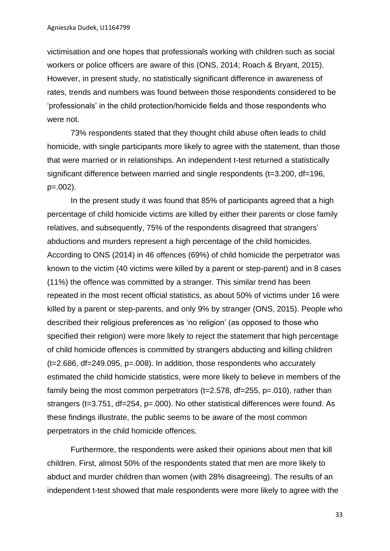victimisation and one hopes that professionals working with children such as social workers or police officers are aware of this (ONS, 2014; Roach & Bryant, 2015). However, in present study, no statistically significant difference in awareness of rates, trends and numbers was found between those respondents considered to be 'professionals' in the child protection/homicide fields and those respondents who were not.

73% respondents stated that they thought child abuse often leads to child homicide, with single participants more likely to agree with the statement, than those that were married or in relationships. An independent t-test returned a statistically significant difference between married and single respondents (t=3.200, df=196, p=.002).

In the present study it was found that 85% of participants agreed that a high percentage of child homicide victims are killed by either their parents or close family relatives, and subsequently, 75% of the respondents disagreed that strangers' abductions and murders represent a high percentage of the child homicides. According to ONS (2014) in 46 offences (69%) of child homicide the perpetrator was known to the victim (40 victims were killed by a parent or step-parent) and in 8 cases (11%) the offence was committed by a stranger. This similar trend has been repeated in the most recent official statistics, as about 50% of victims under 16 were killed by a parent or step-parents, and only 9% by stranger (ONS, 2015). People who described their religious preferences as 'no religion' (as opposed to those who specified their religion) were more likely to reject the statement that high percentage of child homicide offences is committed by strangers abducting and killing children (t=2.686, df=249.095, p=.008). In addition, those respondents who accurately estimated the child homicide statistics, were more likely to believe in members of the family being the most common perpetrators (t=2.578, df=255, p=.010), rather than strangers (t=3.751, df=254, p=.000). No other statistical differences were found. As these findings illustrate, the public seems to be aware of the most common perpetrators in the child homicide offences.

Furthermore, the respondents were asked their opinions about men that kill children. First, almost 50% of the respondents stated that men are more likely to abduct and murder children than women (with 28% disagreeing). The results of an independent t-test showed that male respondents were more likely to agree with the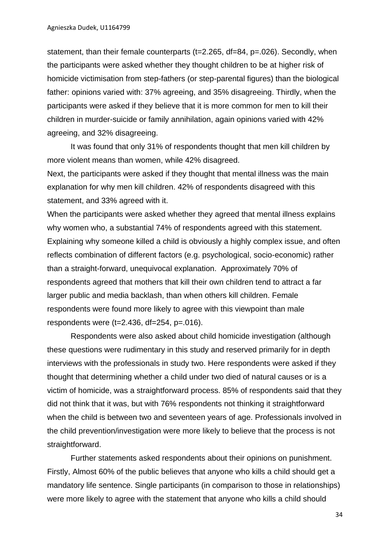statement, than their female counterparts (t=2.265, df=84, p=.026). Secondly, when the participants were asked whether they thought children to be at higher risk of homicide victimisation from step-fathers (or step-parental figures) than the biological father: opinions varied with: 37% agreeing, and 35% disagreeing. Thirdly, when the participants were asked if they believe that it is more common for men to kill their children in murder-suicide or family annihilation, again opinions varied with 42% agreeing, and 32% disagreeing.

It was found that only 31% of respondents thought that men kill children by more violent means than women, while 42% disagreed.

Next, the participants were asked if they thought that mental illness was the main explanation for why men kill children. 42% of respondents disagreed with this statement, and 33% agreed with it.

When the participants were asked whether they agreed that mental illness explains why women who, a substantial 74% of respondents agreed with this statement. Explaining why someone killed a child is obviously a highly complex issue, and often reflects combination of different factors (e.g. psychological, socio-economic) rather than a straight-forward, unequivocal explanation. Approximately 70% of respondents agreed that mothers that kill their own children tend to attract a far larger public and media backlash, than when others kill children. Female respondents were found more likely to agree with this viewpoint than male respondents were (t=2.436, df=254, p=.016).

Respondents were also asked about child homicide investigation (although these questions were rudimentary in this study and reserved primarily for in depth interviews with the professionals in study two. Here respondents were asked if they thought that determining whether a child under two died of natural causes or is a victim of homicide, was a straightforward process. 85% of respondents said that they did not think that it was, but with 76% respondents not thinking it straightforward when the child is between two and seventeen years of age. Professionals involved in the child prevention/investigation were more likely to believe that the process is not straightforward.

Further statements asked respondents about their opinions on punishment. Firstly, Almost 60% of the public believes that anyone who kills a child should get a mandatory life sentence. Single participants (in comparison to those in relationships) were more likely to agree with the statement that anyone who kills a child should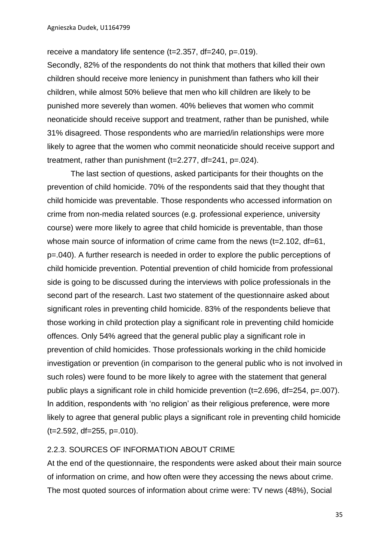receive a mandatory life sentence (t=2.357, df=240, p=.019).

Secondly, 82% of the respondents do not think that mothers that killed their own children should receive more leniency in punishment than fathers who kill their children, while almost 50% believe that men who kill children are likely to be punished more severely than women. 40% believes that women who commit neonaticide should receive support and treatment, rather than be punished, while 31% disagreed. Those respondents who are married/in relationships were more likely to agree that the women who commit neonaticide should receive support and treatment, rather than punishment (t=2.277, df=241, p=.024).

The last section of questions, asked participants for their thoughts on the prevention of child homicide. 70% of the respondents said that they thought that child homicide was preventable. Those respondents who accessed information on crime from non-media related sources (e.g. professional experience, university course) were more likely to agree that child homicide is preventable, than those whose main source of information of crime came from the news (t=2.102, df=61, p=.040). A further research is needed in order to explore the public perceptions of child homicide prevention. Potential prevention of child homicide from professional side is going to be discussed during the interviews with police professionals in the second part of the research. Last two statement of the questionnaire asked about significant roles in preventing child homicide. 83% of the respondents believe that those working in child protection play a significant role in preventing child homicide offences. Only 54% agreed that the general public play a significant role in prevention of child homicides. Those professionals working in the child homicide investigation or prevention (in comparison to the general public who is not involved in such roles) were found to be more likely to agree with the statement that general public plays a significant role in child homicide prevention (t=2.696, df=254, p=.007). In addition, respondents with 'no religion' as their religious preference, were more likely to agree that general public plays a significant role in preventing child homicide  $(t=2.592, df=255, p=.010)$ .

### 2.2.3. SOURCES OF INFORMATION ABOUT CRIME

At the end of the questionnaire, the respondents were asked about their main source of information on crime, and how often were they accessing the news about crime. The most quoted sources of information about crime were: TV news (48%), Social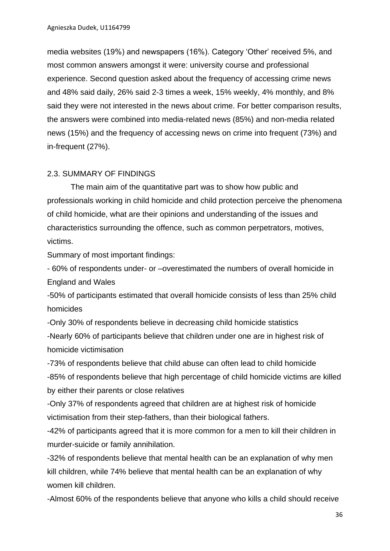media websites (19%) and newspapers (16%). Category 'Other' received 5%, and most common answers amongst it were: university course and professional experience. Second question asked about the frequency of accessing crime news and 48% said daily, 26% said 2-3 times a week, 15% weekly, 4% monthly, and 8% said they were not interested in the news about crime. For better comparison results, the answers were combined into media-related news (85%) and non-media related news (15%) and the frequency of accessing news on crime into frequent (73%) and in-frequent (27%).

# 2.3. SUMMARY OF FINDINGS

The main aim of the quantitative part was to show how public and professionals working in child homicide and child protection perceive the phenomena of child homicide, what are their opinions and understanding of the issues and characteristics surrounding the offence, such as common perpetrators, motives, victims.

Summary of most important findings:

- 60% of respondents under- or –overestimated the numbers of overall homicide in England and Wales

-50% of participants estimated that overall homicide consists of less than 25% child homicides

-Only 30% of respondents believe in decreasing child homicide statistics -Nearly 60% of participants believe that children under one are in highest risk of homicide victimisation

-73% of respondents believe that child abuse can often lead to child homicide -85% of respondents believe that high percentage of child homicide victims are killed by either their parents or close relatives

-Only 37% of respondents agreed that children are at highest risk of homicide victimisation from their step-fathers, than their biological fathers.

-42% of participants agreed that it is more common for a men to kill their children in murder-suicide or family annihilation.

-32% of respondents believe that mental health can be an explanation of why men kill children, while 74% believe that mental health can be an explanation of why women kill children.

-Almost 60% of the respondents believe that anyone who kills a child should receive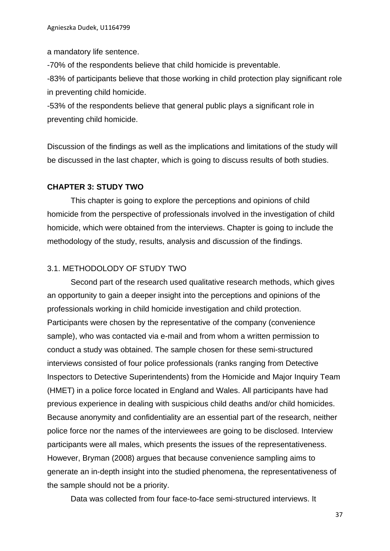a mandatory life sentence.

-70% of the respondents believe that child homicide is preventable.

-83% of participants believe that those working in child protection play significant role in preventing child homicide.

-53% of the respondents believe that general public plays a significant role in preventing child homicide.

Discussion of the findings as well as the implications and limitations of the study will be discussed in the last chapter, which is going to discuss results of both studies.

### **CHAPTER 3: STUDY TWO**

This chapter is going to explore the perceptions and opinions of child homicide from the perspective of professionals involved in the investigation of child homicide, which were obtained from the interviews. Chapter is going to include the methodology of the study, results, analysis and discussion of the findings.

### 3.1. METHODOLODY OF STUDY TWO

Second part of the research used qualitative research methods, which gives an opportunity to gain a deeper insight into the perceptions and opinions of the professionals working in child homicide investigation and child protection. Participants were chosen by the representative of the company (convenience sample), who was contacted via e-mail and from whom a written permission to conduct a study was obtained. The sample chosen for these semi-structured interviews consisted of four police professionals (ranks ranging from Detective Inspectors to Detective Superintendents) from the Homicide and Major Inquiry Team (HMET) in a police force located in England and Wales. All participants have had previous experience in dealing with suspicious child deaths and/or child homicides. Because anonymity and confidentiality are an essential part of the research, neither police force nor the names of the interviewees are going to be disclosed. Interview participants were all males, which presents the issues of the representativeness. However, Bryman (2008) argues that because convenience sampling aims to generate an in-depth insight into the studied phenomena, the representativeness of the sample should not be a priority.

Data was collected from four face-to-face semi-structured interviews. It

37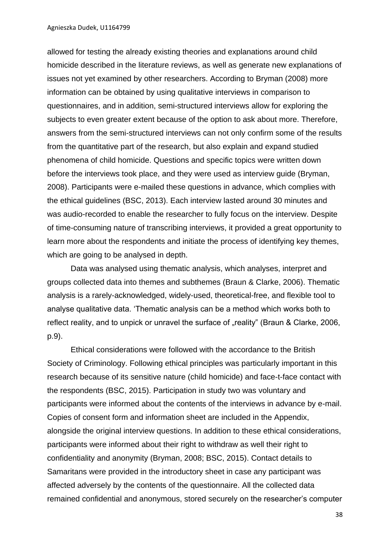allowed for testing the already existing theories and explanations around child homicide described in the literature reviews, as well as generate new explanations of issues not yet examined by other researchers. According to Bryman (2008) more information can be obtained by using qualitative interviews in comparison to questionnaires, and in addition, semi-structured interviews allow for exploring the subjects to even greater extent because of the option to ask about more. Therefore, answers from the semi-structured interviews can not only confirm some of the results from the quantitative part of the research, but also explain and expand studied phenomena of child homicide. Questions and specific topics were written down before the interviews took place, and they were used as interview guide (Bryman, 2008). Participants were e-mailed these questions in advance, which complies with the ethical guidelines (BSC, 2013). Each interview lasted around 30 minutes and was audio-recorded to enable the researcher to fully focus on the interview. Despite of time-consuming nature of transcribing interviews, it provided a great opportunity to learn more about the respondents and initiate the process of identifying key themes, which are going to be analysed in depth.

Data was analysed using thematic analysis, which analyses, interpret and groups collected data into themes and subthemes (Braun & Clarke, 2006). Thematic analysis is a rarely-acknowledged, widely-used, theoretical-free, and flexible tool to analyse qualitative data. 'Thematic analysis can be a method which works both to reflect reality, and to unpick or unravel the surface of "reality" (Braun & Clarke, 2006, p.9).

Ethical considerations were followed with the accordance to the British Society of Criminology. Following ethical principles was particularly important in this research because of its sensitive nature (child homicide) and face-t-face contact with the respondents (BSC, 2015). Participation in study two was voluntary and participants were informed about the contents of the interviews in advance by e-mail. Copies of consent form and information sheet are included in the Appendix, alongside the original interview questions. In addition to these ethical considerations, participants were informed about their right to withdraw as well their right to confidentiality and anonymity (Bryman, 2008; BSC, 2015). Contact details to Samaritans were provided in the introductory sheet in case any participant was affected adversely by the contents of the questionnaire. All the collected data remained confidential and anonymous, stored securely on the researcher's computer

38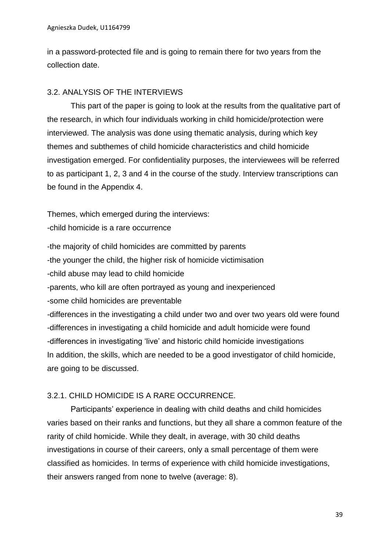in a password-protected file and is going to remain there for two years from the collection date.

# 3.2. ANALYSIS OF THE INTERVIEWS

This part of the paper is going to look at the results from the qualitative part of the research, in which four individuals working in child homicide/protection were interviewed. The analysis was done using thematic analysis, during which key themes and subthemes of child homicide characteristics and child homicide investigation emerged. For confidentiality purposes, the interviewees will be referred to as participant 1, 2, 3 and 4 in the course of the study. Interview transcriptions can be found in the Appendix 4.

Themes, which emerged during the interviews:

-child homicide is a rare occurrence

-the majority of child homicides are committed by parents -the younger the child, the higher risk of homicide victimisation -child abuse may lead to child homicide -parents, who kill are often portrayed as young and inexperienced -some child homicides are preventable -differences in the investigating a child under two and over two years old were found -differences in investigating a child homicide and adult homicide were found -differences in investigating 'live' and historic child homicide investigations In addition, the skills, which are needed to be a good investigator of child homicide, are going to be discussed.

## 3.2.1. CHILD HOMICIDE IS A RARE OCCURRENCE.

Participants' experience in dealing with child deaths and child homicides varies based on their ranks and functions, but they all share a common feature of the rarity of child homicide. While they dealt, in average, with 30 child deaths investigations in course of their careers, only a small percentage of them were classified as homicides. In terms of experience with child homicide investigations, their answers ranged from none to twelve (average: 8).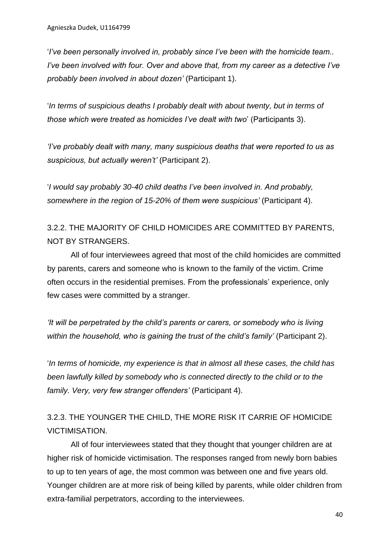'*I've been personally involved in, probably since I've been with the homicide team.. I've been involved with four. Over and above that, from my career as a detective I've probably been involved in about dozen'* (Participant 1).

'*In terms of suspicious deaths I probably dealt with about twenty, but in terms of those which were treated as homicides I've dealt with two*' (Participants 3).

*'I've probably dealt with many, many suspicious deaths that were reported to us as suspicious, but actually weren't'* (Participant 2).

'*I would say probably 30-40 child deaths I've been involved in. And probably, somewhere in the region of 15-20% of them were suspicious'* (Participant 4).

3.2.2. THE MAJORITY OF CHILD HOMICIDES ARE COMMITTED BY PARENTS, NOT BY STRANGERS.

All of four interviewees agreed that most of the child homicides are committed by parents, carers and someone who is known to the family of the victim. Crime often occurs in the residential premises. From the professionals' experience, only few cases were committed by a stranger.

*'It will be perpetrated by the child's parents or carers, or somebody who is living within the household, who is gaining the trust of the child's family'* (Participant 2).

'*In terms of homicide, my experience is that in almost all these cases, the child has been lawfully killed by somebody who is connected directly to the child or to the family. Very, very few stranger offenders'* (Participant 4).

3.2.3. THE YOUNGER THE CHILD, THE MORE RISK IT CARRIE OF HOMICIDE VICTIMISATION.

All of four interviewees stated that they thought that younger children are at higher risk of homicide victimisation. The responses ranged from newly born babies to up to ten years of age, the most common was between one and five years old. Younger children are at more risk of being killed by parents, while older children from extra-familial perpetrators, according to the interviewees.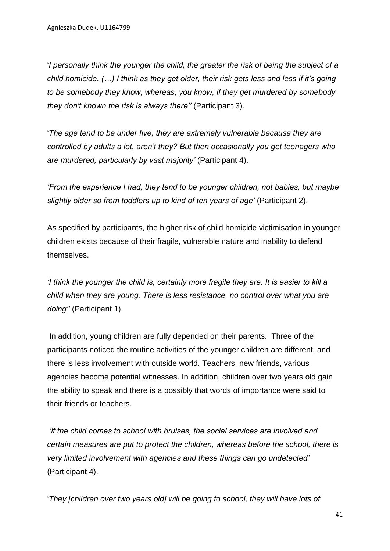'*I personally think the younger the child, the greater the risk of being the subject of a child homicide. (…) I think as they get older, their risk gets less and less if it's going to be somebody they know, whereas, you know, if they get murdered by somebody they don't known the risk is always there''* (Participant 3).

'*The age tend to be under five, they are extremely vulnerable because they are controlled by adults a lot, aren't they? But then occasionally you get teenagers who are murdered, particularly by vast majority'* (Participant 4).

*'From the experience I had, they tend to be younger children, not babies, but maybe slightly older so from toddlers up to kind of ten years of age'* (Participant 2).

As specified by participants, the higher risk of child homicide victimisation in younger children exists because of their fragile, vulnerable nature and inability to defend themselves.

*'I think the younger the child is, certainly more fragile they are. It is easier to kill a child when they are young. There is less resistance, no control over what you are doing''* (Participant 1).

In addition, young children are fully depended on their parents. Three of the participants noticed the routine activities of the younger children are different, and there is less involvement with outside world. Teachers, new friends, various agencies become potential witnesses. In addition, children over two years old gain the ability to speak and there is a possibly that words of importance were said to their friends or teachers.

*'if the child comes to school with bruises, the social services are involved and certain measures are put to protect the children, whereas before the school, there is very limited involvement with agencies and these things can go undetected'* (Participant 4).

'*They [children over two years old] will be going to school, they will have lots of*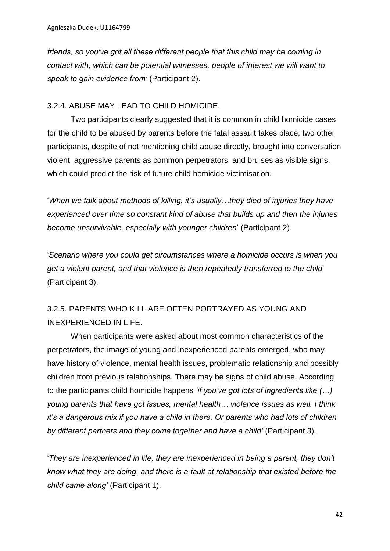*friends, so you've got all these different people that this child may be coming in contact with, which can be potential witnesses, people of interest we will want to speak to gain evidence from'* (Participant 2).

# 3.2.4. ABUSE MAY LEAD TO CHILD HOMICIDE.

Two participants clearly suggested that it is common in child homicide cases for the child to be abused by parents before the fatal assault takes place, two other participants, despite of not mentioning child abuse directly, brought into conversation violent, aggressive parents as common perpetrators, and bruises as visible signs, which could predict the risk of future child homicide victimisation.

'*When we talk about methods of killing, it's usually…they died of injuries they have experienced over time so constant kind of abuse that builds up and then the injuries become unsurvivable, especially with younger children*' (Participant 2).

'*Scenario where you could get circumstances where a homicide occurs is when you get a violent parent, and that violence is then repeatedly transferred to the child*' (Participant 3).

# 3.2.5. PARENTS WHO KILL ARE OFTEN PORTRAYED AS YOUNG AND INEXPERIENCED IN LIFE.

When participants were asked about most common characteristics of the perpetrators, the image of young and inexperienced parents emerged, who may have history of violence, mental health issues, problematic relationship and possibly children from previous relationships. There may be signs of child abuse. According to the participants child homicide happens *'if you've got lots of ingredients like (…) young parents that have got issues, mental health… violence issues as well. I think it's a dangerous mix if you have a child in there. Or parents who had lots of children by different partners and they come together and have a child'* (Participant 3).

'*They are inexperienced in life, they are inexperienced in being a parent, they don't know what they are doing, and there is a fault at relationship that existed before the child came along'* (Participant 1).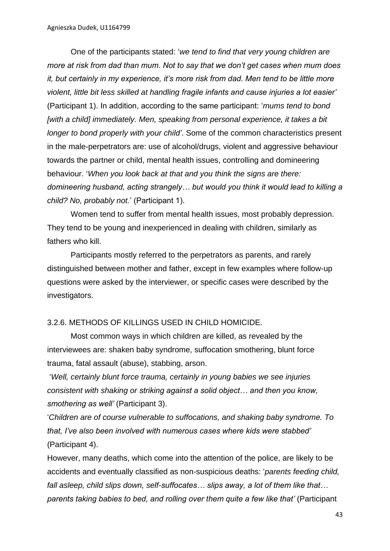One of the participants stated: '*we tend to find that very young children are more at risk from dad than mum. Not to say that we don't get cases when mum does it, but certainly in my experience, it's more risk from dad. Men tend to be little more violent, little bit less skilled at handling fragile infants and cause injuries a lot easier'* (Participant 1). In addition, according to the same participant: '*mums tend to bond [with a child] immediately. Men, speaking from personal experience, it takes a bit longer to bond properly with your child'*. Some of the common characteristics present in the male-perpetrators are: use of alcohol/drugs, violent and aggressive behaviour towards the partner or child, mental health issues, controlling and domineering behaviour. '*When you look back at that and you think the signs are there: domineering husband, acting strangely… but would you think it would lead to killing a child? No, probably not.*' (Participant 1).

Women tend to suffer from mental health issues, most probably depression. They tend to be young and inexperienced in dealing with children, similarly as fathers who kill.

Participants mostly referred to the perpetrators as parents, and rarely distinguished between mother and father, except in few examples where follow-up questions were asked by the interviewer, or specific cases were described by the investigators.

### 3.2.6. METHODS OF KILLINGS USED IN CHILD HOMICIDE.

Most common ways in which children are killed, as revealed by the interviewees are: shaken baby syndrome, suffocation smothering, blunt force trauma, fatal assault (abuse), stabbing, arson.

'*Well, certainly blunt force trauma, certainly in young babies we see injuries consistent with shaking or striking against a solid object… and then you know, smothering as well'* (Participant 3).

'*Children are of course vulnerable to suffocations, and shaking baby syndrome. To that, I've also been involved with numerous cases where kids were stabbed'* (Participant 4).

However, many deaths, which come into the attention of the police, are likely to be accidents and eventually classified as non-suspicious deaths: '*parents feeding child, fall asleep, child slips down, self-suffocates… slips away, a lot of them like that… parents taking babies to bed, and rolling over them quite a few like that'* (Participant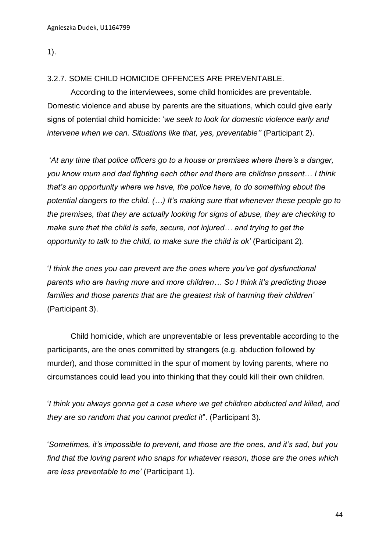1).

## 3.2.7. SOME CHILD HOMICIDE OFFENCES ARE PREVENTABLE.

According to the interviewees, some child homicides are preventable. Domestic violence and abuse by parents are the situations, which could give early signs of potential child homicide: '*we seek to look for domestic violence early and intervene when we can. Situations like that, yes, preventable''* (Participant 2).

'*At any time that police officers go to a house or premises where there's a danger, you know mum and dad fighting each other and there are children present… I think that's an opportunity where we have, the police have, to do something about the potential dangers to the child. (…) It's making sure that whenever these people go to the premises, that they are actually looking for signs of abuse, they are checking to make sure that the child is safe, secure, not injured… and trying to get the opportunity to talk to the child, to make sure the child is ok'* (Participant 2).

'*I think the ones you can prevent are the ones where you've got dysfunctional parents who are having more and more children… So I think it's predicting those families and those parents that are the greatest risk of harming their children'* (Participant 3).

Child homicide, which are unpreventable or less preventable according to the participants, are the ones committed by strangers (e.g. abduction followed by murder), and those committed in the spur of moment by loving parents, where no circumstances could lead you into thinking that they could kill their own children.

'*I think you always gonna get a case where we get children abducted and killed, and they are so random that you cannot predict it*". (Participant 3).

'*Sometimes, it's impossible to prevent, and those are the ones, and it's sad, but you find that the loving parent who snaps for whatever reason, those are the ones which are less preventable to me'* (Participant 1).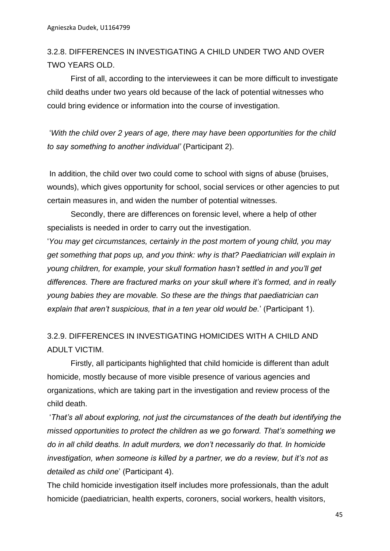3.2.8. DIFFERENCES IN INVESTIGATING A CHILD UNDER TWO AND OVER TWO YEARS OLD.

First of all, according to the interviewees it can be more difficult to investigate child deaths under two years old because of the lack of potential witnesses who could bring evidence or information into the course of investigation.

'*With the child over 2 years of age, there may have been opportunities for the child to say something to another individual'* (Participant 2).

In addition, the child over two could come to school with signs of abuse (bruises, wounds), which gives opportunity for school, social services or other agencies to put certain measures in, and widen the number of potential witnesses.

Secondly, there are differences on forensic level, where a help of other specialists is needed in order to carry out the investigation.

'*You may get circumstances, certainly in the post mortem of young child, you may get something that pops up, and you think: why is that? Paediatrician will explain in young children, for example, your skull formation hasn't settled in and you'll get differences. There are fractured marks on your skull where it's formed, and in really young babies they are movable. So these are the things that paediatrician can explain that aren't suspicious, that in a ten year old would be.*' (Participant 1).

# 3.2.9. DIFFERENCES IN INVESTIGATING HOMICIDES WITH A CHILD AND ADULT VICTIM.

Firstly, all participants highlighted that child homicide is different than adult homicide, mostly because of more visible presence of various agencies and organizations, which are taking part in the investigation and review process of the child death.

'*That's all about exploring, not just the circumstances of the death but identifying the missed opportunities to protect the children as we go forward. That's something we do in all child deaths. In adult murders, we don't necessarily do that. In homicide investigation, when someone is killed by a partner, we do a review, but it's not as detailed as child one*' (Participant 4).

The child homicide investigation itself includes more professionals, than the adult homicide (paediatrician, health experts, coroners, social workers, health visitors,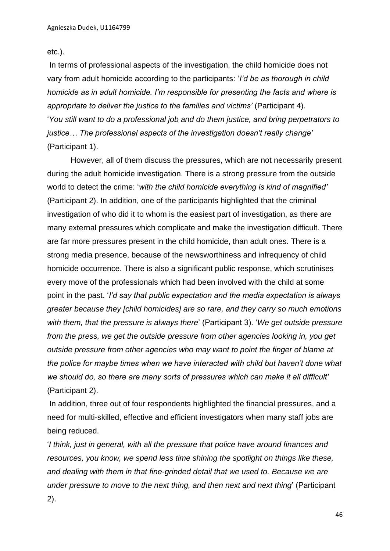etc.).

In terms of professional aspects of the investigation, the child homicide does not vary from adult homicide according to the participants: '*I'd be as thorough in child homicide as in adult homicide. I'm responsible for presenting the facts and where is appropriate to deliver the justice to the families and victims'* (Participant 4). '*You still want to do a professional job and do them justice, and bring perpetrators to justice… The professional aspects of the investigation doesn't really change'*  (Participant 1).

However, all of them discuss the pressures, which are not necessarily present during the adult homicide investigation. There is a strong pressure from the outside world to detect the crime: '*with the child homicide everything is kind of magnified'* (Participant 2). In addition, one of the participants highlighted that the criminal investigation of who did it to whom is the easiest part of investigation, as there are many external pressures which complicate and make the investigation difficult. There are far more pressures present in the child homicide, than adult ones. There is a strong media presence, because of the newsworthiness and infrequency of child homicide occurrence. There is also a significant public response, which scrutinises every move of the professionals which had been involved with the child at some point in the past. '*I'd say that public expectation and the media expectation is always greater because they [child homicides] are so rare, and they carry so much emotions with them, that the pressure is always there*' (Participant 3). '*We get outside pressure from the press, we get the outside pressure from other agencies looking in, you get outside pressure from other agencies who may want to point the finger of blame at the police for maybe times when we have interacted with child but haven't done what we should do, so there are many sorts of pressures which can make it all difficult'* (Participant 2).

In addition, three out of four respondents highlighted the financial pressures, and a need for multi-skilled, effective and efficient investigators when many staff jobs are being reduced.

'*I think, just in general, with all the pressure that police have around finances and resources, you know, we spend less time shining the spotlight on things like these, and dealing with them in that fine-grinded detail that we used to. Because we are under pressure to move to the next thing, and then next and next thing*' (Participant 2).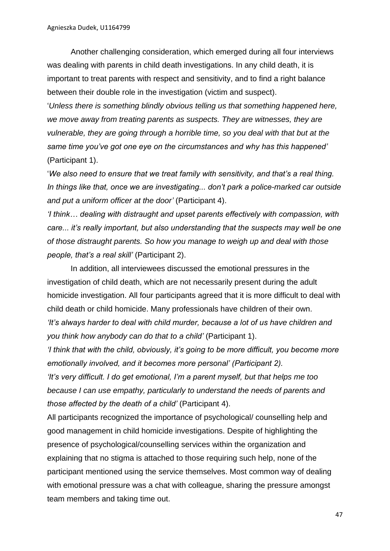Another challenging consideration, which emerged during all four interviews was dealing with parents in child death investigations. In any child death, it is important to treat parents with respect and sensitivity, and to find a right balance between their double role in the investigation (victim and suspect).

'*Unless there is something blindly obvious telling us that something happened here, we move away from treating parents as suspects. They are witnesses, they are vulnerable, they are going through a horrible time, so you deal with that but at the same time you've got one eye on the circumstances and why has this happened'* (Participant 1).

'*We also need to ensure that we treat family with sensitivity, and that's a real thing. In things like that, once we are investigating... don't park a police-marked car outside and put a uniform officer at the door'* (Participant 4).

*'I think… dealing with distraught and upset parents effectively with compassion, with care... it's really important, but also understanding that the suspects may well be one of those distraught parents. So how you manage to weigh up and deal with those people, that's a real skill'* (Participant 2).

In addition, all interviewees discussed the emotional pressures in the investigation of child death, which are not necessarily present during the adult homicide investigation. All four participants agreed that it is more difficult to deal with child death or child homicide. Many professionals have children of their own. *'It's always harder to deal with child murder, because a lot of us have children and* 

*you think how anybody can do that to a child'* (Participant 1).

*'I think that with the child, obviously, it's going to be more difficult, you become more emotionally involved, and it becomes more personal' (Participant 2).* 

*'It's very difficult. I do get emotional, I'm a parent myself, but that helps me too because I can use empathy, particularly to understand the needs of parents and those affected by the death of a child'* (Participant 4).

All participants recognized the importance of psychological/ counselling help and good management in child homicide investigations. Despite of highlighting the presence of psychological/counselling services within the organization and explaining that no stigma is attached to those requiring such help, none of the participant mentioned using the service themselves. Most common way of dealing with emotional pressure was a chat with colleague, sharing the pressure amongst team members and taking time out.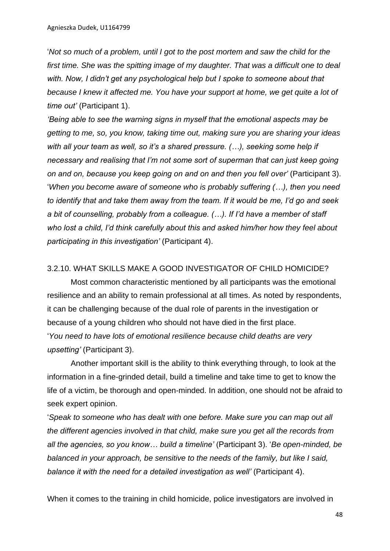'*Not so much of a problem, until I got to the post mortem and saw the child for the first time. She was the spitting image of my daughter. That was a difficult one to deal with. Now, I didn't get any psychological help but I spoke to someone about that because I knew it affected me. You have your support at home, we get quite a lot of time out'* (Participant 1).

*'Being able to see the warning signs in myself that the emotional aspects may be getting to me, so, you know, taking time out, making sure you are sharing your ideas with all your team as well, so it's a shared pressure. (…), seeking some help if necessary and realising that I'm not some sort of superman that can just keep going on and on, because you keep going on and on and then you fell over'* (Participant 3). '*When you become aware of someone who is probably suffering (…), then you need to identify that and take them away from the team. If it would be me, I'd go and seek a bit of counselling, probably from a colleague. (…). If I'd have a member of staff who lost a child, I'd think carefully about this and asked him/her how they feel about participating in this investigation'* (Participant 4).

### 3.2.10. WHAT SKILLS MAKE A GOOD INVESTIGATOR OF CHILD HOMICIDE?

Most common characteristic mentioned by all participants was the emotional resilience and an ability to remain professional at all times. As noted by respondents, it can be challenging because of the dual role of parents in the investigation or because of a young children who should not have died in the first place. '*You need to have lots of emotional resilience because child deaths are very upsetting'* (Participant 3).

Another important skill is the ability to think everything through, to look at the information in a fine-grinded detail, build a timeline and take time to get to know the life of a victim, be thorough and open-minded. In addition, one should not be afraid to seek expert opinion.

'*Speak to someone who has dealt with one before. Make sure you can map out all the different agencies involved in that child, make sure you get all the records from all the agencies, so you know… build a timeline'* (Participant 3). '*Be open-minded, be balanced in your approach, be sensitive to the needs of the family, but like I said, balance it with the need for a detailed investigation as well'* (Participant 4).

When it comes to the training in child homicide, police investigators are involved in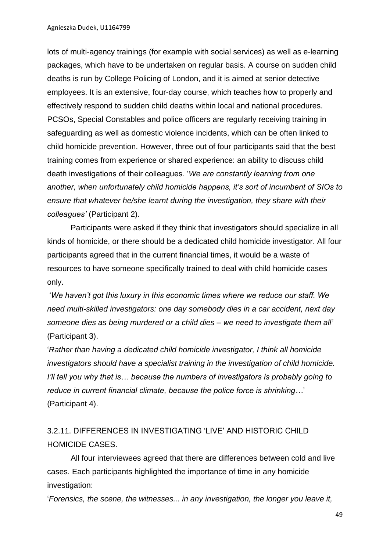lots of multi-agency trainings (for example with social services) as well as e-learning packages, which have to be undertaken on regular basis. A course on sudden child deaths is run by College Policing of London, and it is aimed at senior detective employees. It is an extensive, four-day course, which teaches how to properly and effectively respond to sudden child deaths within local and national procedures. PCSOs, Special Constables and police officers are regularly receiving training in safeguarding as well as domestic violence incidents, which can be often linked to child homicide prevention. However, three out of four participants said that the best training comes from experience or shared experience: an ability to discuss child death investigations of their colleagues. '*We are constantly learning from one another, when unfortunately child homicide happens, it's sort of incumbent of SIOs to ensure that whatever he/she learnt during the investigation, they share with their colleagues'* (Participant 2).

Participants were asked if they think that investigators should specialize in all kinds of homicide, or there should be a dedicated child homicide investigator. All four participants agreed that in the current financial times, it would be a waste of resources to have someone specifically trained to deal with child homicide cases only.

'*We haven't got this luxury in this economic times where we reduce our staff. We need multi-skilled investigators: one day somebody dies in a car accident, next day someone dies as being murdered or a child dies – we need to investigate them all'* (Participant 3).

'*Rather than having a dedicated child homicide investigator, I think all homicide investigators should have a specialist training in the investigation of child homicide. I'll tell you why that is… because the numbers of investigators is probably going to reduce in current financial climate, because the police force is shrinking…*' (Participant 4).

3.2.11. DIFFERENCES IN INVESTIGATING 'LIVE' AND HISTORIC CHILD HOMICIDE CASES.

All four interviewees agreed that there are differences between cold and live cases. Each participants highlighted the importance of time in any homicide investigation:

'*Forensics, the scene, the witnesses... in any investigation, the longer you leave it,*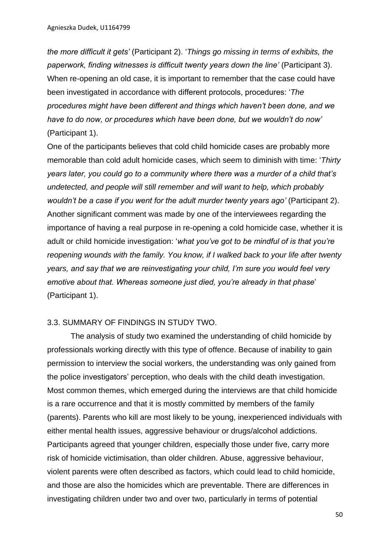*the more difficult it gets'* (Participant 2). '*Things go missing in terms of exhibits, the paperwork, finding witnesses is difficult twenty years down the line'* (Participant 3). When re-opening an old case, it is important to remember that the case could have been investigated in accordance with different protocols, procedures: '*The procedures might have been different and things which haven't been done, and we have to do now, or procedures which have been done, but we wouldn't do now'* (Participant 1).

One of the participants believes that cold child homicide cases are probably more memorable than cold adult homicide cases, which seem to diminish with time: '*Thirty years later, you could go to a community where there was a murder of a child that's undetected, and people will still remember and will want to help, which probably wouldn't be a case if you went for the adult murder twenty years ago'* (Participant 2). Another significant comment was made by one of the interviewees regarding the importance of having a real purpose in re-opening a cold homicide case, whether it is adult or child homicide investigation: '*what you've got to be mindful of is that you're reopening wounds with the family. You know, if I walked back to your life after twenty years, and say that we are reinvestigating your child, I'm sure you would feel very emotive about that. Whereas someone just died, you're already in that phase*' (Participant 1).

## 3.3. SUMMARY OF FINDINGS IN STUDY TWO.

The analysis of study two examined the understanding of child homicide by professionals working directly with this type of offence. Because of inability to gain permission to interview the social workers, the understanding was only gained from the police investigators' perception, who deals with the child death investigation. Most common themes, which emerged during the interviews are that child homicide is a rare occurrence and that it is mostly committed by members of the family (parents). Parents who kill are most likely to be young, inexperienced individuals with either mental health issues, aggressive behaviour or drugs/alcohol addictions. Participants agreed that younger children, especially those under five, carry more risk of homicide victimisation, than older children. Abuse, aggressive behaviour, violent parents were often described as factors, which could lead to child homicide, and those are also the homicides which are preventable. There are differences in investigating children under two and over two, particularly in terms of potential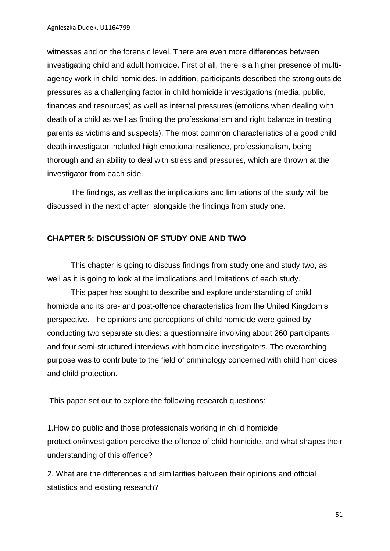witnesses and on the forensic level. There are even more differences between investigating child and adult homicide. First of all, there is a higher presence of multiagency work in child homicides. In addition, participants described the strong outside pressures as a challenging factor in child homicide investigations (media, public, finances and resources) as well as internal pressures (emotions when dealing with death of a child as well as finding the professionalism and right balance in treating parents as victims and suspects). The most common characteristics of a good child death investigator included high emotional resilience, professionalism, being thorough and an ability to deal with stress and pressures, which are thrown at the investigator from each side.

The findings, as well as the implications and limitations of the study will be discussed in the next chapter, alongside the findings from study one.

## **CHAPTER 5: DISCUSSION OF STUDY ONE AND TWO**

This chapter is going to discuss findings from study one and study two, as well as it is going to look at the implications and limitations of each study.

This paper has sought to describe and explore understanding of child homicide and its pre- and post-offence characteristics from the United Kingdom's perspective. The opinions and perceptions of child homicide were gained by conducting two separate studies: a questionnaire involving about 260 participants and four semi-structured interviews with homicide investigators. The overarching purpose was to contribute to the field of criminology concerned with child homicides and child protection.

This paper set out to explore the following research questions:

1.How do public and those professionals working in child homicide protection/investigation perceive the offence of child homicide, and what shapes their understanding of this offence?

2. What are the differences and similarities between their opinions and official statistics and existing research?

51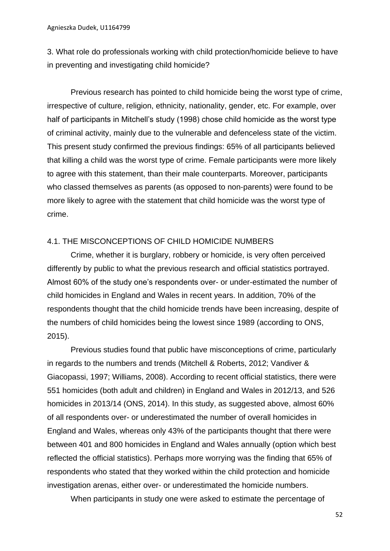3. What role do professionals working with child protection/homicide believe to have in preventing and investigating child homicide?

Previous research has pointed to child homicide being the worst type of crime, irrespective of culture, religion, ethnicity, nationality, gender, etc. For example, over half of participants in Mitchell's study (1998) chose child homicide as the worst type of criminal activity, mainly due to the vulnerable and defenceless state of the victim. This present study confirmed the previous findings: 65% of all participants believed that killing a child was the worst type of crime. Female participants were more likely to agree with this statement, than their male counterparts. Moreover, participants who classed themselves as parents (as opposed to non-parents) were found to be more likely to agree with the statement that child homicide was the worst type of crime.

### 4.1. THE MISCONCEPTIONS OF CHILD HOMICIDE NUMBERS

Crime, whether it is burglary, robbery or homicide, is very often perceived differently by public to what the previous research and official statistics portrayed. Almost 60% of the study one's respondents over- or under-estimated the number of child homicides in England and Wales in recent years. In addition, 70% of the respondents thought that the child homicide trends have been increasing, despite of the numbers of child homicides being the lowest since 1989 (according to ONS, 2015).

Previous studies found that public have misconceptions of crime, particularly in regards to the numbers and trends (Mitchell & Roberts, 2012; Vandiver & Giacopassi, 1997; Williams, 2008). According to recent official statistics, there were 551 homicides (both adult and children) in England and Wales in 2012/13, and 526 homicides in 2013/14 (ONS, 2014). In this study, as suggested above, almost 60% of all respondents over- or underestimated the number of overall homicides in England and Wales, whereas only 43% of the participants thought that there were between 401 and 800 homicides in England and Wales annually (option which best reflected the official statistics). Perhaps more worrying was the finding that 65% of respondents who stated that they worked within the child protection and homicide investigation arenas, either over- or underestimated the homicide numbers.

When participants in study one were asked to estimate the percentage of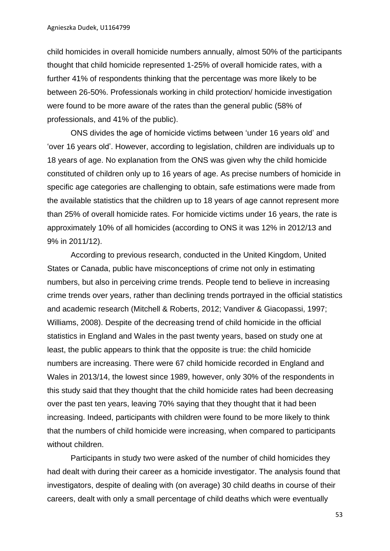child homicides in overall homicide numbers annually, almost 50% of the participants thought that child homicide represented 1-25% of overall homicide rates, with a further 41% of respondents thinking that the percentage was more likely to be between 26-50%. Professionals working in child protection/ homicide investigation were found to be more aware of the rates than the general public (58% of professionals, and 41% of the public).

ONS divides the age of homicide victims between 'under 16 years old' and 'over 16 years old'. However, according to legislation, children are individuals up to 18 years of age. No explanation from the ONS was given why the child homicide constituted of children only up to 16 years of age. As precise numbers of homicide in specific age categories are challenging to obtain, safe estimations were made from the available statistics that the children up to 18 years of age cannot represent more than 25% of overall homicide rates. For homicide victims under 16 years, the rate is approximately 10% of all homicides (according to ONS it was 12% in 2012/13 and 9% in 2011/12).

According to previous research, conducted in the United Kingdom, United States or Canada, public have misconceptions of crime not only in estimating numbers, but also in perceiving crime trends. People tend to believe in increasing crime trends over years, rather than declining trends portrayed in the official statistics and academic research (Mitchell & Roberts, 2012; Vandiver & Giacopassi, 1997; Williams, 2008). Despite of the decreasing trend of child homicide in the official statistics in England and Wales in the past twenty years, based on study one at least, the public appears to think that the opposite is true: the child homicide numbers are increasing. There were 67 child homicide recorded in England and Wales in 2013/14, the lowest since 1989, however, only 30% of the respondents in this study said that they thought that the child homicide rates had been decreasing over the past ten years, leaving 70% saying that they thought that it had been increasing. Indeed, participants with children were found to be more likely to think that the numbers of child homicide were increasing, when compared to participants without children.

Participants in study two were asked of the number of child homicides they had dealt with during their career as a homicide investigator. The analysis found that investigators, despite of dealing with (on average) 30 child deaths in course of their careers, dealt with only a small percentage of child deaths which were eventually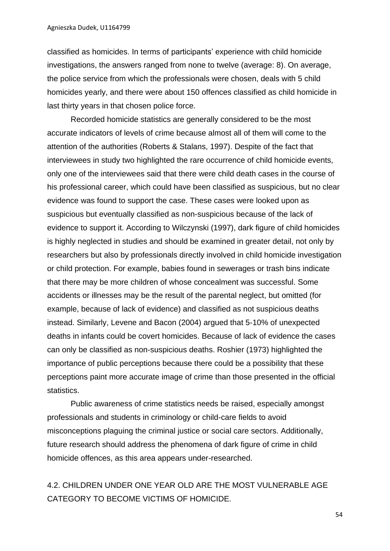Agnieszka Dudek, U1164799

classified as homicides. In terms of participants' experience with child homicide investigations, the answers ranged from none to twelve (average: 8). On average, the police service from which the professionals were chosen, deals with 5 child homicides yearly, and there were about 150 offences classified as child homicide in last thirty years in that chosen police force.

Recorded homicide statistics are generally considered to be the most accurate indicators of levels of crime because almost all of them will come to the attention of the authorities (Roberts & Stalans, 1997). Despite of the fact that interviewees in study two highlighted the rare occurrence of child homicide events, only one of the interviewees said that there were child death cases in the course of his professional career, which could have been classified as suspicious, but no clear evidence was found to support the case. These cases were looked upon as suspicious but eventually classified as non-suspicious because of the lack of evidence to support it. According to Wilczynski (1997), dark figure of child homicides is highly neglected in studies and should be examined in greater detail, not only by researchers but also by professionals directly involved in child homicide investigation or child protection. For example, babies found in sewerages or trash bins indicate that there may be more children of whose concealment was successful. Some accidents or illnesses may be the result of the parental neglect, but omitted (for example, because of lack of evidence) and classified as not suspicious deaths instead. Similarly, Levene and Bacon (2004) argued that 5-10% of unexpected deaths in infants could be covert homicides. Because of lack of evidence the cases can only be classified as non-suspicious deaths. Roshier (1973) highlighted the importance of public perceptions because there could be a possibility that these perceptions paint more accurate image of crime than those presented in the official statistics.

Public awareness of crime statistics needs be raised, especially amongst professionals and students in criminology or child-care fields to avoid misconceptions plaguing the criminal justice or social care sectors. Additionally, future research should address the phenomena of dark figure of crime in child homicide offences, as this area appears under-researched.

# 4.2. CHILDREN UNDER ONE YEAR OLD ARE THE MOST VULNERABLE AGE CATEGORY TO BECOME VICTIMS OF HOMICIDE.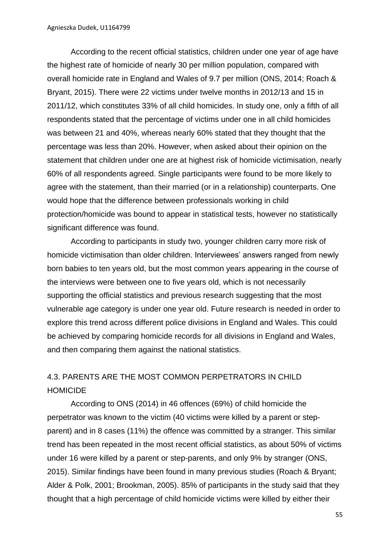According to the recent official statistics, children under one year of age have the highest rate of homicide of nearly 30 per million population, compared with overall homicide rate in England and Wales of 9.7 per million (ONS, 2014; Roach & Bryant, 2015). There were 22 victims under twelve months in 2012/13 and 15 in 2011/12, which constitutes 33% of all child homicides. In study one, only a fifth of all respondents stated that the percentage of victims under one in all child homicides was between 21 and 40%, whereas nearly 60% stated that they thought that the percentage was less than 20%. However, when asked about their opinion on the statement that children under one are at highest risk of homicide victimisation, nearly 60% of all respondents agreed. Single participants were found to be more likely to agree with the statement, than their married (or in a relationship) counterparts. One would hope that the difference between professionals working in child protection/homicide was bound to appear in statistical tests, however no statistically significant difference was found.

According to participants in study two, younger children carry more risk of homicide victimisation than older children. Interviewees' answers ranged from newly born babies to ten years old, but the most common years appearing in the course of the interviews were between one to five years old, which is not necessarily supporting the official statistics and previous research suggesting that the most vulnerable age category is under one year old. Future research is needed in order to explore this trend across different police divisions in England and Wales. This could be achieved by comparing homicide records for all divisions in England and Wales, and then comparing them against the national statistics.

# 4.3. PARENTS ARE THE MOST COMMON PERPETRATORS IN CHILD HOMICIDE

According to ONS (2014) in 46 offences (69%) of child homicide the perpetrator was known to the victim (40 victims were killed by a parent or stepparent) and in 8 cases (11%) the offence was committed by a stranger. This similar trend has been repeated in the most recent official statistics, as about 50% of victims under 16 were killed by a parent or step-parents, and only 9% by stranger (ONS, 2015). Similar findings have been found in many previous studies (Roach & Bryant; Alder & Polk, 2001; Brookman, 2005). 85% of participants in the study said that they thought that a high percentage of child homicide victims were killed by either their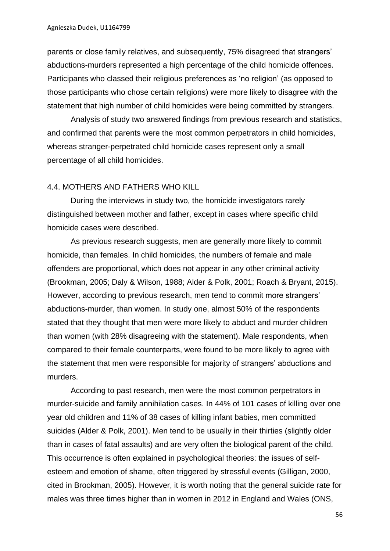parents or close family relatives, and subsequently, 75% disagreed that strangers' abductions-murders represented a high percentage of the child homicide offences. Participants who classed their religious preferences as 'no religion' (as opposed to those participants who chose certain religions) were more likely to disagree with the statement that high number of child homicides were being committed by strangers.

Analysis of study two answered findings from previous research and statistics, and confirmed that parents were the most common perpetrators in child homicides, whereas stranger-perpetrated child homicide cases represent only a small percentage of all child homicides.

### 4.4. MOTHERS AND FATHERS WHO KILL

During the interviews in study two, the homicide investigators rarely distinguished between mother and father, except in cases where specific child homicide cases were described.

As previous research suggests, men are generally more likely to commit homicide, than females. In child homicides, the numbers of female and male offenders are proportional, which does not appear in any other criminal activity (Brookman, 2005; Daly & Wilson, 1988; Alder & Polk, 2001; Roach & Bryant, 2015). However, according to previous research, men tend to commit more strangers' abductions-murder, than women. In study one, almost 50% of the respondents stated that they thought that men were more likely to abduct and murder children than women (with 28% disagreeing with the statement). Male respondents, when compared to their female counterparts, were found to be more likely to agree with the statement that men were responsible for majority of strangers' abductions and murders.

According to past research, men were the most common perpetrators in murder-suicide and family annihilation cases. In 44% of 101 cases of killing over one year old children and 11% of 38 cases of killing infant babies, men committed suicides (Alder & Polk, 2001). Men tend to be usually in their thirties (slightly older than in cases of fatal assaults) and are very often the biological parent of the child. This occurrence is often explained in psychological theories: the issues of selfesteem and emotion of shame, often triggered by stressful events (Gilligan, 2000, cited in Brookman, 2005). However, it is worth noting that the general suicide rate for males was three times higher than in women in 2012 in England and Wales (ONS,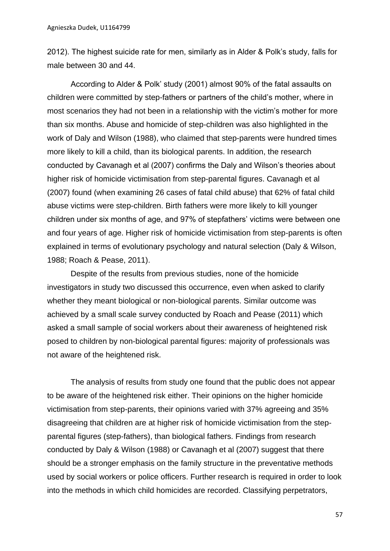2012). The highest suicide rate for men, similarly as in Alder & Polk's study, falls for male between 30 and 44.

According to Alder & Polk' study (2001) almost 90% of the fatal assaults on children were committed by step-fathers or partners of the child's mother, where in most scenarios they had not been in a relationship with the victim's mother for more than six months. Abuse and homicide of step-children was also highlighted in the work of Daly and Wilson (1988), who claimed that step-parents were hundred times more likely to kill a child, than its biological parents. In addition, the research conducted by Cavanagh et al (2007) confirms the Daly and Wilson's theories about higher risk of homicide victimisation from step-parental figures. Cavanagh et al (2007) found (when examining 26 cases of fatal child abuse) that 62% of fatal child abuse victims were step-children. Birth fathers were more likely to kill younger children under six months of age, and 97% of stepfathers' victims were between one and four vears of age. Higher risk of homicide victimisation from step-parents is often explained in terms of evolutionary psychology and natural selection (Daly & Wilson, 1988; Roach & Pease, 2011).

Despite of the results from previous studies, none of the homicide investigators in study two discussed this occurrence, even when asked to clarify whether they meant biological or non-biological parents. Similar outcome was achieved by a small scale survey conducted by Roach and Pease (2011) which asked a small sample of social workers about their awareness of heightened risk posed to children by non-biological parental figures: majority of professionals was not aware of the heightened risk.

The analysis of results from study one found that the public does not appear to be aware of the heightened risk either. Their opinions on the higher homicide victimisation from step-parents, their opinions varied with 37% agreeing and 35% disagreeing that children are at higher risk of homicide victimisation from the stepparental figures (step-fathers), than biological fathers. Findings from research conducted by Daly & Wilson (1988) or Cavanagh et al (2007) suggest that there should be a stronger emphasis on the family structure in the preventative methods used by social workers or police officers. Further research is required in order to look into the methods in which child homicides are recorded. Classifying perpetrators,

57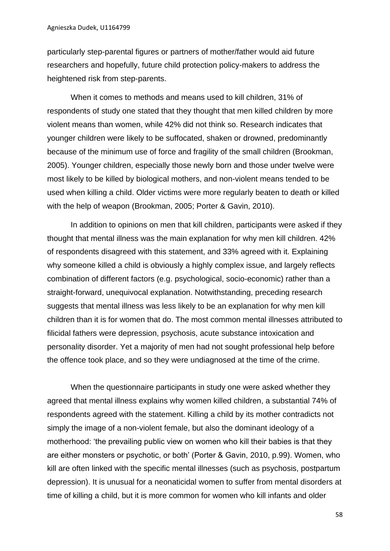particularly step-parental figures or partners of mother/father would aid future researchers and hopefully, future child protection policy-makers to address the heightened risk from step-parents.

When it comes to methods and means used to kill children, 31% of respondents of study one stated that they thought that men killed children by more violent means than women, while 42% did not think so. Research indicates that younger children were likely to be suffocated, shaken or drowned, predominantly because of the minimum use of force and fragility of the small children (Brookman, 2005). Younger children, especially those newly born and those under twelve were most likely to be killed by biological mothers, and non-violent means tended to be used when killing a child. Older victims were more regularly beaten to death or killed with the help of weapon (Brookman, 2005; Porter & Gavin, 2010).

In addition to opinions on men that kill children, participants were asked if they thought that mental illness was the main explanation for why men kill children. 42% of respondents disagreed with this statement, and 33% agreed with it. Explaining why someone killed a child is obviously a highly complex issue, and largely reflects combination of different factors (e.g. psychological, socio-economic) rather than a straight-forward, unequivocal explanation. Notwithstanding, preceding research suggests that mental illness was less likely to be an explanation for why men kill children than it is for women that do. The most common mental illnesses attributed to filicidal fathers were depression, psychosis, acute substance intoxication and personality disorder. Yet a majority of men had not sought professional help before the offence took place, and so they were undiagnosed at the time of the crime.

When the questionnaire participants in study one were asked whether they agreed that mental illness explains why women killed children, a substantial 74% of respondents agreed with the statement. Killing a child by its mother contradicts not simply the image of a non-violent female, but also the dominant ideology of a motherhood: 'the prevailing public view on women who kill their babies is that they are either monsters or psychotic, or both' (Porter & Gavin, 2010, p.99). Women, who kill are often linked with the specific mental illnesses (such as psychosis, postpartum depression). It is unusual for a neonaticidal women to suffer from mental disorders at time of killing a child, but it is more common for women who kill infants and older

58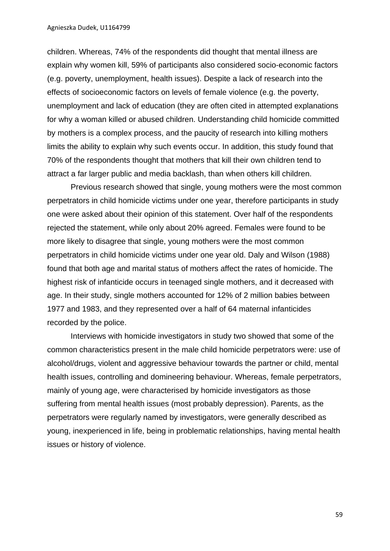children. Whereas, 74% of the respondents did thought that mental illness are explain why women kill, 59% of participants also considered socio-economic factors (e.g. poverty, unemployment, health issues). Despite a lack of research into the effects of socioeconomic factors on levels of female violence (e.g. the poverty, unemployment and lack of education (they are often cited in attempted explanations for why a woman killed or abused children. Understanding child homicide committed by mothers is a complex process, and the paucity of research into killing mothers limits the ability to explain why such events occur. In addition, this study found that 70% of the respondents thought that mothers that kill their own children tend to attract a far larger public and media backlash, than when others kill children.

Previous research showed that single, young mothers were the most common perpetrators in child homicide victims under one year, therefore participants in study one were asked about their opinion of this statement. Over half of the respondents rejected the statement, while only about 20% agreed. Females were found to be more likely to disagree that single, young mothers were the most common perpetrators in child homicide victims under one year old. Daly and Wilson (1988) found that both age and marital status of mothers affect the rates of homicide. The highest risk of infanticide occurs in teenaged single mothers, and it decreased with age. In their study, single mothers accounted for 12% of 2 million babies between 1977 and 1983, and they represented over a half of 64 maternal infanticides recorded by the police.

 Interviews with homicide investigators in study two showed that some of the common characteristics present in the male child homicide perpetrators were: use of alcohol/drugs, violent and aggressive behaviour towards the partner or child, mental health issues, controlling and domineering behaviour. Whereas, female perpetrators, mainly of young age, were characterised by homicide investigators as those suffering from mental health issues (most probably depression). Parents, as the perpetrators were regularly named by investigators, were generally described as young, inexperienced in life, being in problematic relationships, having mental health issues or history of violence.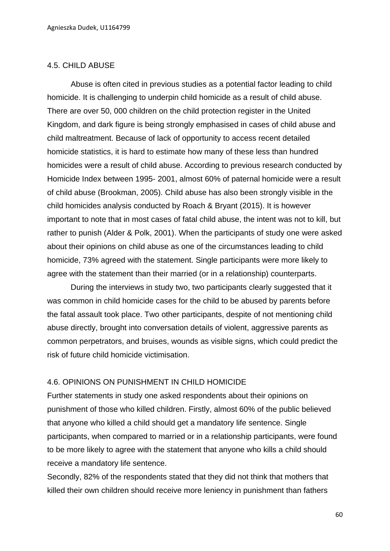### 4.5. CHILD ABUSE

Abuse is often cited in previous studies as a potential factor leading to child homicide. It is challenging to underpin child homicide as a result of child abuse. There are over 50, 000 children on the child protection register in the United Kingdom, and dark figure is being strongly emphasised in cases of child abuse and child maltreatment. Because of lack of opportunity to access recent detailed homicide statistics, it is hard to estimate how many of these less than hundred homicides were a result of child abuse. According to previous research conducted by Homicide Index between 1995- 2001, almost 60% of paternal homicide were a result of child abuse (Brookman, 2005). Child abuse has also been strongly visible in the child homicides analysis conducted by Roach & Bryant (2015). It is however important to note that in most cases of fatal child abuse, the intent was not to kill, but rather to punish (Alder & Polk, 2001). When the participants of study one were asked about their opinions on child abuse as one of the circumstances leading to child homicide, 73% agreed with the statement. Single participants were more likely to agree with the statement than their married (or in a relationship) counterparts.

During the interviews in study two, two participants clearly suggested that it was common in child homicide cases for the child to be abused by parents before the fatal assault took place. Two other participants, despite of not mentioning child abuse directly, brought into conversation details of violent, aggressive parents as common perpetrators, and bruises, wounds as visible signs, which could predict the risk of future child homicide victimisation.

### 4.6. OPINIONS ON PUNISHMENT IN CHILD HOMICIDE

Further statements in study one asked respondents about their opinions on punishment of those who killed children. Firstly, almost 60% of the public believed that anyone who killed a child should get a mandatory life sentence. Single participants, when compared to married or in a relationship participants, were found to be more likely to agree with the statement that anyone who kills a child should receive a mandatory life sentence.

Secondly, 82% of the respondents stated that they did not think that mothers that killed their own children should receive more leniency in punishment than fathers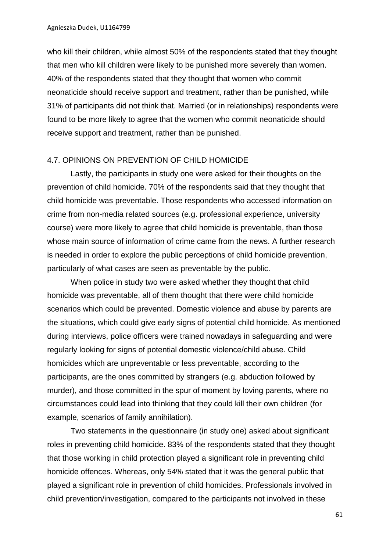who kill their children, while almost 50% of the respondents stated that they thought that men who kill children were likely to be punished more severely than women. 40% of the respondents stated that they thought that women who commit neonaticide should receive support and treatment, rather than be punished, while 31% of participants did not think that. Married (or in relationships) respondents were found to be more likely to agree that the women who commit neonaticide should receive support and treatment, rather than be punished.

### 4.7. OPINIONS ON PREVENTION OF CHILD HOMICIDE

Lastly, the participants in study one were asked for their thoughts on the prevention of child homicide. 70% of the respondents said that they thought that child homicide was preventable. Those respondents who accessed information on crime from non-media related sources (e.g. professional experience, university course) were more likely to agree that child homicide is preventable, than those whose main source of information of crime came from the news. A further research is needed in order to explore the public perceptions of child homicide prevention, particularly of what cases are seen as preventable by the public.

When police in study two were asked whether they thought that child homicide was preventable, all of them thought that there were child homicide scenarios which could be prevented. Domestic violence and abuse by parents are the situations, which could give early signs of potential child homicide. As mentioned during interviews, police officers were trained nowadays in safeguarding and were regularly looking for signs of potential domestic violence/child abuse. Child homicides which are unpreventable or less preventable, according to the participants, are the ones committed by strangers (e.g. abduction followed by murder), and those committed in the spur of moment by loving parents, where no circumstances could lead into thinking that they could kill their own children (for example, scenarios of family annihilation).

Two statements in the questionnaire (in study one) asked about significant roles in preventing child homicide. 83% of the respondents stated that they thought that those working in child protection played a significant role in preventing child homicide offences. Whereas, only 54% stated that it was the general public that played a significant role in prevention of child homicides. Professionals involved in child prevention/investigation, compared to the participants not involved in these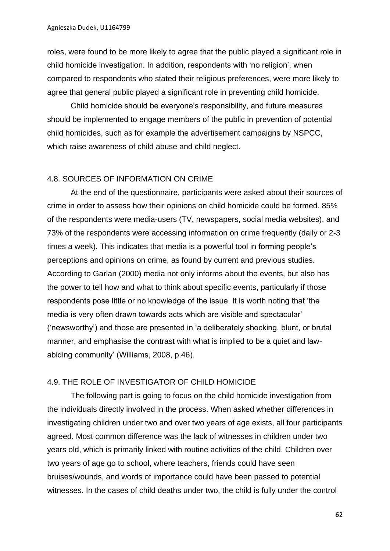roles, were found to be more likely to agree that the public played a significant role in child homicide investigation. In addition, respondents with 'no religion', when compared to respondents who stated their religious preferences, were more likely to agree that general public played a significant role in preventing child homicide.

Child homicide should be everyone's responsibility, and future measures should be implemented to engage members of the public in prevention of potential child homicides, such as for example the advertisement campaigns by NSPCC, which raise awareness of child abuse and child neglect.

### 4.8. SOURCES OF INFORMATION ON CRIME

At the end of the questionnaire, participants were asked about their sources of crime in order to assess how their opinions on child homicide could be formed. 85% of the respondents were media-users (TV, newspapers, social media websites), and 73% of the respondents were accessing information on crime frequently (daily or 2-3 times a week). This indicates that media is a powerful tool in forming people's perceptions and opinions on crime, as found by current and previous studies. According to Garlan (2000) media not only informs about the events, but also has the power to tell how and what to think about specific events, particularly if those respondents pose little or no knowledge of the issue. It is worth noting that 'the media is very often drawn towards acts which are visible and spectacular' ('newsworthy') and those are presented in 'a deliberately shocking, blunt, or brutal manner, and emphasise the contrast with what is implied to be a quiet and lawabiding community' (Williams, 2008, p.46).

### 4.9. THE ROLE OF INVESTIGATOR OF CHILD HOMICIDE

The following part is going to focus on the child homicide investigation from the individuals directly involved in the process. When asked whether differences in investigating children under two and over two years of age exists, all four participants agreed. Most common difference was the lack of witnesses in children under two years old, which is primarily linked with routine activities of the child. Children over two years of age go to school, where teachers, friends could have seen bruises/wounds, and words of importance could have been passed to potential witnesses. In the cases of child deaths under two, the child is fully under the control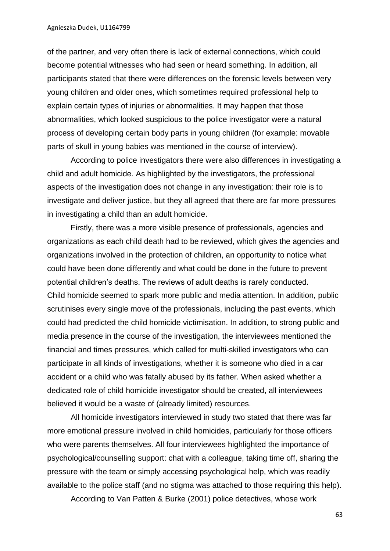of the partner, and very often there is lack of external connections, which could become potential witnesses who had seen or heard something. In addition, all participants stated that there were differences on the forensic levels between very young children and older ones, which sometimes required professional help to explain certain types of injuries or abnormalities. It may happen that those abnormalities, which looked suspicious to the police investigator were a natural process of developing certain body parts in young children (for example: movable parts of skull in young babies was mentioned in the course of interview).

According to police investigators there were also differences in investigating a child and adult homicide. As highlighted by the investigators, the professional aspects of the investigation does not change in any investigation: their role is to investigate and deliver justice, but they all agreed that there are far more pressures in investigating a child than an adult homicide.

Firstly, there was a more visible presence of professionals, agencies and organizations as each child death had to be reviewed, which gives the agencies and organizations involved in the protection of children, an opportunity to notice what could have been done differently and what could be done in the future to prevent potential children's deaths. The reviews of adult deaths is rarely conducted. Child homicide seemed to spark more public and media attention. In addition, public scrutinises every single move of the professionals, including the past events, which could had predicted the child homicide victimisation. In addition, to strong public and media presence in the course of the investigation, the interviewees mentioned the financial and times pressures, which called for multi-skilled investigators who can participate in all kinds of investigations, whether it is someone who died in a car accident or a child who was fatally abused by its father. When asked whether a dedicated role of child homicide investigator should be created, all interviewees believed it would be a waste of (already limited) resources.

All homicide investigators interviewed in study two stated that there was far more emotional pressure involved in child homicides, particularly for those officers who were parents themselves. All four interviewees highlighted the importance of psychological/counselling support: chat with a colleague, taking time off, sharing the pressure with the team or simply accessing psychological help, which was readily available to the police staff (and no stigma was attached to those requiring this help).

According to Van Patten & Burke (2001) police detectives, whose work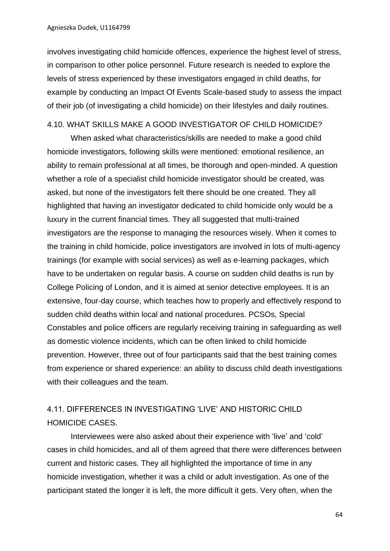involves investigating child homicide offences, experience the highest level of stress, in comparison to other police personnel. Future research is needed to explore the levels of stress experienced by these investigators engaged in child deaths, for example by conducting an Impact Of Events Scale-based study to assess the impact of their job (of investigating a child homicide) on their lifestyles and daily routines.

### 4.10. WHAT SKILLS MAKE A GOOD INVESTIGATOR OF CHILD HOMICIDE?

When asked what characteristics/skills are needed to make a good child homicide investigators, following skills were mentioned: emotional resilience, an ability to remain professional at all times, be thorough and open-minded. A question whether a role of a specialist child homicide investigator should be created, was asked, but none of the investigators felt there should be one created. They all highlighted that having an investigator dedicated to child homicide only would be a luxury in the current financial times. They all suggested that multi-trained investigators are the response to managing the resources wisely. When it comes to the training in child homicide, police investigators are involved in lots of multi-agency trainings (for example with social services) as well as e-learning packages, which have to be undertaken on regular basis. A course on sudden child deaths is run by College Policing of London, and it is aimed at senior detective employees. It is an extensive, four-day course, which teaches how to properly and effectively respond to sudden child deaths within local and national procedures. PCSOs, Special Constables and police officers are regularly receiving training in safeguarding as well as domestic violence incidents, which can be often linked to child homicide prevention. However, three out of four participants said that the best training comes from experience or shared experience: an ability to discuss child death investigations with their colleagues and the team.

# 4.11. DIFFERENCES IN INVESTIGATING 'LIVE' AND HISTORIC CHILD HOMICIDE CASES.

Interviewees were also asked about their experience with 'live' and 'cold' cases in child homicides, and all of them agreed that there were differences between current and historic cases. They all highlighted the importance of time in any homicide investigation, whether it was a child or adult investigation. As one of the participant stated the longer it is left, the more difficult it gets. Very often, when the

64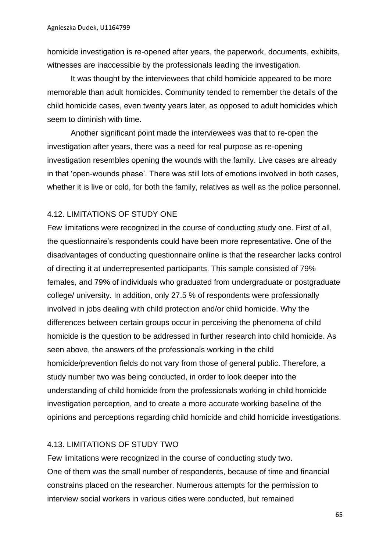homicide investigation is re-opened after years, the paperwork, documents, exhibits, witnesses are inaccessible by the professionals leading the investigation.

It was thought by the interviewees that child homicide appeared to be more memorable than adult homicides. Community tended to remember the details of the child homicide cases, even twenty years later, as opposed to adult homicides which seem to diminish with time.

Another significant point made the interviewees was that to re-open the investigation after years, there was a need for real purpose as re-opening investigation resembles opening the wounds with the family. Live cases are already in that 'open-wounds phase'. There was still lots of emotions involved in both cases, whether it is live or cold, for both the family, relatives as well as the police personnel.

## 4.12. LIMITATIONS OF STUDY ONE

Few limitations were recognized in the course of conducting study one. First of all, the questionnaire's respondents could have been more representative. One of the disadvantages of conducting questionnaire online is that the researcher lacks control of directing it at underrepresented participants. This sample consisted of 79% females, and 79% of individuals who graduated from undergraduate or postgraduate college/ university. In addition, only 27.5 % of respondents were professionally involved in jobs dealing with child protection and/or child homicide. Why the differences between certain groups occur in perceiving the phenomena of child homicide is the question to be addressed in further research into child homicide. As seen above, the answers of the professionals working in the child homicide/prevention fields do not vary from those of general public. Therefore, a study number two was being conducted, in order to look deeper into the understanding of child homicide from the professionals working in child homicide investigation perception, and to create a more accurate working baseline of the opinions and perceptions regarding child homicide and child homicide investigations.

## 4.13. LIMITATIONS OF STUDY TWO

Few limitations were recognized in the course of conducting study two. One of them was the small number of respondents, because of time and financial constrains placed on the researcher. Numerous attempts for the permission to interview social workers in various cities were conducted, but remained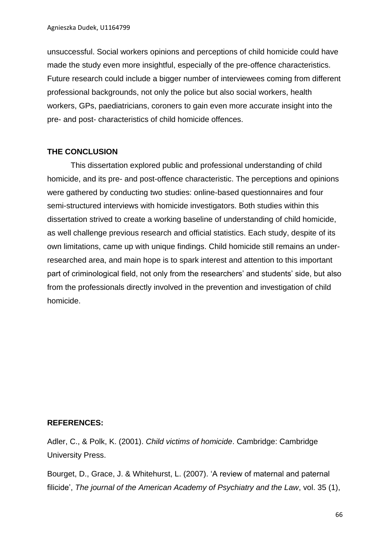unsuccessful. Social workers opinions and perceptions of child homicide could have made the study even more insightful, especially of the pre-offence characteristics. Future research could include a bigger number of interviewees coming from different professional backgrounds, not only the police but also social workers, health workers, GPs, paediatricians, coroners to gain even more accurate insight into the pre- and post- characteristics of child homicide offences.

## **THE CONCLUSION**

This dissertation explored public and professional understanding of child homicide, and its pre- and post-offence characteristic. The perceptions and opinions were gathered by conducting two studies: online-based questionnaires and four semi-structured interviews with homicide investigators. Both studies within this dissertation strived to create a working baseline of understanding of child homicide, as well challenge previous research and official statistics. Each study, despite of its own limitations, came up with unique findings. Child homicide still remains an underresearched area, and main hope is to spark interest and attention to this important part of criminological field, not only from the researchers' and students' side, but also from the professionals directly involved in the prevention and investigation of child homicide.

## **REFERENCES:**

Adler, C., & Polk, K. (2001). *Child victims of homicide*. Cambridge: Cambridge University Press.

Bourget, D., Grace, J. & Whitehurst, L. (2007). 'A review of maternal and paternal filicide', *The journal of the American Academy of Psychiatry and the Law*, vol. 35 (1),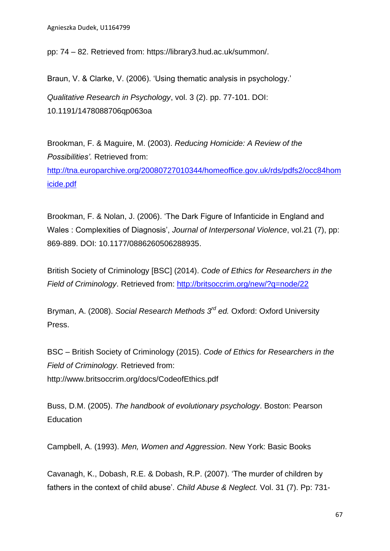Agnieszka Dudek, U1164799

pp: 74 – 82. Retrieved from: https://library3.hud.ac.uk/summon/.

Braun, V. & Clarke, V. (2006). 'Using thematic analysis in psychology.' *Qualitative Research in Psychology*, vol. 3 (2). pp. 77-101. DOI: 10.1191/1478088706qp063oa

Brookman, F. & Maguire, M. (2003). *Reducing Homicide: A Review of the Possibilities'.* Retrieved from:

[http://tna.europarchive.org/20080727010344/homeoffice.gov.uk/rds/pdfs2/occ84hom](http://tna.europarchive.org/20080727010344/homeoffice.gov.uk/rds/pdfs2/occ84homicide.pdf) [icide.pdf](http://tna.europarchive.org/20080727010344/homeoffice.gov.uk/rds/pdfs2/occ84homicide.pdf)

Brookman, F. & Nolan, J. (2006). 'The Dark Figure of Infanticide in England and Wales : Complexities of Diagnosis', *Journal of Interpersonal Violence*, vol.21 (7), pp: 869-889. DOI: 10.1177/0886260506288935.

British Society of Criminology [BSC] (2014). *Code of Ethics for Researchers in the Field of Criminology*. Retrieved from:<http://britsoccrim.org/new/?q=node/22>

Bryman, A. (2008). *Social Research Methods 3rd ed.* Oxford: Oxford University Press.

BSC – British Society of Criminology (2015). *Code of Ethics for Researchers in the Field of Criminology.* Retrieved from: http://www.britsoccrim.org/docs/CodeofEthics.pdf

Buss, D.M. (2005). *The handbook of evolutionary psychology*. Boston: Pearson **Education** 

Campbell, A. (1993). *Men, Women and Aggression*. New York: Basic Books

Cavanagh, K., Dobash, R.E. & Dobash, R.P. (2007). 'The murder of children by fathers in the context of child abuse'. *Child Abuse & Neglect.* Vol. 31 (7). Pp: 731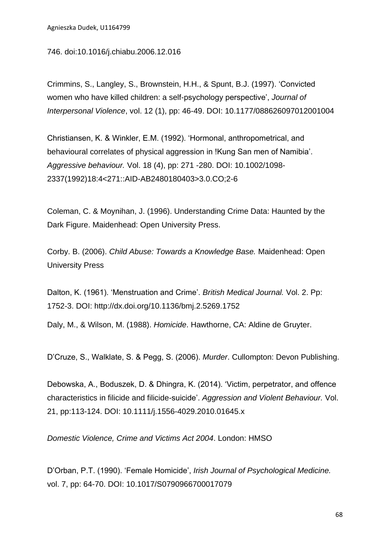746. doi:10.1016/j.chiabu.2006.12.016

Crimmins, S., Langley, S., Brownstein, H.H., & Spunt, B.J. (1997). 'Convicted women who have killed children: a self-psychology perspective', *Journal of Interpersonal Violence*, vol. 12 (1), pp: 46-49. DOI: 10.1177/088626097012001004

Christiansen, K. & Winkler, E.M. (1992). 'Hormonal, anthropometrical, and behavioural correlates of physical aggression in !Kung San men of Namibia'. *Aggressive behaviour.* Vol. 18 (4), pp: 271 -280. DOI: 10.1002/1098- 2337(1992)18:4<271::AID-AB2480180403>3.0.CO;2-6

Coleman, C. & Moynihan, J. (1996). Understanding Crime Data: Haunted by the Dark Figure. Maidenhead: Open University Press.

Corby. B. (2006). *Child Abuse: Towards a Knowledge Base.* Maidenhead: Open University Press

Dalton, K. (1961). 'Menstruation and Crime'. *British Medical Journal.* Vol. 2. Pp: 1752-3. DOI: http://dx.doi.org/10.1136/bmj.2.5269.1752

Daly, M., & Wilson, M. (1988). *Homicide*. Hawthorne, CA: Aldine de Gruyter.

D'Cruze, S., Walklate, S. & Pegg, S. (2006). *Murder*. Cullompton: Devon Publishing.

Debowska, A., Boduszek, D. & Dhingra, K. (2014). 'Victim, perpetrator, and offence characteristics in filicide and filicide-suicide'. *Aggression and Violent Behaviour.* Vol. 21, pp:113-124. DOI: 10.1111/j.1556-4029.2010.01645.x

*Domestic Violence, Crime and Victims Act 2004*. London: HMSO

D'Orban, P.T. (1990). 'Female Homicide', *Irish Journal of Psychological Medicine.*  vol. 7, pp: 64-70. DOI: [10.1017/S0790966700017079](http://dx.doi.org/10.1017/S0790966700017079)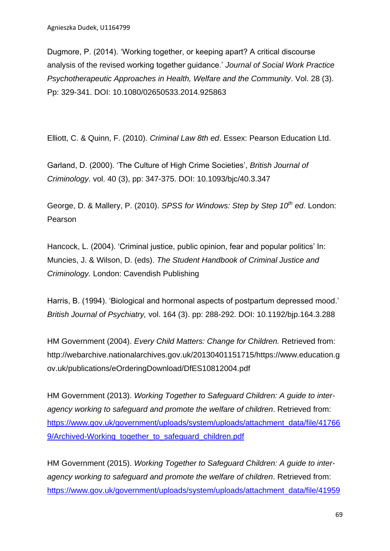Dugmore, P. (2014). 'Working together, or keeping apart? A critical discourse analysis of the revised working together guidance.' *Journal of Social Work Practice Psychotherapeutic Approaches in Health, Welfare and the Community*. Vol. 28 (3). Pp: 329-341. DOI: 10.1080/02650533.2014.925863

Elliott, C. & Quinn, F. (2010). *Criminal Law 8th ed*. Essex: Pearson Education Ltd.

Garland, D. (2000). 'The Culture of High Crime Societies', *British Journal of Criminology*. vol. 40 (3), pp: 347-375. DOI: 10.1093/bjc/40.3.347

George, D. & Mallery, P. (2010). *SPSS for Windows: Step by Step 10th ed.* London: Pearson

Hancock, L. (2004). 'Criminal justice, public opinion, fear and popular politics' In: Muncies, J. & Wilson, D. (eds). *The Student Handbook of Criminal Justice and Criminology.* London: Cavendish Publishing

Harris, B. (1994). 'Biological and hormonal aspects of postpartum depressed mood.' *British Journal of Psychiatry,* vol. 164 (3). pp: 288-292. DOI: 10.1192/bjp.164.3.288

HM Government (2004). *Every Child Matters: Change for Children.* Retrieved from: http://webarchive.nationalarchives.gov.uk/20130401151715/https://www.education.g ov.uk/publications/eOrderingDownload/DfES10812004.pdf

HM Government (2013). *Working Together to Safeguard Children: A guide to interagency working to safeguard and promote the welfare of children*. Retrieved from: [https://www.gov.uk/government/uploads/system/uploads/attachment\\_data/file/41766](https://www.gov.uk/government/uploads/system/uploads/attachment_data/file/417669/Archived-Working_together_to_safeguard_children.pdf) [9/Archived-Working\\_together\\_to\\_safeguard\\_children.pdf](https://www.gov.uk/government/uploads/system/uploads/attachment_data/file/417669/Archived-Working_together_to_safeguard_children.pdf)

HM Government (2015). *Working Together to Safeguard Children: A guide to interagency working to safeguard and promote the welfare of children*. Retrieved from: [https://www.gov.uk/government/uploads/system/uploads/attachment\\_data/file/41959](https://www.gov.uk/government/uploads/system/uploads/attachment_data/file/419595/Working_Together_to_Safeguard_Children.pdf)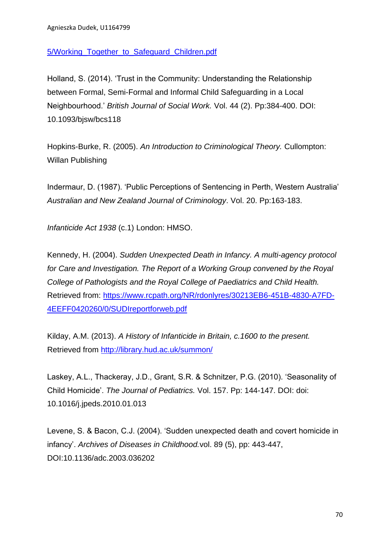## [5/Working\\_Together\\_to\\_Safeguard\\_Children.pdf](https://www.gov.uk/government/uploads/system/uploads/attachment_data/file/419595/Working_Together_to_Safeguard_Children.pdf)

Holland, S. (2014). 'Trust in the Community: Understanding the Relationship between Formal, Semi-Formal and Informal Child Safeguarding in a Local Neighbourhood.' *British Journal of Social Work.* Vol. 44 (2). Pp:384-400. DOI: 10.1093/bjsw/bcs118

Hopkins-Burke, R. (2005). *An Introduction to Criminological Theory.* Cullompton: Willan Publishing

Indermaur, D. (1987). 'Public Perceptions of Sentencing in Perth, Western Australia' *Australian and New Zealand Journal of Criminology*. Vol. 20. Pp:163-183.

*Infanticide Act 1938* (c.1) London: HMSO.

Kennedy, H. (2004). *Sudden Unexpected Death in Infancy. A multi-agency protocol for Care and Investigation. The Report of a Working Group convened by the Royal College of Pathologists and the Royal College of Paediatrics and Child Health.*  Retrieved from: [https://www.rcpath.org/NR/rdonlyres/30213EB6-451B-4830-A7FD-](https://www.rcpath.org/NR/rdonlyres/30213EB6-451B-4830-A7FD-4EEFF0420260/0/SUDIreportforweb.pdf)[4EEFF0420260/0/SUDIreportforweb.pdf](https://www.rcpath.org/NR/rdonlyres/30213EB6-451B-4830-A7FD-4EEFF0420260/0/SUDIreportforweb.pdf)

Kilday, A.M. (2013). *A History of Infanticide in Britain, c.1600 to the present.* Retrieved from<http://library.hud.ac.uk/summon/>

Laskey, A.L., Thackeray, J.D., Grant, S.R. & Schnitzer, P.G. (2010). 'Seasonality of Child Homicide'. *The Journal of Pediatrics.* Vol. 157. Pp: 144-147. DOI: doi: 10.1016/j.jpeds.2010.01.013

Levene, S. & Bacon, C.J. (2004). 'Sudden unexpected death and covert homicide in infancy'. *Archives of Diseases in Childhood.*vol. 89 (5), pp: 443-447, DOI:10.1136/adc.2003.036202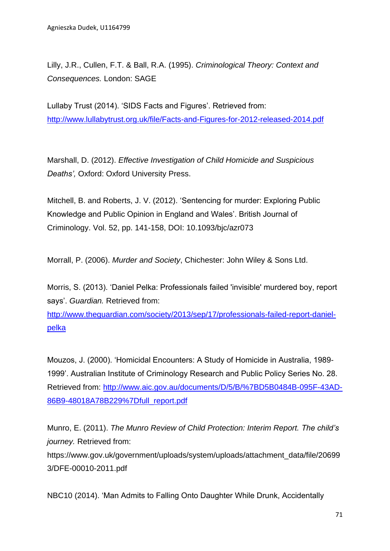Lilly, J.R., Cullen, F.T. & Ball, R.A. (1995). *Criminological Theory: Context and Consequences.* London: SAGE

Lullaby Trust (2014). 'SIDS Facts and Figures'. Retrieved from: <http://www.lullabytrust.org.uk/file/Facts-and-Figures-for-2012-released-2014.pdf>

Marshall, D. (2012). *Effective Investigation of Child Homicide and Suspicious Deaths',* Oxford: Oxford University Press.

Mitchell, B. and Roberts, J. V. (2012). 'Sentencing for murder: Exploring Public Knowledge and Public Opinion in England and Wales'. British Journal of Criminology. Vol. 52, pp. 141-158, DOI: 10.1093/bjc/azr073

Morrall, P. (2006). *Murder and Society*, Chichester: John Wiley & Sons Ltd.

Morris, S. (2013). 'Daniel Pelka: Professionals failed 'invisible' murdered boy, report says'. *Guardian.* Retrieved from:

[http://www.theguardian.com/society/2013/sep/17/professionals-failed-report-daniel](http://www.theguardian.com/society/2013/sep/17/professionals-failed-report-daniel-pelka)[pelka](http://www.theguardian.com/society/2013/sep/17/professionals-failed-report-daniel-pelka)

Mouzos, J. (2000). 'Homicidal Encounters: A Study of Homicide in Australia, 1989- 1999'. Australian Institute of Criminology Research and Public Policy Series No. 28. Retrieved from: [http://www.aic.gov.au/documents/D/5/B/%7BD5B0484B-095F-43AD-](http://www.aic.gov.au/documents/D/5/B/%7BD5B0484B-095F-43AD-86B9-48018A78B229%7Dfull_report.pdf)[86B9-48018A78B229%7Dfull\\_report.pdf](http://www.aic.gov.au/documents/D/5/B/%7BD5B0484B-095F-43AD-86B9-48018A78B229%7Dfull_report.pdf)

Munro, E. (2011). *The Munro Review of Child Protection: Interim Report. The child's journey.* Retrieved from:

https://www.gov.uk/government/uploads/system/uploads/attachment\_data/file/20699 3/DFE-00010-2011.pdf

NBC10 (2014). 'Man Admits to Falling Onto Daughter While Drunk, Accidentally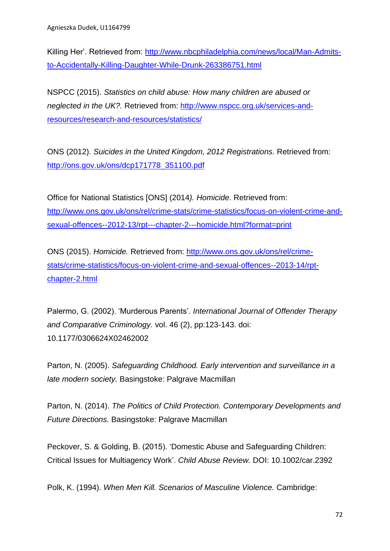Killing Her'. Retrieved from: [http://www.nbcphiladelphia.com/news/local/Man-Admits](http://www.nbcphiladelphia.com/news/local/Man-Admits-to-Accidentally-Killing-Daughter-While-Drunk-263386751.html)[to-Accidentally-Killing-Daughter-While-Drunk-263386751.html](http://www.nbcphiladelphia.com/news/local/Man-Admits-to-Accidentally-Killing-Daughter-While-Drunk-263386751.html)

NSPCC (2015). *Statistics on child abuse: How many children are abused or neglected in the UK?.* Retrieved from: [http://www.nspcc.org.uk/services-and](http://www.nspcc.org.uk/services-and-resources/research-and-resources/statistics/)[resources/research-and-resources/statistics/](http://www.nspcc.org.uk/services-and-resources/research-and-resources/statistics/)

ONS (2012). *Suicides in the United Kingdom, 2012 Registrations.* Retrieved from: [http://ons.gov.uk/ons/dcp171778\\_351100.pdf](http://ons.gov.uk/ons/dcp171778_351100.pdf)

Office for National Statistics [ONS] (2014*). Homicide*. Retrieved from: [http://www.ons.gov.uk/ons/rel/crime-stats/crime-statistics/focus-on-violent-crime-and](http://www.ons.gov.uk/ons/rel/crime-stats/crime-statistics/focus-on-violent-crime-and-sexual-offences--2012-13/rpt---chapter-2---homicide.html?format=print)[sexual-offences--2012-13/rpt---chapter-2---homicide.html?format=print](http://www.ons.gov.uk/ons/rel/crime-stats/crime-statistics/focus-on-violent-crime-and-sexual-offences--2012-13/rpt---chapter-2---homicide.html?format=print)

ONS (2015). *Homicide.* Retrieved from: [http://www.ons.gov.uk/ons/rel/crime](http://www.ons.gov.uk/ons/rel/crime-stats/crime-statistics/focus-on-violent-crime-and-sexual-offences--2013-14/rpt-chapter-2.html)[stats/crime-statistics/focus-on-violent-crime-and-sexual-offences--2013-14/rpt](http://www.ons.gov.uk/ons/rel/crime-stats/crime-statistics/focus-on-violent-crime-and-sexual-offences--2013-14/rpt-chapter-2.html)[chapter-2.html](http://www.ons.gov.uk/ons/rel/crime-stats/crime-statistics/focus-on-violent-crime-and-sexual-offences--2013-14/rpt-chapter-2.html)

Palermo, G. (2002). 'Murderous Parents'. *International Journal of Offender Therapy and Comparative Criminology.* vol. 46 (2), pp:123-143. doi: 10.1177/0306624X02462002

Parton, N. (2005). *Safeguarding Childhood. Early intervention and surveillance in a late modern society.* Basingstoke: Palgrave Macmillan

Parton, N. (2014). *The Politics of Child Protection. Contemporary Developments and Future Directions.* Basingstoke: Palgrave Macmillan

Peckover, S. & Golding, B. (2015). 'Domestic Abuse and Safeguarding Children: Critical Issues for Multiagency Work'. *Child Abuse Review.* DOI: 10.1002/car.2392

Polk, K. (1994). *When Men Kill. Scenarios of Masculine Violence.* Cambridge: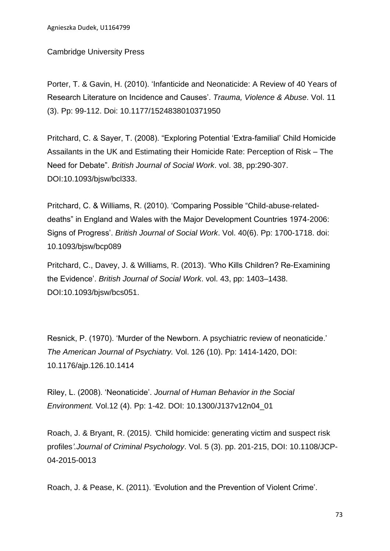Cambridge University Press

Porter, T. & Gavin, H. (2010). 'Infanticide and Neonaticide: A Review of 40 Years of Research Literature on Incidence and Causes'. *Trauma, Violence & Abuse*. Vol. 11 (3). Pp: 99-112. Doi: 10.1177/1524838010371950

Pritchard, C. & Sayer, T. (2008). "Exploring Potential 'Extra-familial' Child Homicide Assailants in the UK and Estimating their Homicide Rate: Perception of Risk – The Need for Debate". *British Journal of Social Work*. vol. 38, pp:290-307. DOI:10.1093/bjsw/bcl333.

Pritchard, C. & Williams, R. (2010). 'Comparing Possible "Child-abuse-relateddeaths" in England and Wales with the Major Development Countries 1974-2006: Signs of Progress'. *British Journal of Social Work*. Vol. 40(6). Pp: 1700-1718. doi: 10.1093/bjsw/bcp089

Pritchard, C., Davey, J. & Williams, R. (2013). 'Who Kills Children? Re-Examining the Evidence'. *British Journal of Social Work*. vol. 43, pp: 1403–1438. DOI:10.1093/bjsw/bcs051.

Resnick, P. (1970). 'Murder of the Newborn. A psychiatric review of neonaticide.' *The American Journal of Psychiatry.* Vol. 126 (10). Pp: 1414-1420, DOI: 10.1176/ajp.126.10.1414

Riley, L. (2008). 'Neonaticide'. *Journal of Human Behavior in the Social Environment.* Vol.12 (4). Pp: 1-42. DOI: 10.1300/J137v12n04\_01

Roach, J. & Bryant, R. (2015*). '*Child homicide: generating victim and suspect risk profiles*'.Journal of Criminal Psychology*. Vol. 5 (3). pp. 201-215, DOI: 10.1108/JCP-04-2015-0013

Roach, J. & Pease, K. (2011). 'Evolution and the Prevention of Violent Crime'.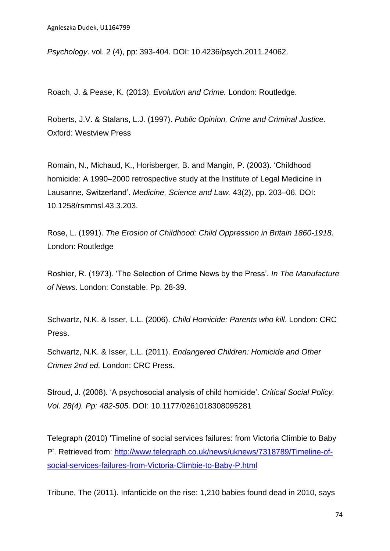*Psychology*. vol. 2 (4), pp: 393-404. DOI: 10.4236/psych.2011.24062.

Roach, J. & Pease, K. (2013). *Evolution and Crime.* London: Routledge.

Roberts, J.V. & Stalans, L.J. (1997). *Public Opinion, Crime and Criminal Justice.*  Oxford: Westview Press

Romain, N., Michaud, K., Horisberger, B. and Mangin, P. (2003). 'Childhood homicide: A 1990–2000 retrospective study at the Institute of Legal Medicine in Lausanne, Switzerland'. *Medicine, Science and Law.* 43(2), pp. 203–06. DOI: 10.1258/rsmmsl.43.3.203.

Rose, L. (1991). *The Erosion of Childhood: Child Oppression in Britain 1860-1918.*  London: Routledge

Roshier, R. (1973). 'The Selection of Crime News by the Press'*. In The Manufacture of News*. London: Constable. Pp. 28-39.

Schwartz, N.K. & Isser, L.L. (2006). *Child Homicide: Parents who kill*. London: CRC Press.

Schwartz, N.K. & Isser, L.L. (2011). *Endangered Children: Homicide and Other Crimes 2nd ed.* London: CRC Press.

Stroud, J. (2008). 'A psychosocial analysis of child homicide'. *Critical Social Policy. Vol. 28(4). Pp: 482-505.* DOI: 10.1177/0261018308095281

Telegraph (2010) 'Timeline of social services failures: from Victoria Climbie to Baby P'. Retrieved from: [http://www.telegraph.co.uk/news/uknews/7318789/Timeline-of](http://www.telegraph.co.uk/news/uknews/7318789/Timeline-of-social-services-failures-from-Victoria-Climbie-to-Baby-P.html)[social-services-failures-from-Victoria-Climbie-to-Baby-P.html](http://www.telegraph.co.uk/news/uknews/7318789/Timeline-of-social-services-failures-from-Victoria-Climbie-to-Baby-P.html)

Tribune, The (2011). Infanticide on the rise: 1,210 babies found dead in 2010, says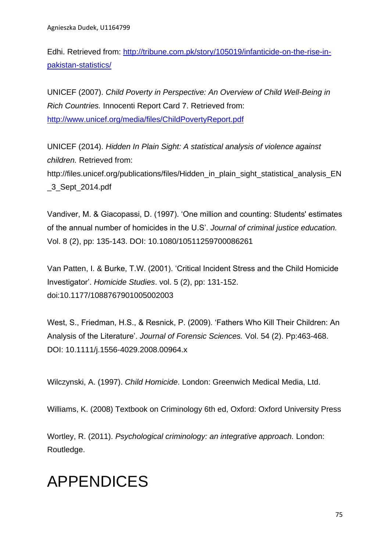Edhi. Retrieved from: [http://tribune.com.pk/story/105019/infanticide-on-the-rise-in](http://tribune.com.pk/story/105019/infanticide-on-the-rise-in-pakistan-statistics/)[pakistan-statistics/](http://tribune.com.pk/story/105019/infanticide-on-the-rise-in-pakistan-statistics/)

UNICEF (2007). *Child Poverty in Perspective: An Overview of Child Well-Being in Rich Countries.* Innocenti Report Card 7. Retrieved from: <http://www.unicef.org/media/files/ChildPovertyReport.pdf>

UNICEF (2014). *Hidden In Plain Sight: A statistical analysis of violence against children.* Retrieved from: http://files.unicef.org/publications/files/Hidden\_in\_plain\_sight\_statistical\_analysis\_EN \_3\_Sept\_2014.pdf

Vandiver, M. & Giacopassi, D. (1997). 'One million and counting: Students' estimates of the annual number of homicides in the U.S'. *Journal of criminal justice education.*  Vol. 8 (2), pp: 135-143. DOI: 10.1080/10511259700086261

Van Patten, I. & Burke, T.W. (2001). 'Critical Incident Stress and the Child Homicide Investigator'. *Homicide Studies*. vol. 5 (2), pp: 131-152. doi:10.1177/1088767901005002003

West, S., Friedman, H.S., & Resnick, P. (2009). 'Fathers Who Kill Their Children: An Analysis of the Literature'. *Journal of Forensic Sciences.* Vol. 54 (2). Pp:463-468. DOI: 10.1111/j.1556-4029.2008.00964.x

Wilczynski, A. (1997). *Child Homicide*. London: Greenwich Medical Media, Ltd.

Williams, K. (2008) Textbook on Criminology 6th ed, Oxford: Oxford University Press

Wortley, R. (2011). *Psychological criminology: an integrative approach.* London: Routledge.

# APPENDICES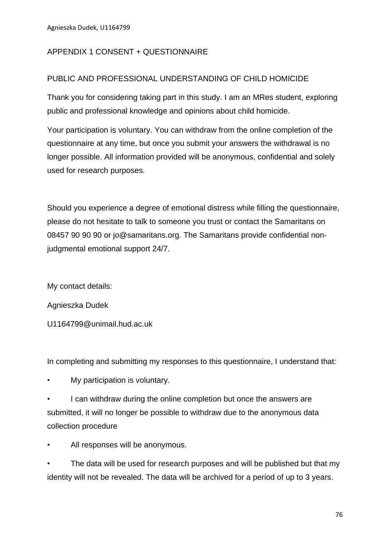#### APPENDIX 1 CONSENT + QUESTIONNAIRE

#### PUBLIC AND PROFESSIONAL UNDERSTANDING OF CHILD HOMICIDE

Thank you for considering taking part in this study. I am an MRes student, exploring public and professional knowledge and opinions about child homicide.

Your participation is voluntary. You can withdraw from the online completion of the questionnaire at any time, but once you submit your answers the withdrawal is no longer possible. All information provided will be anonymous, confidential and solely used for research purposes.

Should you experience a degree of emotional distress while filling the questionnaire, please do not hesitate to talk to someone you trust or contact the Samaritans on 08457 90 90 90 or jo@samaritans.org. The Samaritans provide confidential nonjudgmental emotional support 24/7.

My contact details:

Agnieszka Dudek

U1164799@unimail.hud.ac.uk

In completing and submitting my responses to this questionnaire, I understand that:

- My participation is voluntary.
- I can withdraw during the online completion but once the answers are submitted, it will no longer be possible to withdraw due to the anonymous data collection procedure
- All responses will be anonymous.

The data will be used for research purposes and will be published but that my identity will not be revealed. The data will be archived for a period of up to 3 years.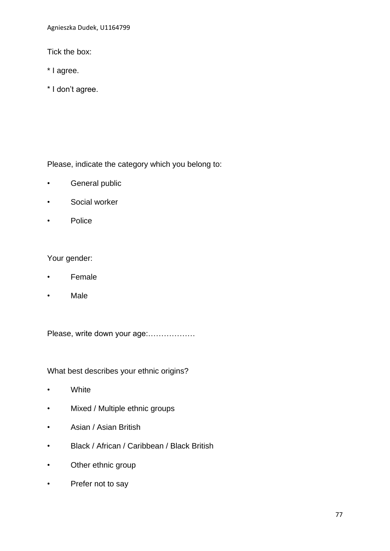Agnieszka Dudek, U1164799

Tick the box:

- \* I agree.
- \* I don't agree.

Please, indicate the category which you belong to:

- General public
- Social worker
- Police

Your gender:

- Female
- Male

Please, write down your age:………………

What best describes your ethnic origins?

- White
- Mixed / Multiple ethnic groups
- Asian / Asian British
- Black / African / Caribbean / Black British
- Other ethnic group
- Prefer not to say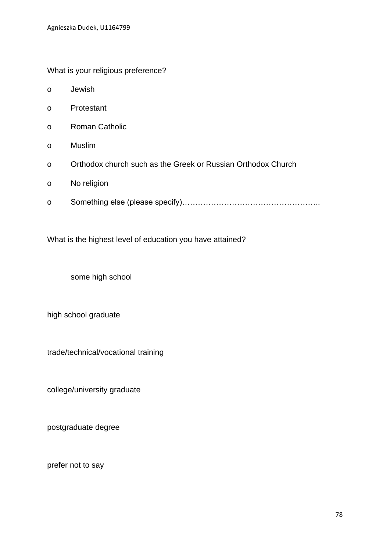What is your religious preference?

- o Jewish
- o Protestant
- o Roman Catholic
- o Muslim
- o Orthodox church such as the Greek or Russian Orthodox Church
- o No religion
- o Something else (please specify)……………………………………………..

What is the highest level of education you have attained?

some high school

high school graduate

trade/technical/vocational training

college/university graduate

postgraduate degree

prefer not to say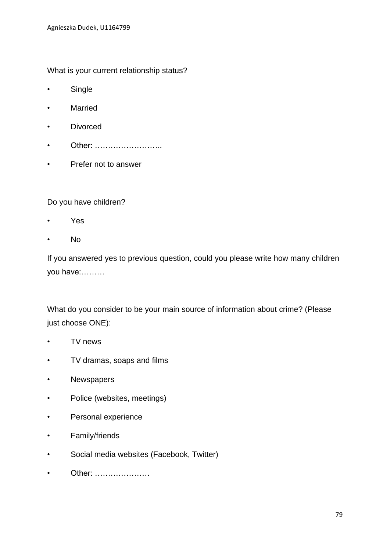What is your current relationship status?

- Single
- Married
- Divorced
- Other: ……………………
- Prefer not to answer

Do you have children?

- Yes
- No

If you answered yes to previous question, could you please write how many children you have:………

What do you consider to be your main source of information about crime? (Please just choose ONE):

- TV news
- TV dramas, soaps and films
- Newspapers
- Police (websites, meetings)
- Personal experience
- Family/friends
- Social media websites (Facebook, Twitter)
- Other: …………………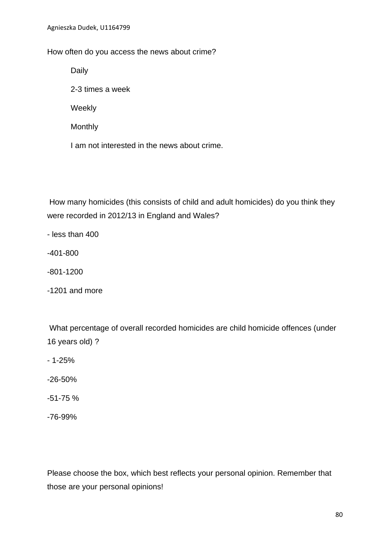#### How often do you access the news about crime?

Daily

2-3 times a week

Weekly

**Monthly** 

I am not interested in the news about crime.

How many homicides (this consists of child and adult homicides) do you think they were recorded in 2012/13 in England and Wales?

- less than 400

-401-800

-801-1200

-1201 and more

What percentage of overall recorded homicides are child homicide offences (under 16 years old) ?

- 1-25%

-26-50%

-51-75 %

-76-99%

Please choose the box, which best reflects your personal opinion. Remember that those are your personal opinions!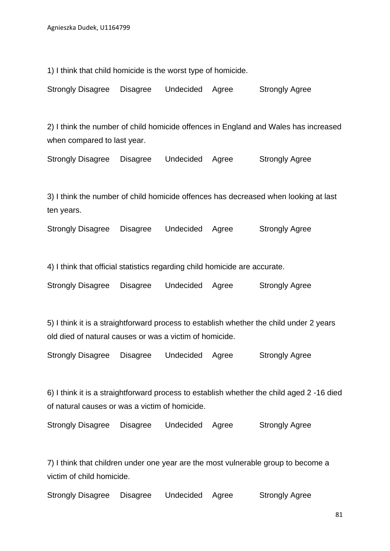1) I think that child homicide is the worst type of homicide.

Strongly Disagree Disagree Undecided Agree Strongly Agree

2) I think the number of child homicide offences in England and Wales has increased when compared to last year.

Strongly Disagree Disagree Undecided Agree Strongly Agree

3) I think the number of child homicide offences has decreased when looking at last ten years.

Strongly Disagree Disagree Undecided Agree Strongly Agree

4) I think that official statistics regarding child homicide are accurate.

Strongly Disagree Disagree Undecided Agree Strongly Agree

5) I think it is a straightforward process to establish whether the child under 2 years old died of natural causes or was a victim of homicide.

Strongly Disagree Disagree Undecided Agree Strongly Agree

6) I think it is a straightforward process to establish whether the child aged 2 -16 died of natural causes or was a victim of homicide.

Strongly Disagree Disagree Undecided Agree Strongly Agree

7) I think that children under one year are the most vulnerable group to become a victim of child homicide.

Strongly Disagree Disagree Undecided Agree Strongly Agree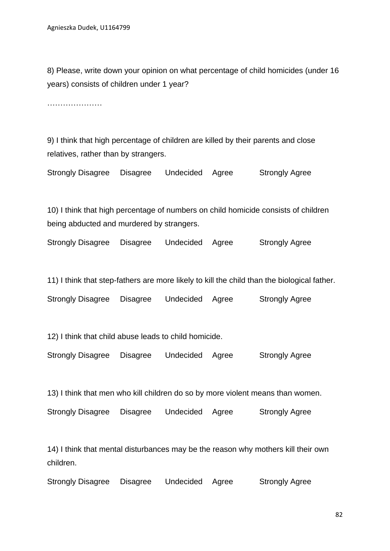8) Please, write down your opinion on what percentage of child homicides (under 16 years) consists of children under 1 year?

…………………

9) I think that high percentage of children are killed by their parents and close relatives, rather than by strangers.

Strongly Disagree Disagree Undecided Agree Strongly Agree

10) I think that high percentage of numbers on child homicide consists of children being abducted and murdered by strangers.

Strongly Disagree Disagree Undecided Agree Strongly Agree

11) I think that step-fathers are more likely to kill the child than the biological father.

Strongly Disagree Disagree Undecided Agree Strongly Agree

12) I think that child abuse leads to child homicide.

Strongly Disagree Disagree Undecided Agree Strongly Agree

13) I think that men who kill children do so by more violent means than women.

Strongly Disagree Disagree Undecided Agree Strongly Agree

14) I think that mental disturbances may be the reason why mothers kill their own children.

Strongly Disagree Disagree Undecided Agree Strongly Agree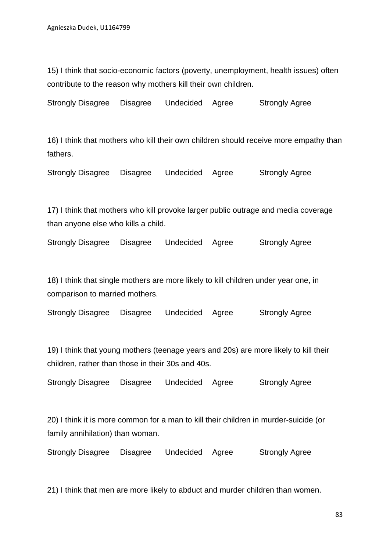15) I think that socio-economic factors (poverty, unemployment, health issues) often contribute to the reason why mothers kill their own children.

Strongly Disagree Disagree Undecided Agree Strongly Agree

16) I think that mothers who kill their own children should receive more empathy than fathers.

Strongly Disagree Disagree Undecided Agree Strongly Agree

17) I think that mothers who kill provoke larger public outrage and media coverage than anyone else who kills a child.

Strongly Disagree Disagree Undecided Agree Strongly Agree

18) I think that single mothers are more likely to kill children under year one, in comparison to married mothers.

| <b>Strongly Disagree</b> | Disagree | Undecided Agree | <b>Strongly Agree</b> |
|--------------------------|----------|-----------------|-----------------------|
|                          |          |                 |                       |

19) I think that young mothers (teenage years and 20s) are more likely to kill their children, rather than those in their 30s and 40s.

Strongly Disagree Disagree Undecided Agree Strongly Agree

20) I think it is more common for a man to kill their children in murder-suicide (or family annihilation) than woman.

Strongly Disagree Disagree Undecided Agree Strongly Agree

21) I think that men are more likely to abduct and murder children than women.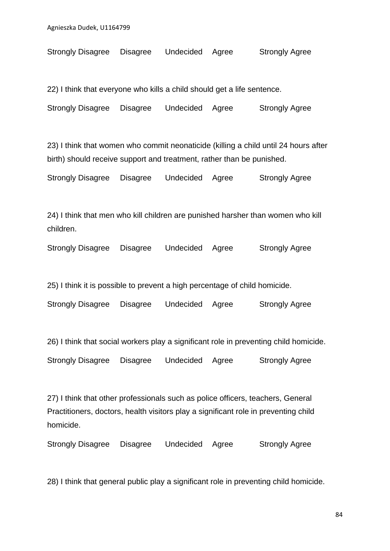Strongly Disagree Disagree Undecided Agree Strongly Agree

22) I think that everyone who kills a child should get a life sentence.

Strongly Disagree Disagree Undecided Agree Strongly Agree

23) I think that women who commit neonaticide (killing a child until 24 hours after birth) should receive support and treatment, rather than be punished.

Strongly Disagree Disagree Undecided Agree Strongly Agree

24) I think that men who kill children are punished harsher than women who kill children.

Strongly Disagree Disagree Undecided Agree Strongly Agree

25) I think it is possible to prevent a high percentage of child homicide.

Strongly Disagree Disagree Undecided Agree Strongly Agree

26) I think that social workers play a significant role in preventing child homicide.

Strongly Disagree Disagree Undecided Agree Strongly Agree

27) I think that other professionals such as police officers, teachers, General Practitioners, doctors, health visitors play a significant role in preventing child homicide.

Strongly Disagree Disagree Undecided Agree Strongly Agree

28) I think that general public play a significant role in preventing child homicide.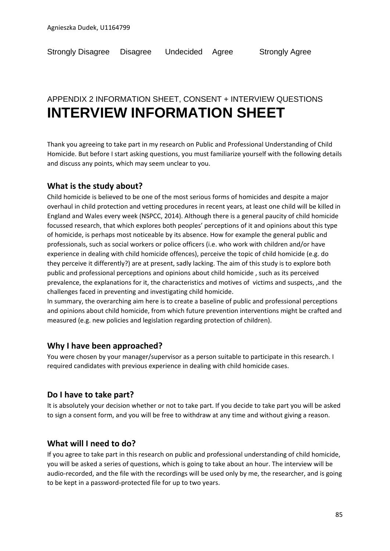## APPENDIX 2 INFORMATION SHEET, CONSENT + INTERVIEW QUESTIONS **INTERVIEW INFORMATION SHEET**

Thank you agreeing to take part in my research on Public and Professional Understanding of Child Homicide. But before I start asking questions, you must familiarize yourself with the following details and discuss any points, which may seem unclear to you.

#### **What is the study about?**

Child homicide is believed to be one of the most serious forms of homicides and despite a major overhaul in child protection and vetting procedures in recent years, at least one child will be killed in England and Wales every week (NSPCC, 2014). Although there is a general paucity of child homicide focussed research, that which explores both peoples' perceptions of it and opinions about this type of homicide, is perhaps most noticeable by its absence. How for example the general public and professionals, such as social workers or police officers (i.e. who work with children and/or have experience in dealing with child homicide offences), perceive the topic of child homicide (e.g. do they perceive it differently?) are at present, sadly lacking. The aim of this study is to explore both public and professional perceptions and opinions about child homicide , such as its perceived prevalence, the explanations for it, the characteristics and motives of victims and suspects, ,and the challenges faced in preventing and investigating child homicide.

In summary, the overarching aim here is to create a baseline of public and professional perceptions and opinions about child homicide, from which future prevention interventions might be crafted and measured (e.g. new policies and legislation regarding protection of children).

#### **Why I have been approached?**

You were chosen by your manager/supervisor as a person suitable to participate in this research. I required candidates with previous experience in dealing with child homicide cases.

#### **Do I have to take part?**

It is absolutely your decision whether or not to take part. If you decide to take part you will be asked to sign a consent form, and you will be free to withdraw at any time and without giving a reason.

#### **What will I need to do?**

If you agree to take part in this research on public and professional understanding of child homicide, you will be asked a series of questions, which is going to take about an hour. The interview will be audio-recorded, and the file with the recordings will be used only by me, the researcher, and is going to be kept in a password-protected file for up to two years.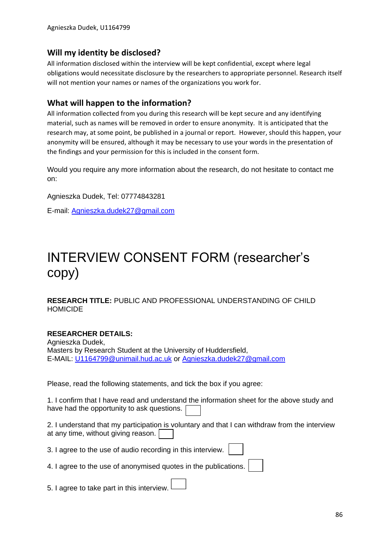#### **Will my identity be disclosed?**

All information disclosed within the interview will be kept confidential, except where legal obligations would necessitate disclosure by the researchers to appropriate personnel. Research itself will not mention your names or names of the organizations you work for.

#### **What will happen to the information?**

All information collected from you during this research will be kept secure and any identifying material, such as names will be removed in order to ensure anonymity. It is anticipated that the research may, at some point, be published in a journal or report. However, should this happen, your anonymity will be ensured, although it may be necessary to use your words in the presentation of the findings and your permission for this is included in the consent form.

Would you require any more information about the research, do not hesitate to contact me on:

Agnieszka Dudek, Tel: 07774843281

E-mail: [Agnieszka.dudek27@gmail.com](mailto:Agnieszka.dudek27@gmail.com)

## INTERVIEW CONSENT FORM (researcher's copy)

**RESEARCH TITLE:** PUBLIC AND PROFESSIONAL UNDERSTANDING OF CHILD HOMICIDE

#### **RESEARCHER DETAILS:**

Agnieszka Dudek, Masters by Research Student at the University of Huddersfield, E-MAIL: [U1164799@unimail.hud.ac.uk](mailto:U1164799@unimail.hud.ac.uk) or [Agnieszka.dudek27@gmail.com](mailto:Agnieszka.dudek27@gmail.com)

Please, read the following statements, and tick the box if you agree:

1. I confirm that I have read and understand the information sheet for the above study and have had the opportunity to ask questions.

2. I understand that my participation is voluntary and that I can withdraw from the interview at any time, without giving reason.

3. I agree to the use of audio recording in this interview.

4. I agree to the use of anonymised quotes in the publications.

5. I agree to take part in this interview.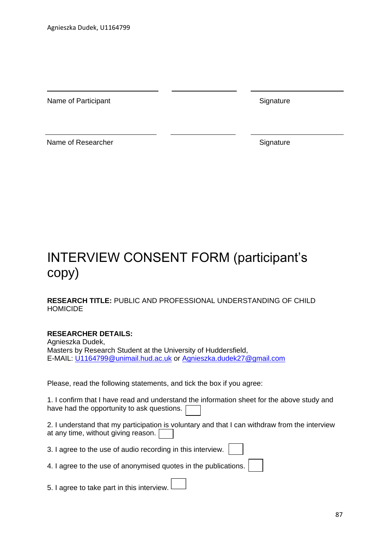Name of Participant Name of Participant

Name of Researcher Signature Signature

## INTERVIEW CONSENT FORM (participant's copy)

**RESEARCH TITLE:** PUBLIC AND PROFESSIONAL UNDERSTANDING OF CHILD HOMICIDE

#### **RESEARCHER DETAILS:**

Agnieszka Dudek, Masters by Research Student at the University of Huddersfield, E-MAIL: [U1164799@unimail.hud.ac.uk](mailto:U1164799@unimail.hud.ac.uk) or [Agnieszka.dudek27@gmail.com](mailto:Agnieszka.dudek27@gmail.com)

Please, read the following statements, and tick the box if you agree:

1. I confirm that I have read and understand the information sheet for the above study and have had the opportunity to ask questions.

2. I understand that my participation is voluntary and that I can withdraw from the interview at any time, without giving reason.

3. I agree to the use of audio recording in this interview.

4. I agree to the use of anonymised quotes in the publications.

5. I agree to take part in this interview.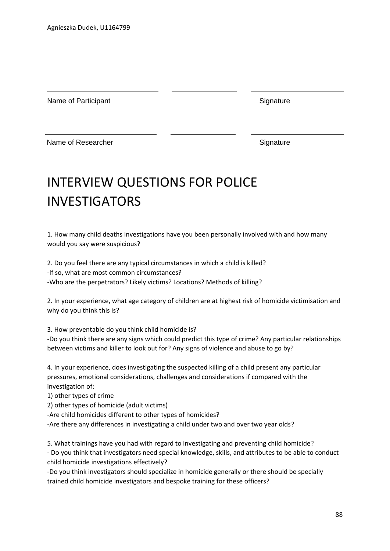Name of Participant Signature Signature

Name of Researcher Signature

## INTERVIEW QUESTIONS FOR POLICE INVESTIGATORS

1. How many child deaths investigations have you been personally involved with and how many would you say were suspicious?

2. Do you feel there are any typical circumstances in which a child is killed? -If so, what are most common circumstances? -Who are the perpetrators? Likely victims? Locations? Methods of killing?

2. In your experience, what age category of children are at highest risk of homicide victimisation and why do you think this is?

3. How preventable do you think child homicide is?

-Do you think there are any signs which could predict this type of crime? Any particular relationships between victims and killer to look out for? Any signs of violence and abuse to go by?

4. In your experience, does investigating the suspected killing of a child present any particular pressures, emotional considerations, challenges and considerations if compared with the investigation of:

1) other types of crime

2) other types of homicide (adult victims)

-Are child homicides different to other types of homicides?

-Are there any differences in investigating a child under two and over two year olds?

5. What trainings have you had with regard to investigating and preventing child homicide? - Do you think that investigators need special knowledge, skills, and attributes to be able to conduct child homicide investigations effectively?

-Do you think investigators should specialize in homicide generally or there should be specially trained child homicide investigators and bespoke training for these officers?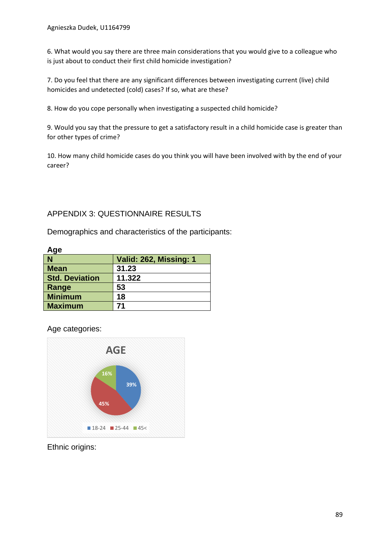6. What would you say there are three main considerations that you would give to a colleague who is just about to conduct their first child homicide investigation?

7. Do you feel that there are any significant differences between investigating current (live) child homicides and undetected (cold) cases? If so, what are these?

8. How do you cope personally when investigating a suspected child homicide?

9. Would you say that the pressure to get a satisfactory result in a child homicide case is greater than for other types of crime?

10. How many child homicide cases do you think you will have been involved with by the end of your career?

#### APPENDIX 3: QUESTIONNAIRE RESULTS

Demographics and characteristics of the participants:

| лус                   |                        |
|-----------------------|------------------------|
| N                     | Valid: 262, Missing: 1 |
| <b>Mean</b>           | 31.23                  |
| <b>Std. Deviation</b> | 11.322                 |
| Range                 | 53                     |
| <b>Minimum</b>        | 18                     |
| <b>Maximum</b>        | 71                     |

Age categories:

**Age**



Ethnic origins: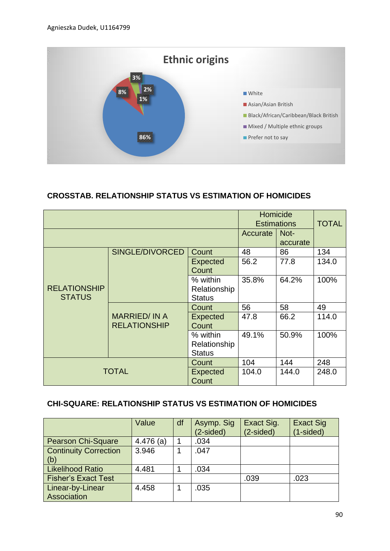

#### **CROSSTAB. RELATIONSHIP STATUS VS ESTIMATION OF HOMICIDES**

|                     |                     | Homicide<br><b>Estimations</b> |          | <b>TOTAL</b> |       |
|---------------------|---------------------|--------------------------------|----------|--------------|-------|
|                     |                     |                                | Accurate | Not-         |       |
|                     |                     |                                |          | accurate     |       |
|                     | SINGLE/DIVORCED     | Count                          | 48       | 86           | 134   |
|                     |                     | <b>Expected</b>                | 56.2     | 77.8         | 134.0 |
|                     |                     | Count                          |          |              |       |
|                     |                     | % within                       | 35.8%    | 64.2%        | 100%  |
| <b>RELATIONSHIP</b> |                     | Relationship                   |          |              |       |
| <b>STATUS</b>       |                     | <b>Status</b>                  |          |              |       |
|                     | <b>MARRIED/IN A</b> | Count                          | 56       | 58           | 49    |
|                     |                     | <b>Expected</b>                | 47.8     | 66.2         | 114.0 |
|                     | <b>RELATIONSHIP</b> | Count                          |          |              |       |
|                     |                     | % within                       | 49.1%    | 50.9%        | 100%  |
|                     |                     | Relationship                   |          |              |       |
|                     |                     | <b>Status</b>                  |          |              |       |
|                     |                     | Count                          | 104      | 144          | 248   |
| <b>TOTAL</b>        | <b>Expected</b>     | 104.0                          | 144.0    | 248.0        |       |
|                     |                     | Count                          |          |              |       |

## **CHI-SQUARE: RELATIONSHIP STATUS VS ESTIMATION OF HOMICIDES**

|                                     | Value       | df | Asymp. Sig<br>$(2-sided)$ | Exact Sig.<br>$(2-sided)$ | <b>Exact Sig</b><br>$(1-sided)$ |
|-------------------------------------|-------------|----|---------------------------|---------------------------|---------------------------------|
| <b>Pearson Chi-Square</b>           | $4.476$ (a) |    | .034                      |                           |                                 |
| <b>Continuity Correction</b><br>(b) | 3.946       |    | .047                      |                           |                                 |
| <b>Likelihood Ratio</b>             | 4.481       |    | .034                      |                           |                                 |
| <b>Fisher's Exact Test</b>          |             |    |                           | .039                      | .023                            |
| Linear-by-Linear<br>Association     | 4.458       |    | .035                      |                           |                                 |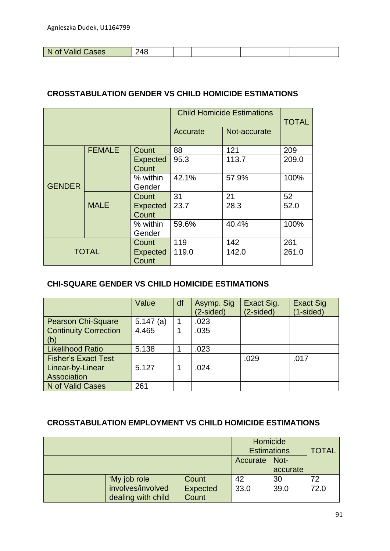| -N<br>Cases<br>Valid<br>0t | '4Ն |  |  |
|----------------------------|-----|--|--|

#### **CROSSTABULATION GENDER VS CHILD HOMICIDE ESTIMATIONS**

|               |               |                          | <b>Child Homicide Estimations</b> | <b>TOTAL</b> |       |
|---------------|---------------|--------------------------|-----------------------------------|--------------|-------|
|               |               |                          | Accurate                          | Not-accurate |       |
|               | <b>FEMALE</b> | Count                    | 88                                | 121          | 209   |
|               |               | <b>Expected</b><br>Count | 95.3                              | 113.7        | 209.0 |
| <b>GENDER</b> |               | % within<br>Gender       | 42.1%                             | 57.9%        | 100%  |
|               |               | Count                    | 31                                | 21           | 52    |
|               | <b>MALE</b>   | <b>Expected</b><br>Count | 23.7                              | 28.3         | 52.0  |
|               |               | % within<br>Gender       | 59.6%                             | 40.4%        | 100%  |
| <b>TOTAL</b>  |               | Count                    | 119                               | 142          | 261   |
|               |               | <b>Expected</b><br>Count | 119.0                             | 142.0        | 261.0 |

#### **CHI-SQUARE GENDER VS CHILD HOMICIDE ESTIMATIONS**

|                                        | Value       | df | Asymp. Sig<br>(2-sided) | Exact Sig.<br>$(2-sided)$ | <b>Exact Sig</b><br>(1-sided) |
|----------------------------------------|-------------|----|-------------------------|---------------------------|-------------------------------|
| <b>Pearson Chi-Square</b>              | $5.147$ (a) |    | .023                    |                           |                               |
| <b>Continuity Correction</b><br>  (b)  | 4.465       |    | .035                    |                           |                               |
| <b>Likelihood Ratio</b>                | 5.138       |    | .023                    |                           |                               |
| <b>Fisher's Exact Test</b>             |             |    |                         | .029                      | .017                          |
| Linear-by-Linear<br><b>Association</b> | 5.127       |    | .024                    |                           |                               |
| N of Valid Cases                       | 261         |    |                         |                           |                               |

#### **CROSSTABULATION EMPLOYMENT VS CHILD HOMICIDE ESTIMATIONS**

|                    | Homicide<br><b>Estimations</b> |          | <b>TOTAL</b> |      |
|--------------------|--------------------------------|----------|--------------|------|
|                    |                                | Accurate | Not-         |      |
|                    |                                |          | accurate     |      |
| 'My job role       | Count                          | 42       | 30           | 72   |
| involves/involved  | <b>Expected</b>                | 33.0     | 39.0         | 72.0 |
| dealing with child | Count                          |          |              |      |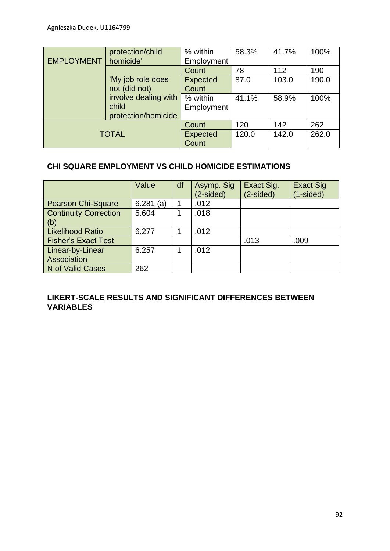|                   | protection/child     | % within        | 58.3% | 41.7% | 100%  |
|-------------------|----------------------|-----------------|-------|-------|-------|
| <b>EMPLOYMENT</b> | homicide'            | Employment      |       |       |       |
|                   |                      | Count           | 78    | 112   | 190   |
|                   | 'My job role does    | <b>Expected</b> | 87.0  | 103.0 | 190.0 |
|                   | not (did not)        | Count           |       |       |       |
|                   | involve dealing with | % within        | 41.1% | 58.9% | 100%  |
|                   | child                | Employment      |       |       |       |
|                   | protection/homicide  |                 |       |       |       |
|                   |                      | Count           | 120   | 142   | 262   |
| <b>TOTAL</b>      |                      | <b>Expected</b> | 120.0 | 142.0 | 262.0 |
|                   |                      | Count           |       |       |       |

#### **CHI SQUARE EMPLOYMENT VS CHILD HOMICIDE ESTIMATIONS**

|                                     | Value       | df | Asymp. Sig<br>(2-sided) | Exact Sig.<br>$(2-sided)$ | <b>Exact Sig</b><br>$(1-sided)$ |
|-------------------------------------|-------------|----|-------------------------|---------------------------|---------------------------------|
| <b>Pearson Chi-Square</b>           | $6.281$ (a) |    | .012                    |                           |                                 |
| <b>Continuity Correction</b><br>(b) | 5.604       |    | .018                    |                           |                                 |
| <b>Likelihood Ratio</b>             | 6.277       |    | .012                    |                           |                                 |
| <b>Fisher's Exact Test</b>          |             |    |                         | .013                      | .009                            |
| Linear-by-Linear<br>Association     | 6.257       |    | .012                    |                           |                                 |
| N of Valid Cases                    | 262         |    |                         |                           |                                 |

#### **LIKERT-SCALE RESULTS AND SIGNIFICANT DIFFERENCES BETWEEN VARIABLES**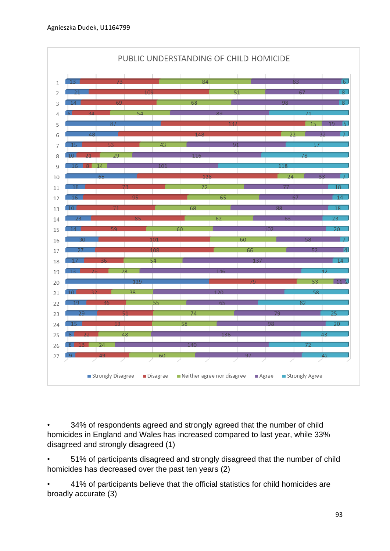

• 34% of respondents agreed and strongly agreed that the number of child homicides in England and Wales has increased compared to last year, while 33% disagreed and strongly disagreed (1)

• 51% of participants disagreed and strongly disagreed that the number of child homicides has decreased over the past ten years (2)

• 41% of participants believe that the official statistics for child homicides are broadly accurate (3)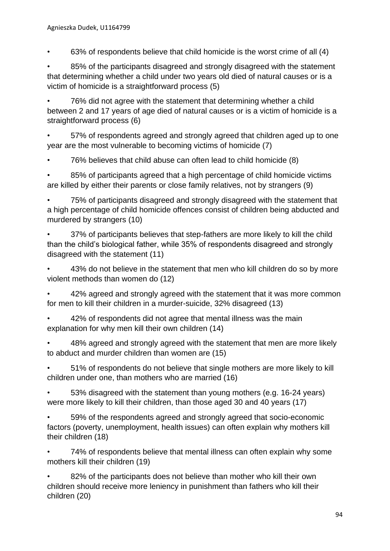• 63% of respondents believe that child homicide is the worst crime of all (4)

• 85% of the participants disagreed and strongly disagreed with the statement that determining whether a child under two years old died of natural causes or is a victim of homicide is a straightforward process (5)

• 76% did not agree with the statement that determining whether a child between 2 and 17 years of age died of natural causes or is a victim of homicide is a straightforward process (6)

• 57% of respondents agreed and strongly agreed that children aged up to one year are the most vulnerable to becoming victims of homicide (7)

• 76% believes that child abuse can often lead to child homicide (8)

• 85% of participants agreed that a high percentage of child homicide victims are killed by either their parents or close family relatives, not by strangers (9)

• 75% of participants disagreed and strongly disagreed with the statement that a high percentage of child homicide offences consist of children being abducted and murdered by strangers (10)

• 37% of participants believes that step-fathers are more likely to kill the child than the child's biological father, while 35% of respondents disagreed and strongly disagreed with the statement (11)

• 43% do not believe in the statement that men who kill children do so by more violent methods than women do (12)

• 42% agreed and strongly agreed with the statement that it was more common for men to kill their children in a murder-suicide, 32% disagreed (13)

• 42% of respondents did not agree that mental illness was the main explanation for why men kill their own children (14)

• 48% agreed and strongly agreed with the statement that men are more likely to abduct and murder children than women are (15)

• 51% of respondents do not believe that single mothers are more likely to kill children under one, than mothers who are married (16)

• 53% disagreed with the statement than young mothers (e.g. 16-24 years) were more likely to kill their children, than those aged 30 and 40 years (17)

• 59% of the respondents agreed and strongly agreed that socio-economic factors (poverty, unemployment, health issues) can often explain why mothers kill their children (18)

• 74% of respondents believe that mental illness can often explain why some mothers kill their children (19)

• 82% of the participants does not believe than mother who kill their own children should receive more leniency in punishment than fathers who kill their children (20)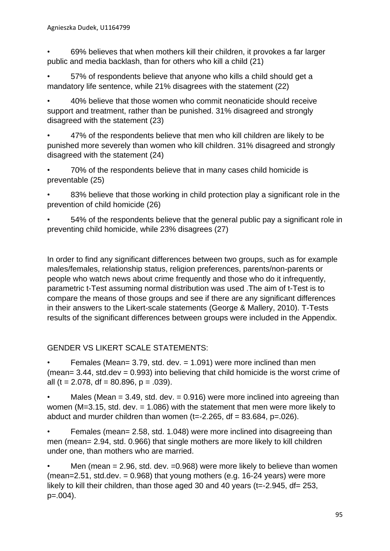• 69% believes that when mothers kill their children, it provokes a far larger public and media backlash, than for others who kill a child (21)

• 57% of respondents believe that anyone who kills a child should get a mandatory life sentence, while 21% disagrees with the statement (22)

• 40% believe that those women who commit neonaticide should receive support and treatment, rather than be punished. 31% disagreed and strongly disagreed with the statement (23)

• 47% of the respondents believe that men who kill children are likely to be punished more severely than women who kill children. 31% disagreed and strongly disagreed with the statement (24)

• 70% of the respondents believe that in many cases child homicide is preventable (25)

83% believe that those working in child protection play a significant role in the prevention of child homicide (26)

• 54% of the respondents believe that the general public pay a significant role in preventing child homicide, while 23% disagrees (27)

In order to find any significant differences between two groups, such as for example males/females, relationship status, religion preferences, parents/non-parents or people who watch news about crime frequently and those who do it infrequently, parametric t-Test assuming normal distribution was used .The aim of t-Test is to compare the means of those groups and see if there are any significant differences in their answers to the Likert-scale statements (George & Mallery, 2010). T-Tests results of the significant differences between groups were included in the Appendix.

#### GENDER VS LIKERT SCALE STATEMENTS:

Females (Mean=  $3.79$ , std. dev. =  $1.091$ ) were more inclined than men (mean=  $3.44$ , std.dev =  $0.993$ ) into believing that child homicide is the worst crime of all (t = 2.078, df = 80.896, p = .039).

• Males (Mean  $= 3.49$ , std. dev.  $= 0.916$ ) were more inclined into agreeing than women (M=3.15, std. dev. = 1.086) with the statement that men were more likely to abduct and murder children than women  $(t=-2.265, df = 83.684, p=.026)$ .

Females (mean= 2.58, std. 1.048) were more inclined into disagreeing than men (mean= 2.94, std. 0.966) that single mothers are more likely to kill children under one, than mothers who are married.

Men (mean  $= 2.96$ , std. dev.  $= 0.968$ ) were more likely to believe than women (mean=2.51, std.dev. =  $0.968$ ) that young mothers (e.g. 16-24 years) were more likely to kill their children, than those aged 30 and 40 years (t=-2.945, df= 253,  $p=.004$ ).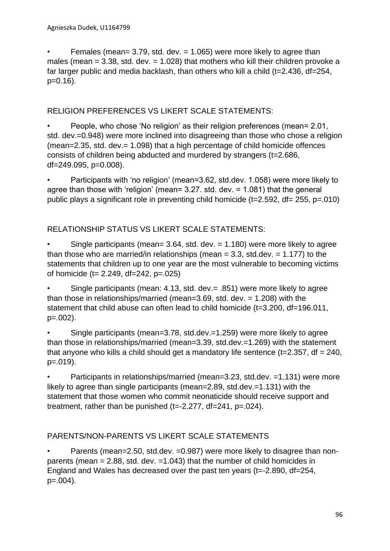Females (mean=  $3.79$ , std. dev. =  $1.065$ ) were more likely to agree than males (mean  $= 3.38$ , std. dev.  $= 1.028$ ) that mothers who kill their children provoke a far larger public and media backlash, than others who kill a child (t=2.436, df=254, p=0.16).

#### RELIGION PREFERENCES VS LIKERT SCALE STATEMENTS:

• People, who chose 'No religion' as their religion preferences (mean= 2.01, std. dev.=0.948) were more inclined into disagreeing than those who chose a religion (mean=2.35, std. dev.= 1.098) that a high percentage of child homicide offences consists of children being abducted and murdered by strangers (t=2.686, df=249.095, p=0.008).

• Participants with 'no religion' (mean=3.62, std.dev. 1.058) were more likely to agree than those with 'religion' (mean= 3.27. std. dev. = 1.081) that the general public plays a significant role in preventing child homicide (t=2.592, df= 255, p=.010)

#### RELATIONSHIP STATUS VS LIKERT SCALE STATEMENTS:

Single participants (mean=  $3.64$ , std. dev. =  $1.180$ ) were more likely to agree than those who are married/in relationships (mean  $= 3.3$ , std.dev.  $= 1.177$ ) to the statements that children up to one year are the most vulnerable to becoming victims of homicide (t= 2.249, df=242, p=.025)

• Single participants (mean: 4.13, std. dev.= .851) were more likely to agree than those in relationships/married (mean=3.69, std. dev. = 1.208) with the statement that child abuse can often lead to child homicide (t=3.200, df=196.011, p=.002).

• Single participants (mean=3.78, std.dev.=1.259) were more likely to agree than those in relationships/married (mean=3.39, std.dev.=1.269) with the statement that anyone who kills a child should get a mandatory life sentence ( $t=2.357$ , df = 240,  $p=.019$ .

• Participants in relationships/married (mean=3.23, std.dev. =1.131) were more likely to agree than single participants (mean=2.89, std.dev.=1.131) with the statement that those women who commit neonaticide should receive support and treatment, rather than be punished (t=-2.277, df=241, p=.024).

#### PARENTS/NON-PARENTS VS LIKERT SCALE STATEMENTS

• Parents (mean=2.50, std.dev. =0.987) were more likely to disagree than nonparents (mean  $= 2.88$ , std. dev.  $= 1.043$ ) that the number of child homicides in England and Wales has decreased over the past ten years (t=-2.890, df=254,  $p=.004$ ).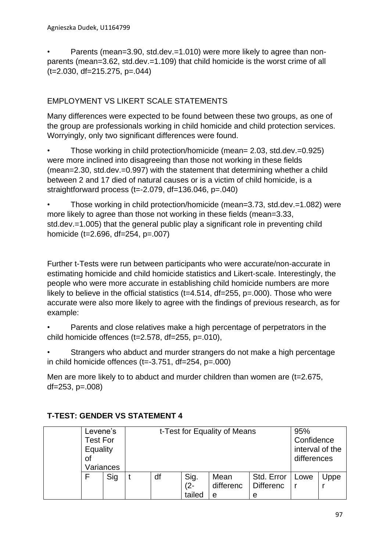• Parents (mean=3.90, std.dev.=1.010) were more likely to agree than nonparents (mean=3.62, std.dev.=1.109) that child homicide is the worst crime of all (t=2.030, df=215.275, p=.044)

## EMPLOYMENT VS LIKERT SCALE STATEMENTS

Many differences were expected to be found between these two groups, as one of the group are professionals working in child homicide and child protection services. Worryingly, only two significant differences were found.

• Those working in child protection/homicide (mean= 2.03, std.dev.=0.925) were more inclined into disagreeing than those not working in these fields (mean=2.30, std.dev.=0.997) with the statement that determining whether a child between 2 and 17 died of natural causes or is a victim of child homicide, is a straightforward process (t=-2.079, df=136.046, p=.040)

• Those working in child protection/homicide (mean=3.73, std.dev.=1.082) were more likely to agree than those not working in these fields (mean=3.33, std.dev.=1.005) that the general public play a significant role in preventing child homicide (t=2.696, df=254, p=.007)

Further t-Tests were run between participants who were accurate/non-accurate in estimating homicide and child homicide statistics and Likert-scale. Interestingly, the people who were more accurate in establishing child homicide numbers are more likely to believe in the official statistics ( $t=4.514$ ,  $df=255$ ,  $p=.000$ ). Those who were accurate were also more likely to agree with the findings of previous research, as for example:

- Parents and close relatives make a high percentage of perpetrators in the child homicide offences (t=2.578, df=255, p=.010),
- Strangers who abduct and murder strangers do not make a high percentage in child homicide offences  $(t=-3.751, df=254, p=.000)$

Men are more likely to to abduct and murder children than women are (t=2.675, df=253, p=.008)

| Levene's<br>Test For<br>Equality<br>Οt | Variances | t-Test for Equality of Means | 95%<br>Confidence<br>interval of the<br>differences |                        |                                     |      |      |
|----------------------------------------|-----------|------------------------------|-----------------------------------------------------|------------------------|-------------------------------------|------|------|
|                                        | Sig       | df                           | Sig.<br>$(2 -$<br>tailed                            | Mean<br>differenc<br>e | Std. Error<br><b>Differenc</b><br>e | Lowe | Uppe |

## **T-TEST: GENDER VS STATEMENT 4**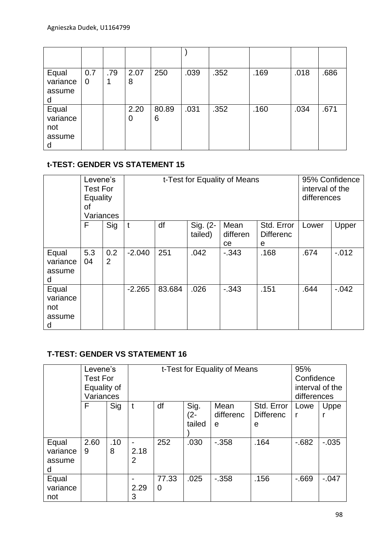| Equal<br>variance<br>assume<br>d        | 0.7<br>$\mathbf 0$ | .79 | 2.07<br>8 | 250        | .039 | .352 | .169 | .018 | .686 |
|-----------------------------------------|--------------------|-----|-----------|------------|------|------|------|------|------|
| Equal<br>variance<br>not<br>assume<br>d |                    |     | 2.20<br>0 | 80.89<br>6 | .031 | .352 | .160 | .034 | .671 |

## **t-TEST: GENDER VS STATEMENT 15**

|                                         | Levene's<br><b>Test For</b><br>Equality<br>οf<br>Variances |                       |              | t-Test for Equality of Means                                                                          | 95% Confidence<br>interval of the<br>differences |          |      |       |          |
|-----------------------------------------|------------------------------------------------------------|-----------------------|--------------|-------------------------------------------------------------------------------------------------------|--------------------------------------------------|----------|------|-------|----------|
|                                         | F                                                          | Sig                   | $\mathbf{t}$ | df<br>Sig. (2-<br>Std. Error<br>Mean<br>differen<br>tailed)<br><b>Differenc</b><br><sub>ce</sub><br>е |                                                  |          |      | Lower | Upper    |
| Equal<br>variance<br>assume<br>d        | 5.3<br>04                                                  | 0.2<br>$\overline{2}$ | $-2.040$     | 251                                                                                                   | .042                                             | $-0.343$ | .168 | .674  | $-.012$  |
| Equal<br>variance<br>not<br>assume<br>d |                                                            |                       | $-2.265$     | 83.684<br>.026<br>.151<br>$-343$                                                                      |                                                  |          |      | .644  | $-0.042$ |

### **T-TEST: GENDER VS STATEMENT 16**

|                                  | Levene's<br><b>Test For</b><br>Equality of<br>Variances |          |           | t-Test for Equality of Means | 95%<br>Confidence<br>interval of the<br>differences |                        |                                     |                      |          |
|----------------------------------|---------------------------------------------------------|----------|-----------|------------------------------|-----------------------------------------------------|------------------------|-------------------------------------|----------------------|----------|
|                                  | F                                                       | Sig      | t         | df                           | Sig.<br>$(2 -$<br>tailed                            | Mean<br>differenc<br>e | Std. Error<br><b>Differenc</b><br>e | Lowe<br>$\mathsf{r}$ | Uppe     |
| Equal<br>variance<br>assume<br>d | 2.60<br>9                                               | .10<br>8 | 2.18<br>2 | 252                          | .030                                                | $-0.358$               | .164                                | $-682$               | $-0.035$ |
| Equal<br>variance<br>not         |                                                         |          | 2.29<br>3 | 77.33<br>$\mathbf 0$         | .025                                                | $-0.358$               | .156                                | $-669$               | $-.047$  |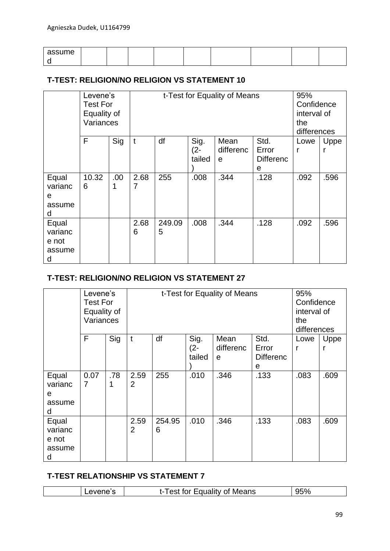| assume |  |  |  |  |  |
|--------|--|--|--|--|--|
|        |  |  |  |  |  |

#### **T-TEST: RELIGION/NO RELIGION VS STATEMENT 10**

|                                          | Levene's<br><b>Test For</b><br>Equality of<br>Variances |     |           | t-Test for Equality of Means | 95%<br>Confidence<br>interval of<br>the<br>differences |                        |                                        |           |           |
|------------------------------------------|---------------------------------------------------------|-----|-----------|------------------------------|--------------------------------------------------------|------------------------|----------------------------------------|-----------|-----------|
|                                          | F                                                       | Sig | t         | df                           | Sig.<br>$(2 -$<br>tailed                               | Mean<br>differenc<br>e | Std.<br>Error<br><b>Differenc</b><br>е | Lowe<br>r | Uppe<br>r |
| Equal<br>varianc<br>е<br>assume<br>d     | 10.32<br>6                                              | .00 | 2.68<br>7 | 255                          | .008                                                   | .344                   | .128                                   | .092      | .596      |
| Equal<br>varianc<br>e not<br>assume<br>d |                                                         |     | 2.68<br>6 | 249.09<br>5                  | .008                                                   | .344                   | .128                                   | .092      | .596      |

#### **T-TEST: RELIGION/NO RELIGION VS STATEMENT 27**

|                                          | Levene's<br><b>Test For</b><br>Equality of<br>Variances |          |                        | t-Test for Equality of Means | 95%<br>Confidence<br>interval of<br>the<br>differences |                        |                                        |           |           |
|------------------------------------------|---------------------------------------------------------|----------|------------------------|------------------------------|--------------------------------------------------------|------------------------|----------------------------------------|-----------|-----------|
|                                          | F                                                       | Sig      | t                      | df                           | Sig.<br>$(2 -$<br>tailed                               | Mean<br>differenc<br>e | Std.<br>Error<br><b>Differenc</b><br>е | Lowe<br>r | Uppe<br>r |
| Equal<br>varianc<br>e<br>assume<br>d     | 0.07<br>$\overline{7}$                                  | .78<br>1 | 2.59<br>$\overline{2}$ | 255                          | .010                                                   | .346                   | .133                                   | .083      | .609      |
| Equal<br>varianc<br>e not<br>assume<br>d |                                                         |          | 2.59<br>$\overline{2}$ | 254.95<br>6                  | .010                                                   | .346                   | .133                                   | .083      | .609      |

#### **T-TEST RELATIONSHIP VS STATEMENT 7**

| Means<br>.<br>-<br>זר<br>. . |  |  |
|------------------------------|--|--|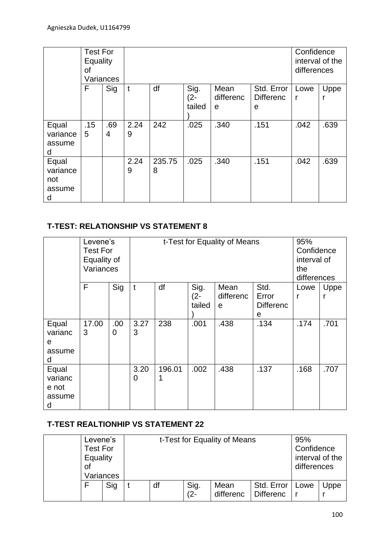|                                         | <b>Test For</b><br>Equality<br>οf<br>Variances |          |           |             | Confidence<br>interval of the<br>differences |                        |                                     |           |      |
|-----------------------------------------|------------------------------------------------|----------|-----------|-------------|----------------------------------------------|------------------------|-------------------------------------|-----------|------|
|                                         | F                                              | Sig      | t         | df          | Sig.<br>$(2 -$<br>tailed                     | Mean<br>differenc<br>е | Std. Error<br><b>Differenc</b><br>e | Lowe<br>r | Uppe |
| Equal<br>variance<br>assume<br>d        | .15<br>5                                       | .69<br>4 | 2.24<br>9 | 242         | .025                                         | .340                   | .151                                | .042      | .639 |
| Equal<br>variance<br>not<br>assume<br>d |                                                |          | 2.24<br>9 | 235.75<br>8 | .025                                         | .340                   | .151                                | .042      | .639 |

### **T-TEST: RELATIONSHIP VS STATEMENT 8**

|                                          | Levene's<br><b>Test For</b><br>Equality of<br>Variances |           |           | t-Test for Equality of Means | 95%<br>Confidence<br>interval of<br>the<br>differences |                        |                                        |      |      |
|------------------------------------------|---------------------------------------------------------|-----------|-----------|------------------------------|--------------------------------------------------------|------------------------|----------------------------------------|------|------|
|                                          | F                                                       | Sig       | t         | df                           | Sig.<br>$(2 -$<br>tailed                               | Mean<br>differenc<br>e | Std.<br>Error<br><b>Differenc</b><br>е | Lowe | Uppe |
| Equal<br>varianc<br>е<br>assume<br>d     | 17.00<br>3                                              | .00.<br>0 | 3.27<br>3 | 238                          | .001                                                   | .438                   | .134                                   | .174 | .701 |
| Equal<br>varianc<br>e not<br>assume<br>d |                                                         |           | 3.20<br>0 | 196.01                       | .002                                                   | .438                   | .137                                   | .168 | .707 |

#### **T-TEST REALTIONHIP VS STATEMENT 22**

| Levene's<br><b>Test For</b><br>Equality<br>Ωt | Variances |    |                | t-Test for Equality of Means |                                | 95%<br>Confidence<br>interval of the<br>differences |      |
|-----------------------------------------------|-----------|----|----------------|------------------------------|--------------------------------|-----------------------------------------------------|------|
| Sig                                           |           | df | Sig.<br>$(2 -$ | Mean<br>differenc            | Std. Error<br><b>Differenc</b> | Lowe                                                | Uppe |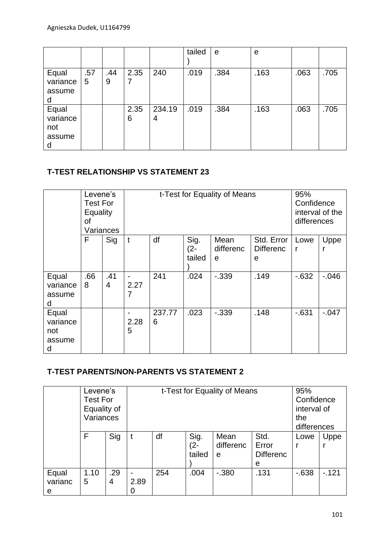|          |     |     |      |        | tailed | e    | e    |      |      |
|----------|-----|-----|------|--------|--------|------|------|------|------|
|          |     |     |      |        |        |      |      |      |      |
| Equal    | .57 | .44 | 2.35 | 240    | .019   | .384 | .163 | .063 | .705 |
| variance | 5   | 9   |      |        |        |      |      |      |      |
| assume   |     |     |      |        |        |      |      |      |      |
| d        |     |     |      |        |        |      |      |      |      |
| Equal    |     |     | 2.35 | 234.19 | .019   | .384 | .163 | .063 | .705 |
| variance |     |     | 6    | 4      |        |      |      |      |      |
| not      |     |     |      |        |        |      |      |      |      |
| assume   |     |     |      |        |        |      |      |      |      |
| d        |     |     |      |        |        |      |      |      |      |

#### **T-TEST RELATIONSHIP VS STATEMENT 23**

|                                         | Levene's<br><b>Test For</b><br>Equality<br>οf<br>Variances |          |           | t-Test for Equality of Means | 95%<br>Confidence<br>interval of the<br>differences |                        |                                     |           |          |
|-----------------------------------------|------------------------------------------------------------|----------|-----------|------------------------------|-----------------------------------------------------|------------------------|-------------------------------------|-----------|----------|
|                                         | F                                                          | Sig      | t         | df                           | Sig.<br>$(2 -$<br>tailed                            | Mean<br>differenc<br>e | Std. Error<br><b>Differenc</b><br>е | Lowe<br>r | Uppe     |
| Equal<br>variance<br>assume<br>d        | .66<br>8                                                   | .41<br>4 | 2.27<br>7 | 241                          | .024                                                | $-0.339$               | .149                                | $-632$    | $-0.046$ |
| Equal<br>variance<br>not<br>assume<br>d |                                                            |          | 2.28<br>5 | 237.77<br>6                  | .023                                                | $-0.339$               | .148                                | $-631$    | $-.047$  |

## **T-TEST PARENTS/NON-PARENTS VS STATEMENT 2**

|         | Levene's        |     |      |     |             | t-Test for Equality of Means |                  | 95%    |             |
|---------|-----------------|-----|------|-----|-------------|------------------------------|------------------|--------|-------------|
|         | <b>Test For</b> |     |      |     | Confidence  |                              |                  |        |             |
|         | Equality of     |     |      |     | interval of |                              |                  |        |             |
|         | Variances       |     |      |     | the         |                              |                  |        |             |
|         |                 |     |      |     |             |                              |                  |        | differences |
|         | F               | Sig |      | df  | Sig.        | Mean                         | Std.             | Lowe   | Uppe        |
|         |                 |     |      |     | $(2 -$      | differenc                    | Error            |        |             |
|         |                 |     |      |     | tailed      | e                            | <b>Differenc</b> |        |             |
|         |                 |     |      |     |             |                              | e                |        |             |
| Equal   | 1.10            | .29 |      | 254 | .004        | $-0.380$                     | .131             | $-638$ | $-121$      |
| varianc | 5               | 4   | 2.89 |     |             |                              |                  |        |             |
| е       |                 |     |      |     |             |                              |                  |        |             |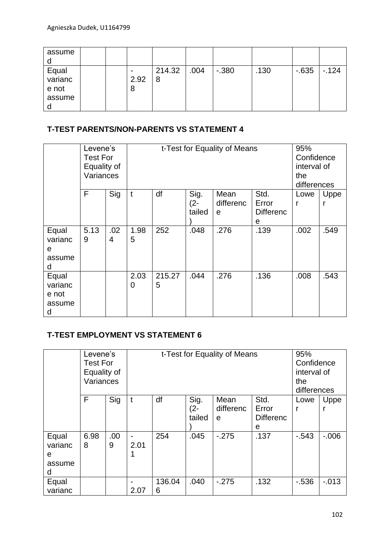| assume                              |  |           |             |      |          |      |        |        |
|-------------------------------------|--|-----------|-------------|------|----------|------|--------|--------|
| Equal<br>varianc<br>e not<br>assume |  | 2.92<br>8 | 214.32<br>8 | .004 | $-0.380$ | .130 | $-635$ | $-124$ |

### **T-TEST PARENTS/NON-PARENTS VS STATEMENT 4**

|                                          | Levene's<br><b>Test For</b><br>Equality of<br>Variances |          |           | t-Test for Equality of Means | 95%<br>Confidence<br>interval of<br>the<br>differences |                        |                                        |           |           |
|------------------------------------------|---------------------------------------------------------|----------|-----------|------------------------------|--------------------------------------------------------|------------------------|----------------------------------------|-----------|-----------|
|                                          | F                                                       | Sig      | t         | df                           | Sig.<br>$(2 -$<br>tailed                               | Mean<br>differenc<br>e | Std.<br>Error<br><b>Differenc</b><br>е | Lowe<br>r | Uppe<br>r |
| Equal<br>varianc<br>е<br>assume<br>d     | 5.13<br>9                                               | .02<br>4 | 1.98<br>5 | 252                          | .048                                                   | .276                   | .139                                   | .002      | .549      |
| Equal<br>varianc<br>e not<br>assume<br>d |                                                         |          | 2.03<br>0 | 215.27<br>5                  | .044                                                   | .276                   | .136                                   | .008      | .543      |

## **T-TEST EMPLOYMENT VS STATEMENT 6**

|         | Levene's        |      |                                  |     |             | t-Test for Equality of Means |                  | 95%      |          |
|---------|-----------------|------|----------------------------------|-----|-------------|------------------------------|------------------|----------|----------|
|         | <b>Test For</b> |      |                                  |     | Confidence  |                              |                  |          |          |
|         | Equality of     |      |                                  |     |             | interval of                  |                  |          |          |
|         | Variances       |      |                                  |     | the         |                              |                  |          |          |
|         |                 |      |                                  |     | differences |                              |                  |          |          |
|         | F               | Sig  | t                                | df  | Sig.        | Mean                         | Std.             | Lowe     | Uppe     |
|         |                 |      |                                  |     | $(2 -$      | differenc                    | Error            |          |          |
|         |                 |      |                                  |     | tailed      | e                            | <b>Differenc</b> |          |          |
|         |                 |      |                                  |     |             |                              | е                |          |          |
| Equal   | 6.98            | .00. |                                  | 254 | .045        | $-275$                       | .137             | $-0.543$ | $-0.006$ |
| varianc | 8               | 9    | 2.01                             |     |             |                              |                  |          |          |
| e       |                 |      |                                  |     |             |                              |                  |          |          |
| assume  |                 |      |                                  |     |             |                              |                  |          |          |
| d       |                 |      |                                  |     |             |                              |                  |          |          |
| Equal   |                 |      | .132<br>136.04<br>.040<br>$-275$ |     |             |                              |                  |          | $-0.013$ |
| varianc |                 |      | 2.07                             | 6   |             |                              |                  |          |          |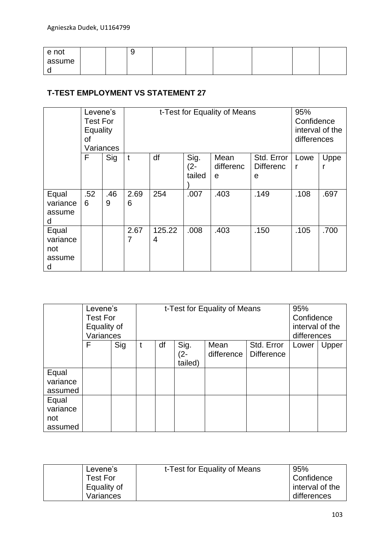| e not  |  | ີ |  |  |  |
|--------|--|---|--|--|--|
| assume |  |   |  |  |  |
| ີ      |  |   |  |  |  |

### **T-TEST EMPLOYMENT VS STATEMENT 27**

|                                         | Levene's<br><b>Test For</b><br>Equality<br>οf | Variances |           | t-Test for Equality of Means | 95%<br>Confidence<br>interval of the<br>differences |                        |                                     |           |      |
|-----------------------------------------|-----------------------------------------------|-----------|-----------|------------------------------|-----------------------------------------------------|------------------------|-------------------------------------|-----------|------|
|                                         | F                                             | Sig       | t         | df                           | Sig.<br>$(2 -$<br>tailed                            | Mean<br>differenc<br>e | Std. Error<br><b>Differenc</b><br>e | Lowe<br>r | Uppe |
| Equal<br>variance<br>assume<br>d        | .52<br>6                                      | .46<br>9  | 2.69<br>6 | 254                          | .007                                                | .403                   | .149                                | .108      | .697 |
| Equal<br>variance<br>not<br>assume<br>d |                                               |           | 2.67<br>7 | 125.22<br>4                  | .008                                                | .403                   | .150                                | .105      | .700 |

|                                     | Levene's<br><b>Test For</b><br>Equality of<br>Variances |     |   | t-Test for Equality of Means | 95%<br>Confidence<br>interval of the<br>differences |                    |                                 |       |       |
|-------------------------------------|---------------------------------------------------------|-----|---|------------------------------|-----------------------------------------------------|--------------------|---------------------------------|-------|-------|
|                                     | F                                                       | Sig | t | df                           | Sig.<br>(2-<br>tailed)                              | Mean<br>difference | Std. Error<br><b>Difference</b> | Lower | Upper |
| Equal<br>variance<br>assumed        |                                                         |     |   |                              |                                                     |                    |                                 |       |       |
| Equal<br>variance<br>not<br>assumed |                                                         |     |   |                              |                                                     |                    |                                 |       |       |

| Levene's    | t-Test for Equality of Means | 95%             |
|-------------|------------------------------|-----------------|
| Test For    |                              | Confidence      |
| Equality of |                              | interval of the |
| Variances   |                              | differences     |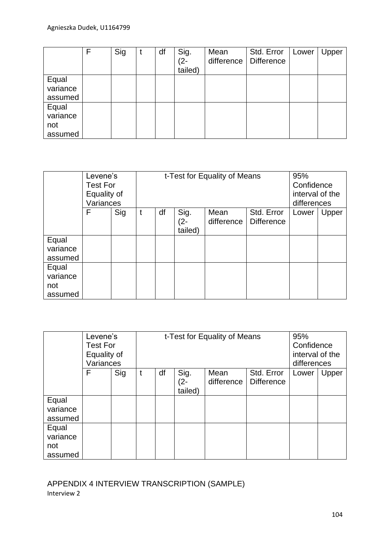|                                     | F | Sig | df | Sig.<br>$(2 -$<br>tailed) | Mean<br>difference | Std. Error<br><b>Difference</b> | Lower | Upper |
|-------------------------------------|---|-----|----|---------------------------|--------------------|---------------------------------|-------|-------|
| Equal<br>variance<br>assumed        |   |     |    |                           |                    |                                 |       |       |
| Equal<br>variance<br>not<br>assumed |   |     |    |                           |                    |                                 |       |       |

|                                     | Levene's<br>Test For<br>Equality of<br>Variances |     | t-Test for Equality of Means | 95%<br>Confidence<br>interval of the<br>differences |                        |                    |                                 |       |       |
|-------------------------------------|--------------------------------------------------|-----|------------------------------|-----------------------------------------------------|------------------------|--------------------|---------------------------------|-------|-------|
|                                     | F                                                | Sig | t                            | df                                                  | Sig.<br>(2-<br>tailed) | Mean<br>difference | Std. Error<br><b>Difference</b> | Lower | Upper |
| Equal<br>variance<br>assumed        |                                                  |     |                              |                                                     |                        |                    |                                 |       |       |
| Equal<br>variance<br>not<br>assumed |                                                  |     |                              |                                                     |                        |                    |                                 |       |       |

|          | Levene's        |     |                                       |  |                                | t-Test for Equality of Means |                   | 95%   |       |  |
|----------|-----------------|-----|---------------------------------------|--|--------------------------------|------------------------------|-------------------|-------|-------|--|
|          | <b>Test For</b> |     |                                       |  | Confidence                     |                              |                   |       |       |  |
|          | Equality of     |     |                                       |  | interval of the<br>differences |                              |                   |       |       |  |
|          | Variances       |     |                                       |  |                                |                              |                   |       |       |  |
|          | F               | Sig | Sig.<br>Std. Error<br>df<br>Mean<br>t |  |                                |                              |                   | Lower | Upper |  |
|          |                 |     |                                       |  | (2-                            | difference                   | <b>Difference</b> |       |       |  |
|          |                 |     |                                       |  | tailed)                        |                              |                   |       |       |  |
| Equal    |                 |     |                                       |  |                                |                              |                   |       |       |  |
| variance |                 |     |                                       |  |                                |                              |                   |       |       |  |
| assumed  |                 |     |                                       |  |                                |                              |                   |       |       |  |
| Equal    |                 |     |                                       |  |                                |                              |                   |       |       |  |
| variance |                 |     |                                       |  |                                |                              |                   |       |       |  |
| not      |                 |     |                                       |  |                                |                              |                   |       |       |  |
| assumed  |                 |     |                                       |  |                                |                              |                   |       |       |  |

APPENDIX 4 INTERVIEW TRANSCRIPTION (SAMPLE) Interview 2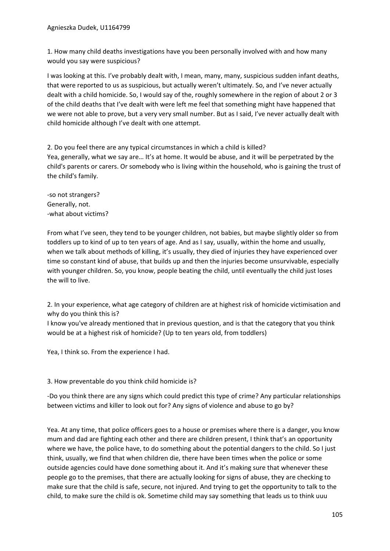1. How many child deaths investigations have you been personally involved with and how many would you say were suspicious?

I was looking at this. I've probably dealt with, I mean, many, many, suspicious sudden infant deaths, that were reported to us as suspicious, but actually weren't ultimately. So, and I've never actually dealt with a child homicide. So, I would say of the, roughly somewhere in the region of about 2 or 3 of the child deaths that I've dealt with were left me feel that something might have happened that we were not able to prove, but a very very small number. But as I said, I've never actually dealt with child homicide although I've dealt with one attempt.

2. Do you feel there are any typical circumstances in which a child is killed? Yea, generally, what we say are... It's at home. It would be abuse, and it will be perpetrated by the child's parents or carers. Or somebody who is living within the household, who is gaining the trust of the child's family.

-so not strangers? Generally, not. -what about victims?

From what I've seen, they tend to be younger children, not babies, but maybe slightly older so from toddlers up to kind of up to ten years of age. And as I say, usually, within the home and usually, when we talk about methods of killing, it's usually, they died of injuries they have experienced over time so constant kind of abuse, that builds up and then the injuries become unsurvivable, especially with younger children. So, you know, people beating the child, until eventually the child just loses the will to live.

2. In your experience, what age category of children are at highest risk of homicide victimisation and why do you think this is?

I know you've already mentioned that in previous question, and is that the category that you think would be at a highest risk of homicide? (Up to ten years old, from toddlers)

Yea, I think so. From the experience I had.

#### 3. How preventable do you think child homicide is?

-Do you think there are any signs which could predict this type of crime? Any particular relationships between victims and killer to look out for? Any signs of violence and abuse to go by?

Yea. At any time, that police officers goes to a house or premises where there is a danger, you know mum and dad are fighting each other and there are children present, I think that's an opportunity where we have, the police have, to do something about the potential dangers to the child. So I just think, usually, we find that when children die, there have been times when the police or some outside agencies could have done something about it. And it's making sure that whenever these people go to the premises, that there are actually looking for signs of abuse, they are checking to make sure that the child is safe, secure, not injured. And trying to get the opportunity to talk to the child, to make sure the child is ok. Sometime child may say something that leads us to think uuu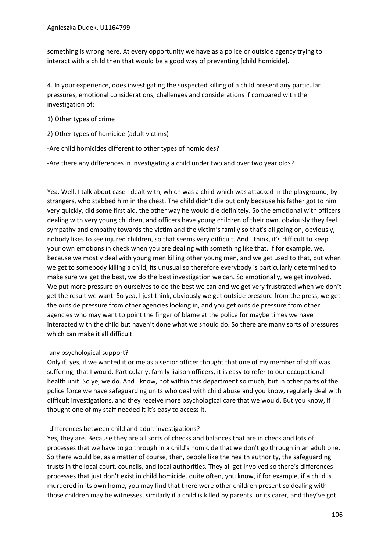something is wrong here. At every opportunity we have as a police or outside agency trying to interact with a child then that would be a good way of preventing [child homicide].

4. In your experience, does investigating the suspected killing of a child present any particular pressures, emotional considerations, challenges and considerations if compared with the investigation of:

1) Other types of crime

2) Other types of homicide (adult victims)

-Are child homicides different to other types of homicides?

-Are there any differences in investigating a child under two and over two year olds?

Yea. Well, I talk about case I dealt with, which was a child which was attacked in the playground, by strangers, who stabbed him in the chest. The child didn't die but only because his father got to him very quickly, did some first aid, the other way he would die definitely. So the emotional with officers dealing with very young children, and officers have young children of their own. obviously they feel sympathy and empathy towards the victim and the victim's family so that's all going on, obviously, nobody likes to see injured children, so that seems very difficult. And I think, it's difficult to keep your own emotions in check when you are dealing with something like that. If for example, we, because we mostly deal with young men killing other young men, and we get used to that, but when we get to somebody killing a child, its unusual so therefore everybody is particularly determined to make sure we get the best, we do the best investigation we can. So emotionally, we get involved. We put more pressure on ourselves to do the best we can and we get very frustrated when we don't get the result we want. So yea, I just think, obviously we get outside pressure from the press, we get the outside pressure from other agencies looking in, and you get outside pressure from other agencies who may want to point the finger of blame at the police for maybe times we have interacted with the child but haven't done what we should do. So there are many sorts of pressures which can make it all difficult.

#### -any psychological support?

Only if, yes, if we wanted it or me as a senior officer thought that one of my member of staff was suffering, that I would. Particularly, family liaison officers, it is easy to refer to our occupational health unit. So ye, we do. And I know, not within this department so much, but in other parts of the police force we have safeguarding units who deal with child abuse and you know, regularly deal with difficult investigations, and they receive more psychological care that we would. But you know, if I thought one of my staff needed it it's easy to access it.

#### -differences between child and adult investigations?

Yes, they are. Because they are all sorts of checks and balances that are in check and lots of processes that we have to go through in a child's homicide that we don't go through in an adult one. So there would be, as a matter of course, then, people like the health authority, the safeguarding trusts in the local court, councils, and local authorities. They all get involved so there's differences processes that just don't exist in child homicide. quite often, you know, if for example, if a child is murdered in its own home, you may find that there were other children present so dealing with those children may be witnesses, similarly if a child is killed by parents, or its carer, and they've got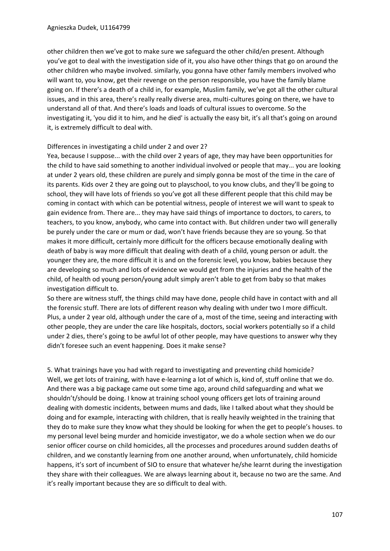other children then we've got to make sure we safeguard the other child/en present. Although you've got to deal with the investigation side of it, you also have other things that go on around the other children who maybe involved. similarly, you gonna have other family members involved who will want to, you know, get their revenge on the person responsible, you have the family blame going on. If there's a death of a child in, for example, Muslim family, we've got all the other cultural issues, and in this area, there's really really diverse area, multi-cultures going on there, we have to understand all of that. And there's loads and loads of cultural issues to overcome. So the investigating it, 'you did it to him, and he died' is actually the easy bit, it's all that's going on around it, is extremely difficult to deal with.

## Differences in investigating a child under 2 and over 2?

Yea, because I suppose... with the child over 2 years of age, they may have been opportunities for the child to have said something to another individual involved or people that may... you are looking at under 2 years old, these children are purely and simply gonna be most of the time in the care of its parents. Kids over 2 they are going out to playschool, to you know clubs, and they'll be going to school, they will have lots of friends so you've got all these different people that this child may be coming in contact with which can be potential witness, people of interest we will want to speak to gain evidence from. There are... they may have said things of importance to doctors, to carers, to teachers, to you know, anybody, who came into contact with. But children under two will generally be purely under the care or mum or dad, won't have friends because they are so young. So that makes it more difficult, certainly more difficult for the officers because emotionally dealing with death of baby is way more difficult that dealing with death of a child, young person or adult. the younger they are, the more difficult it is and on the forensic level, you know, babies because they are developing so much and lots of evidence we would get from the injuries and the health of the child, of health od young person/young adult simply aren't able to get from baby so that makes investigation difficult to.

So there are witness stuff, the things child may have done, people child have in contact with and all the forensic stuff. There are lots of different reason why dealing with under two I more difficult. Plus, a under 2 year old, although under the care of a, most of the time, seeing and interacting with other people, they are under the care like hospitals, doctors, social workers potentially so if a child under 2 dies, there's going to be awful lot of other people, may have questions to answer why they didn't foresee such an event happening. Does it make sense?

5. What trainings have you had with regard to investigating and preventing child homicide? Well, we get lots of training, with have e-learning a lot of which is, kind of, stuff online that we do. And there was a big package came out some time ago, around child safeguarding and what we shouldn't/should be doing. I know at training school young officers get lots of training around dealing with domestic incidents, between mums and dads, like I talked about what they should be doing and for example, interacting with children, that is really heavily weighted in the training that they do to make sure they know what they should be looking for when the get to people's houses. to my personal level being murder and homicide investigator, we do a whole section when we do our senior officer course on child homicides, all the processes and procedures around sudden deaths of children, and we constantly learning from one another around, when unfortunately, child homicide happens, it's sort of incumbent of SIO to ensure that whatever he/she learnt during the investigation they share with their colleagues. We are always learning about it, because no two are the same. And it's really important because they are so difficult to deal with.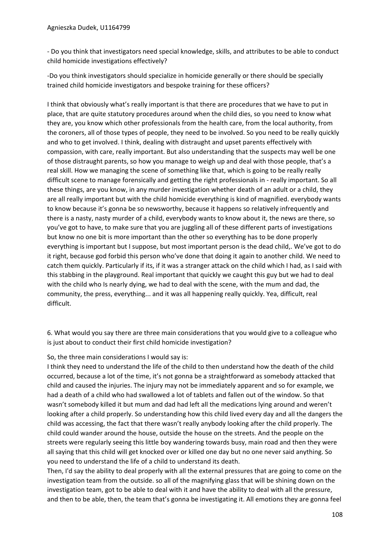- Do you think that investigators need special knowledge, skills, and attributes to be able to conduct child homicide investigations effectively?

-Do you think investigators should specialize in homicide generally or there should be specially trained child homicide investigators and bespoke training for these officers?

I think that obviously what's really important is that there are procedures that we have to put in place, that are quite statutory procedures around when the child dies, so you need to know what they are, you know which other professionals from the health care, from the local authority, from the coroners, all of those types of people, they need to be involved. So you need to be really quickly and who to get involved. I think, dealing with distraught and upset parents effectively with compassion, with care, really important. But also understanding that the suspects may well be one of those distraught parents, so how you manage to weigh up and deal with those people, that's a real skill. How we managing the scene of something like that, which is going to be really really difficult scene to manage forensically and getting the right professionals in - really important. So all these things, are you know, in any murder investigation whether death of an adult or a child, they are all really important but with the child homicide everything is kind of magnified. everybody wants to know because it's gonna be so newsworthy, because it happens so relatively infrequently and there is a nasty, nasty murder of a child, everybody wants to know about it, the news are there, so you've got to have, to make sure that you are juggling all of these different parts of investigations but know no one bit is more important than the other so everything has to be done properly everything is important but I suppose, but most important person is the dead child,. We've got to do it right, because god forbid this person who've done that doing it again to another child. We need to catch them quickly. Particularly if its, if it was a stranger attack on the child which I had, as I said with this stabbing in the playground. Real important that quickly we caught this guy but we had to deal with the child who Is nearly dying, we had to deal with the scene, with the mum and dad, the community, the press, everything... and it was all happening really quickly. Yea, difficult, real difficult.

6. What would you say there are three main considerations that you would give to a colleague who is just about to conduct their first child homicide investigation?

## So, the three main considerations I would say is:

I think they need to understand the life of the child to then understand how the death of the child occurred, because a lot of the time, it's not gonna be a straightforward as somebody attacked that child and caused the injuries. The injury may not be immediately apparent and so for example, we had a death of a child who had swallowed a lot of tablets and fallen out of the window. So that wasn't somebody killed it but mum and dad had left all the medications lying around and weren't looking after a child properly. So understanding how this child lived every day and all the dangers the child was accessing, the fact that there wasn't really anybody looking after the child properly. The child could wander around the house, outside the house on the streets. And the people on the streets were regularly seeing this little boy wandering towards busy, main road and then they were all saying that this child will get knocked over or killed one day but no one never said anything. So you need to understand the life of a child to understand its death.

Then, I'd say the ability to deal properly with all the external pressures that are going to come on the investigation team from the outside. so all of the magnifying glass that will be shining down on the investigation team, got to be able to deal with it and have the ability to deal with all the pressure, and then to be able, then, the team that's gonna be investigating it. All emotions they are gonna feel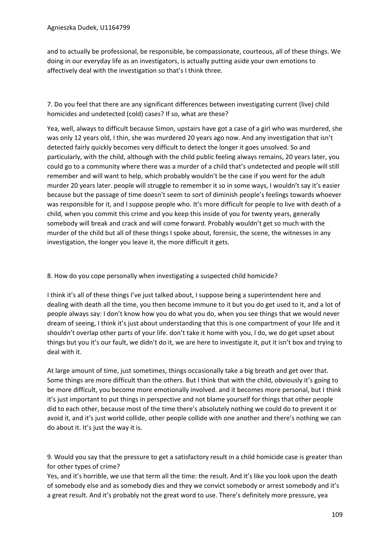and to actually be professional, be responsible, be compassionate, courteous, all of these things. We doing in our everyday life as an investigators, is actually putting aside your own emotions to affectively deal with the investigation so that's I think three.

7. Do you feel that there are any significant differences between investigating current (live) child homicides and undetected (cold) cases? If so, what are these?

Yea, well, always to difficult because Simon, upstairs have got a case of a girl who was murdered, she was only 12 years old, I thin, she was murdered 20 years ago now. And any investigation that isn't detected fairly quickly becomes very difficult to detect the longer it goes unsolved. So and particularly, with the child, although with the child public feeling always remains, 20 years later, you could go to a community where there was a murder of a child that's undetected and people will still remember and will want to help, which probably wouldn't be the case if you went for the adult murder 20 years later. people will struggle to remember it so in some ways, I wouldn't say it's easier because but the passage of time doesn't seem to sort of diminish people's feelings towards whoever was responsible for it, and I suppose people who. It's more difficult for people to live with death of a child, when you commit this crime and you keep this inside of you for twenty years, generally somebody will break and crack and will come forward. Probably wouldn't get so much with the murder of the child but all of these things I spoke about, forensic, the scene, the witnesses in any investigation, the longer you leave it, the more difficult it gets.

## 8. How do you cope personally when investigating a suspected child homicide?

I think it's all of these things I've just talked about, I suppose being a superintendent here and dealing with death all the time, you then become immune to it but you do get used to it, and a lot of people always say: I don't know how you do what you do, when you see things that we would never dream of seeing, I think it's just about understanding that this is one compartment of your life and it shouldn't overlap other parts of your life. don't take it home with you, I do, we do get upset about things but you it's our fault, we didn't do it, we are here to investigate it, put it isn't box and trying to deal with it.

At large amount of time, just sometimes, things occasionally take a big breath and get over that. Some things are more difficult than the others. But I think that with the child, obviously it's going to be more difficult, you become more emotionally involved. and it becomes more personal, but I think it's just important to put things in perspective and not blame yourself for things that other people did to each other, because most of the time there's absolutely nothing we could do to prevent it or avoid it, and it's just world collide, other people collide with one another and there's nothing we can do about it. It's just the way it is.

9. Would you say that the pressure to get a satisfactory result in a child homicide case is greater than for other types of crime?

Yes, and it's horrible, we use that term all the time: the result. And it's like you look upon the death of somebody else and as somebody dies and they we convict somebody or arrest somebody and it's a great result. And it's probably not the great word to use. There's definitely more pressure, yea